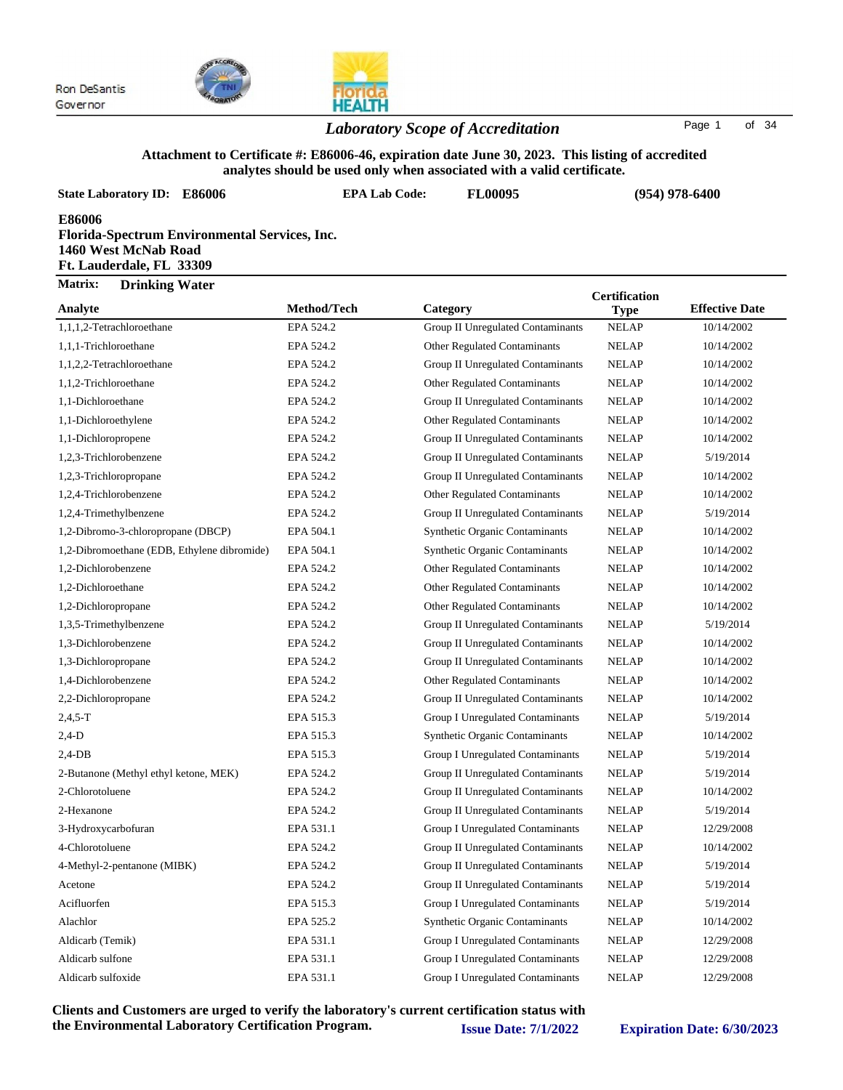



### *Laboratory Scope of Accreditation* Page <sup>1</sup> of <sup>34</sup>

#### **Attachment to Certificate #: E86006-46, expiration date June 30, 2023. This listing of accredited analytes should be used only when associated with a valid certificate.**

**State Laboratory ID: E86006 EPA Lab Code: FL00095**

**(954) 978-6400**

**E86006**

| Florida-Spectrum Environmental Services, Inc. |  |
|-----------------------------------------------|--|
| 1460 West McNab Road                          |  |
| Ft. Lauderdale, FL 33309                      |  |

| <b>Matrix:</b> | <b>Drinking Water</b> |  |
|----------------|-----------------------|--|
|----------------|-----------------------|--|

|                                             |             |                                          | <b>Certification</b> |                       |
|---------------------------------------------|-------------|------------------------------------------|----------------------|-----------------------|
| Analyte                                     | Method/Tech | Category                                 | <b>Type</b>          | <b>Effective Date</b> |
| 1,1,1,2-Tetrachloroethane                   | EPA 524.2   | <b>Group II Unregulated Contaminants</b> | <b>NELAP</b>         | 10/14/2002            |
| 1,1,1-Trichloroethane                       | EPA 524.2   | Other Regulated Contaminants             | <b>NELAP</b>         | 10/14/2002            |
| 1,1,2,2-Tetrachloroethane                   | EPA 524.2   | Group II Unregulated Contaminants        | <b>NELAP</b>         | 10/14/2002            |
| 1,1,2-Trichloroethane                       | EPA 524.2   | Other Regulated Contaminants             | <b>NELAP</b>         | 10/14/2002            |
| 1,1-Dichloroethane                          | EPA 524.2   | Group II Unregulated Contaminants        | <b>NELAP</b>         | 10/14/2002            |
| 1,1-Dichloroethylene                        | EPA 524.2   | Other Regulated Contaminants             | <b>NELAP</b>         | 10/14/2002            |
| 1,1-Dichloropropene                         | EPA 524.2   | Group II Unregulated Contaminants        | <b>NELAP</b>         | 10/14/2002            |
| 1,2,3-Trichlorobenzene                      | EPA 524.2   | Group II Unregulated Contaminants        | <b>NELAP</b>         | 5/19/2014             |
| 1,2,3-Trichloropropane                      | EPA 524.2   | Group II Unregulated Contaminants        | <b>NELAP</b>         | 10/14/2002            |
| 1,2,4-Trichlorobenzene                      | EPA 524.2   | Other Regulated Contaminants             | <b>NELAP</b>         | 10/14/2002            |
| 1,2,4-Trimethylbenzene                      | EPA 524.2   | Group II Unregulated Contaminants        | <b>NELAP</b>         | 5/19/2014             |
| 1,2-Dibromo-3-chloropropane (DBCP)          | EPA 504.1   | <b>Synthetic Organic Contaminants</b>    | <b>NELAP</b>         | 10/14/2002            |
| 1,2-Dibromoethane (EDB, Ethylene dibromide) | EPA 504.1   | <b>Synthetic Organic Contaminants</b>    | <b>NELAP</b>         | 10/14/2002            |
| 1,2-Dichlorobenzene                         | EPA 524.2   | Other Regulated Contaminants             | <b>NELAP</b>         | 10/14/2002            |
| 1,2-Dichloroethane                          | EPA 524.2   | Other Regulated Contaminants             | <b>NELAP</b>         | 10/14/2002            |
| 1,2-Dichloropropane                         | EPA 524.2   | Other Regulated Contaminants             | <b>NELAP</b>         | 10/14/2002            |
| 1,3,5-Trimethylbenzene                      | EPA 524.2   | Group II Unregulated Contaminants        | <b>NELAP</b>         | 5/19/2014             |
| 1,3-Dichlorobenzene                         | EPA 524.2   | Group II Unregulated Contaminants        | <b>NELAP</b>         | 10/14/2002            |
| 1,3-Dichloropropane                         | EPA 524.2   | Group II Unregulated Contaminants        | <b>NELAP</b>         | 10/14/2002            |
| 1,4-Dichlorobenzene                         | EPA 524.2   | Other Regulated Contaminants             | <b>NELAP</b>         | 10/14/2002            |
| 2,2-Dichloropropane                         | EPA 524.2   | Group II Unregulated Contaminants        | <b>NELAP</b>         | 10/14/2002            |
| $2,4,5-T$                                   | EPA 515.3   | Group I Unregulated Contaminants         | <b>NELAP</b>         | 5/19/2014             |
| $2,4-D$                                     | EPA 515.3   | <b>Synthetic Organic Contaminants</b>    | <b>NELAP</b>         | 10/14/2002            |
| $2,4$ -DB                                   | EPA 515.3   | Group I Unregulated Contaminants         | <b>NELAP</b>         | 5/19/2014             |
| 2-Butanone (Methyl ethyl ketone, MEK)       | EPA 524.2   | Group II Unregulated Contaminants        | <b>NELAP</b>         | 5/19/2014             |
| 2-Chlorotoluene                             | EPA 524.2   | Group II Unregulated Contaminants        | <b>NELAP</b>         | 10/14/2002            |
| 2-Hexanone                                  | EPA 524.2   | Group II Unregulated Contaminants        | <b>NELAP</b>         | 5/19/2014             |
| 3-Hydroxycarbofuran                         | EPA 531.1   | Group I Unregulated Contaminants         | <b>NELAP</b>         | 12/29/2008            |
| 4-Chlorotoluene                             | EPA 524.2   | Group II Unregulated Contaminants        | <b>NELAP</b>         | 10/14/2002            |
| 4-Methyl-2-pentanone (MIBK)                 | EPA 524.2   | Group II Unregulated Contaminants        | <b>NELAP</b>         | 5/19/2014             |
| Acetone                                     | EPA 524.2   | Group II Unregulated Contaminants        | <b>NELAP</b>         | 5/19/2014             |
| Acifluorfen                                 | EPA 515.3   | Group I Unregulated Contaminants         | <b>NELAP</b>         | 5/19/2014             |
| Alachlor                                    | EPA 525.2   | <b>Synthetic Organic Contaminants</b>    | <b>NELAP</b>         | 10/14/2002            |
| Aldicarb (Temik)                            | EPA 531.1   | Group I Unregulated Contaminants         | <b>NELAP</b>         | 12/29/2008            |
| Aldicarb sulfone                            | EPA 531.1   | Group I Unregulated Contaminants         | <b>NELAP</b>         | 12/29/2008            |
| Aldicarb sulfoxide                          | EPA 531.1   | Group I Unregulated Contaminants         | <b>NELAP</b>         | 12/29/2008            |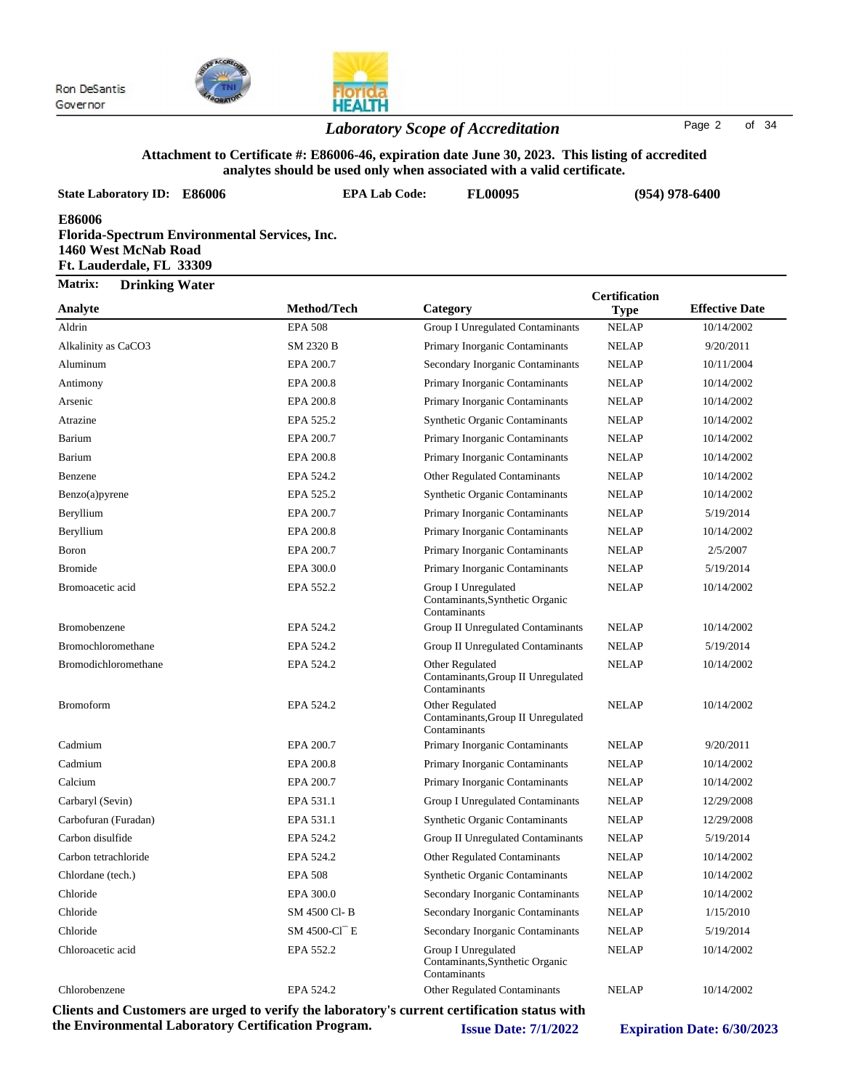

#### *Laboratory Scope of Accreditation* Page <sup>2</sup> of <sup>34</sup>

#### **Attachment to Certificate #: E86006-46, expiration date June 30, 2023. This listing of accredited analytes should be used only when associated with a valid certificate.**

| <b>State Laboratory ID: E86006</b>                                                                          | <b>EPA Lab Code:</b> | <b>FL00095</b>                                                         |                                     | $(954)$ 978-6400      |  |
|-------------------------------------------------------------------------------------------------------------|----------------------|------------------------------------------------------------------------|-------------------------------------|-----------------------|--|
| E86006<br>Florida-Spectrum Environmental Services, Inc.<br>1460 West McNab Road<br>Ft. Lauderdale, FL 33309 |                      |                                                                        |                                     |                       |  |
| Matrix:<br><b>Drinking Water</b><br>Analyte                                                                 | Method/Tech          | Category                                                               | <b>Certification</b><br><b>Type</b> | <b>Effective Date</b> |  |
| Aldrin                                                                                                      | <b>EPA 508</b>       | <b>Group I Unregulated Contaminants</b>                                | <b>NELAP</b>                        | 10/14/2002            |  |
| Alkalinity as CaCO3                                                                                         | <b>SM 2320 B</b>     | Primary Inorganic Contaminants                                         | <b>NELAP</b>                        | 9/20/2011             |  |
| Aluminum                                                                                                    | EPA 200.7            | Secondary Inorganic Contaminants                                       | <b>NELAP</b>                        | 10/11/2004            |  |
| Antimony                                                                                                    | EPA 200.8            | Primary Inorganic Contaminants                                         | <b>NELAP</b>                        | 10/14/2002            |  |
| Arsenic                                                                                                     | EPA 200.8            | Primary Inorganic Contaminants                                         | <b>NELAP</b>                        | 10/14/2002            |  |
| Atrazine                                                                                                    | EPA 525.2            | <b>Synthetic Organic Contaminants</b>                                  | <b>NELAP</b>                        | 10/14/2002            |  |
| Barium                                                                                                      | EPA 200.7            | Primary Inorganic Contaminants                                         | <b>NELAP</b>                        | 10/14/2002            |  |
| Barium                                                                                                      | EPA 200.8            | Primary Inorganic Contaminants                                         | <b>NELAP</b>                        | 10/14/2002            |  |
| Benzene                                                                                                     | EPA 524.2            | <b>Other Regulated Contaminants</b>                                    | <b>NELAP</b>                        | 10/14/2002            |  |
| Benzo(a)pyrene                                                                                              | EPA 525.2            | <b>Synthetic Organic Contaminants</b>                                  | <b>NELAP</b>                        | 10/14/2002            |  |
| Beryllium                                                                                                   | EPA 200.7            | Primary Inorganic Contaminants                                         | <b>NELAP</b>                        | 5/19/2014             |  |
| Beryllium                                                                                                   | EPA 200.8            | Primary Inorganic Contaminants                                         | <b>NELAP</b>                        | 10/14/2002            |  |
| Boron                                                                                                       | EPA 200.7            | Primary Inorganic Contaminants                                         | <b>NELAP</b>                        | 2/5/2007              |  |
| <b>Bromide</b>                                                                                              | EPA 300.0            | Primary Inorganic Contaminants                                         | <b>NELAP</b>                        | 5/19/2014             |  |
| Bromoacetic acid                                                                                            | EPA 552.2            | Group I Unregulated<br>Contaminants, Synthetic Organic<br>Contaminants | <b>NELAP</b>                        | 10/14/2002            |  |
| <b>Bromobenzene</b>                                                                                         | EPA 524.2            | Group II Unregulated Contaminants                                      | <b>NELAP</b>                        | 10/14/2002            |  |
| <b>Bromochloromethane</b>                                                                                   | EPA 524.2            | Group II Unregulated Contaminants                                      | <b>NELAP</b>                        | 5/19/2014             |  |
| Bromodichloromethane                                                                                        | EPA 524.2            | Other Regulated                                                        | <b>NELAP</b>                        | 10/14/2002            |  |

Contaminants,Group II Unregulated

Contaminants,Group II Unregulated

Contaminants,Synthetic Organic

Contaminants

Contaminants

Bromoform **EPA 524.2** Other Regulated **NELAP** 10/14/2002

Cadmium EPA 200.7 Primary Inorganic Contaminants NELAP 9/20/2011 Cadmium EPA 200.8 Primary Inorganic Contaminants NELAP 10/14/2002 Calcium EPA 200.7 Primary Inorganic Contaminants NELAP 10/14/2002 Carbaryl (Sevin) EPA 531.1 Group I Unregulated Contaminants NELAP 12/29/2008 Carbofuran (Furadan) EPA 531.1 Synthetic Organic Contaminants NELAP 12/29/2008 Carbon disulfide EPA 524.2 Group II Unregulated Contaminants NELAP 5/19/2014 Carbon tetrachloride EPA 524.2 Other Regulated Contaminants NELAP 10/14/2002 Chlordane (tech.) **EPA 508** Synthetic Organic Contaminants NELAP 10/14/2002 Chloride EPA 300.0 Secondary Inorganic Contaminants NELAP 10/14/2002 Chloride SM 4500 Cl- B Secondary Inorganic Contaminants NELAP 1/15/2010 Chloride SM 4500-Cl<sup> $-$ </sup> E Secondary Inorganic Contaminants NELAP 5/19/2014 Chloroacetic acid **EPA 552.2** Group I Unregulated **NELAP** 10/14/2002

Contaminants

Other Regulated

Chlorobenzene EPA 524.2 Other Regulated Contaminants NELAP 10/14/2002 **Clients and Customers are urged to verify the laboratory's current certification status with the Environmental Laboratory Certification Program. Issue Date: 7/1/2022 Expiration Date: 6/30/2023**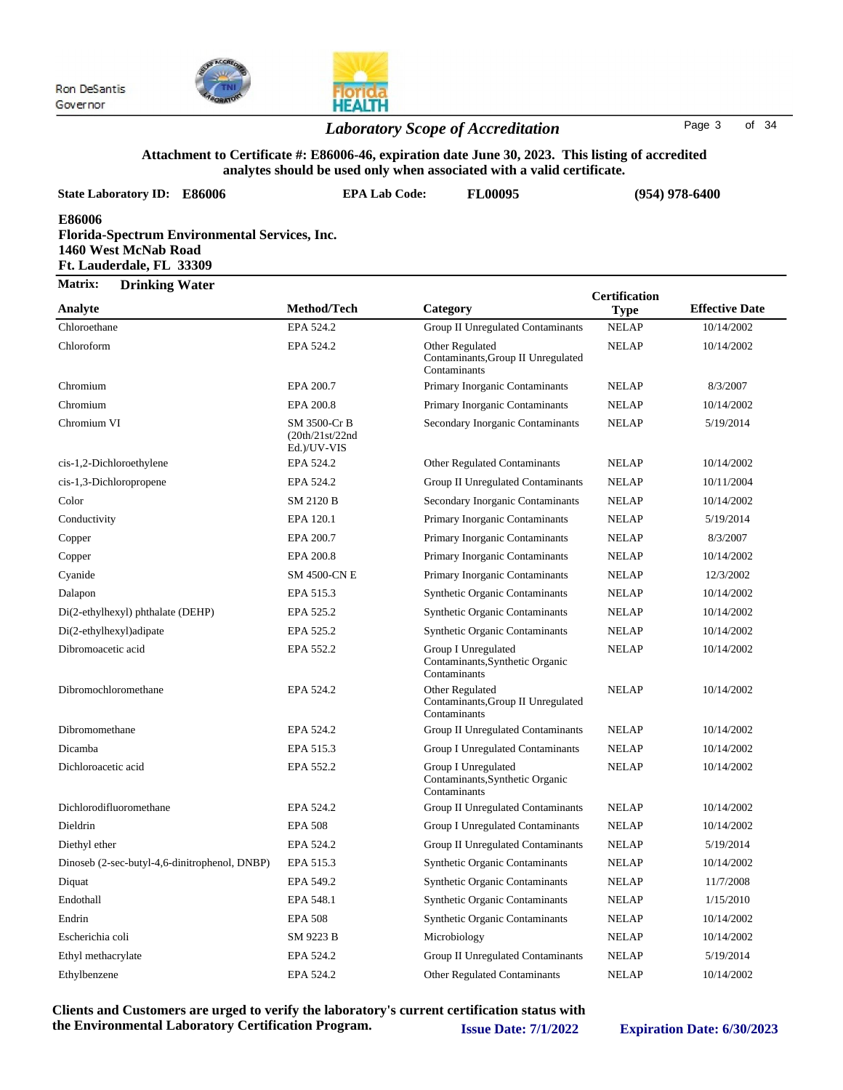

### *Laboratory Scope of Accreditation* Page <sup>3</sup> of <sup>34</sup>

### **Attachment to Certificate #: E86006-46, expiration date June 30, 2023. This listing of accredited**

| analytes should be used only when associated with a valid certificate.                                      |                                                |                                                                        |                                     |                       |  |  |
|-------------------------------------------------------------------------------------------------------------|------------------------------------------------|------------------------------------------------------------------------|-------------------------------------|-----------------------|--|--|
| <b>State Laboratory ID: E86006</b>                                                                          | <b>EPA Lab Code:</b>                           | <b>FL00095</b>                                                         |                                     | $(954)$ 978-6400      |  |  |
| E86006<br>Florida-Spectrum Environmental Services, Inc.<br>1460 West McNab Road<br>Ft. Lauderdale, FL 33309 |                                                |                                                                        |                                     |                       |  |  |
| Matrix:<br><b>Drinking Water</b>                                                                            |                                                |                                                                        |                                     |                       |  |  |
| Analyte                                                                                                     | Method/Tech                                    | Category                                                               | <b>Certification</b><br><b>Type</b> | <b>Effective Date</b> |  |  |
| Chloroethane                                                                                                | EPA 524.2                                      | Group II Unregulated Contaminants                                      | <b>NELAP</b>                        | 10/14/2002            |  |  |
| Chloroform                                                                                                  | EPA 524.2                                      | Other Regulated<br>Contaminants, Group II Unregulated<br>Contaminants  | <b>NELAP</b>                        | 10/14/2002            |  |  |
| Chromium                                                                                                    | EPA 200.7                                      | Primary Inorganic Contaminants                                         | <b>NELAP</b>                        | 8/3/2007              |  |  |
| Chromium                                                                                                    | EPA 200.8                                      | Primary Inorganic Contaminants                                         | <b>NELAP</b>                        | 10/14/2002            |  |  |
| Chromium VI                                                                                                 | SM 3500-Cr B<br>(20th/21st/22nd<br>Ed.)/UV-VIS | Secondary Inorganic Contaminants                                       | <b>NELAP</b>                        | 5/19/2014             |  |  |
| cis-1,2-Dichloroethylene                                                                                    | EPA 524.2                                      | Other Regulated Contaminants                                           | <b>NELAP</b>                        | 10/14/2002            |  |  |
| cis-1,3-Dichloropropene                                                                                     | EPA 524.2                                      | <b>Group II Unregulated Contaminants</b>                               | <b>NELAP</b>                        | 10/11/2004            |  |  |
| Color                                                                                                       | SM 2120 B                                      | Secondary Inorganic Contaminants                                       | <b>NELAP</b>                        | 10/14/2002            |  |  |
| Conductivity                                                                                                | EPA 120.1                                      | Primary Inorganic Contaminants                                         | <b>NELAP</b>                        | 5/19/2014             |  |  |
| Copper                                                                                                      | EPA 200.7                                      | Primary Inorganic Contaminants                                         | <b>NELAP</b>                        | 8/3/2007              |  |  |
| Copper                                                                                                      | EPA 200.8                                      | Primary Inorganic Contaminants                                         | <b>NELAP</b>                        | 10/14/2002            |  |  |
| Cyanide                                                                                                     | <b>SM 4500-CN E</b>                            | Primary Inorganic Contaminants                                         | <b>NELAP</b>                        | 12/3/2002             |  |  |
| Dalapon                                                                                                     | EPA 515.3                                      | <b>Synthetic Organic Contaminants</b>                                  | <b>NELAP</b>                        | 10/14/2002            |  |  |
| Di(2-ethylhexyl) phthalate (DEHP)                                                                           | EPA 525.2                                      | Synthetic Organic Contaminants                                         | <b>NELAP</b>                        | 10/14/2002            |  |  |
| Di(2-ethylhexyl) adipate                                                                                    | EPA 525.2                                      | Synthetic Organic Contaminants                                         | <b>NELAP</b>                        | 10/14/2002            |  |  |
| Dibromoacetic acid                                                                                          | EPA 552.2                                      | Group I Unregulated<br>Contaminants, Synthetic Organic<br>Contaminants | <b>NELAP</b>                        | 10/14/2002            |  |  |
| Dibromochloromethane                                                                                        | EPA 524.2                                      | Other Regulated<br>Contaminants, Group II Unregulated<br>Contaminants  | <b>NELAP</b>                        | 10/14/2002            |  |  |
| Dibromomethane                                                                                              | EPA 524.2                                      | <b>Group II Unregulated Contaminants</b>                               | <b>NELAP</b>                        | 10/14/2002            |  |  |
| Dicamba                                                                                                     | EPA 515.3                                      | Group I Unregulated Contaminants                                       | <b>NELAP</b>                        | 10/14/2002            |  |  |
| Dichloroacetic acid                                                                                         | EPA 552.2                                      | Group I Unregulated<br>Contaminants, Synthetic Organic<br>Contaminants | <b>NELAP</b>                        | 10/14/2002            |  |  |
| Dichlorodifluoromethane                                                                                     | EPA 524.2                                      | Group II Unregulated Contaminants                                      | <b>NELAP</b>                        | 10/14/2002            |  |  |
| Dieldrin                                                                                                    | <b>EPA 508</b>                                 | Group I Unregulated Contaminants                                       | <b>NELAP</b>                        | 10/14/2002            |  |  |
| Diethyl ether                                                                                               | EPA 524.2                                      | <b>Group II Unregulated Contaminants</b>                               | <b>NELAP</b>                        | 5/19/2014             |  |  |
| Dinoseb (2-sec-butyl-4,6-dinitrophenol, DNBP)                                                               | EPA 515.3                                      | Synthetic Organic Contaminants                                         | <b>NELAP</b>                        | 10/14/2002            |  |  |
| Diquat                                                                                                      | EPA 549.2                                      | <b>Synthetic Organic Contaminants</b>                                  | <b>NELAP</b>                        | 11/7/2008             |  |  |
| Endothall                                                                                                   | EPA 548.1                                      | <b>Synthetic Organic Contaminants</b>                                  | <b>NELAP</b>                        | 1/15/2010             |  |  |
| Endrin                                                                                                      | <b>EPA 508</b>                                 | Synthetic Organic Contaminants                                         | <b>NELAP</b>                        | 10/14/2002            |  |  |
| Escherichia coli                                                                                            | SM 9223 B                                      | Microbiology                                                           | <b>NELAP</b>                        | 10/14/2002            |  |  |
| Ethyl methacrylate                                                                                          | EPA 524.2                                      | Group II Unregulated Contaminants                                      | <b>NELAP</b>                        | 5/19/2014             |  |  |

**Clients and Customers are urged to verify the laboratory's current certification status with the Environmental Laboratory Certification Program. Issue Date: 7/1/2022 Expiration Date: 6/30/2023**

Ethylbenzene EPA 524.2 Other Regulated Contaminants NELAP 10/14/2002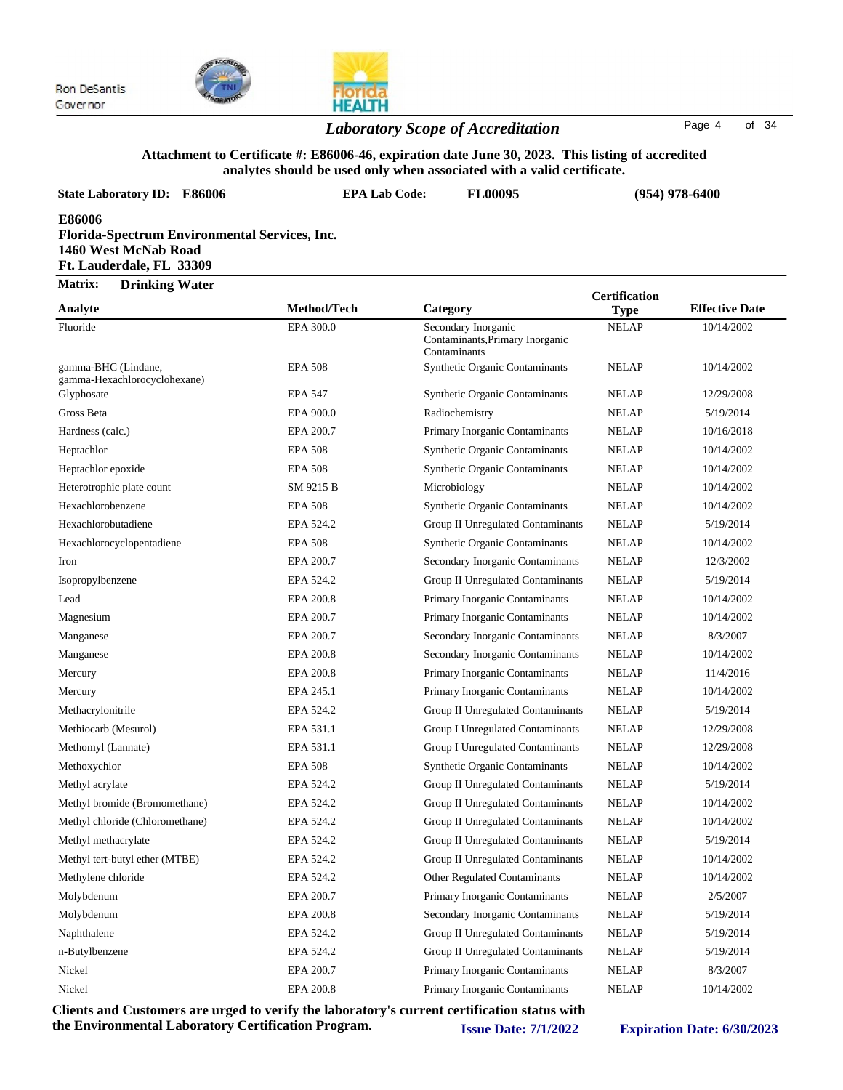

### *Laboratory Scope of Accreditation* Page <sup>4</sup> of <sup>34</sup>

#### **Attachment to Certificate #: E86006-46, expiration date June 30, 2023. This listing of accredited analytes should be used only when associated with a valid certificate.**

| <b>State Laboratory ID:</b>                                | E86006                                               | <b>EPA Lab Code:</b> | <b>FL00095</b> | $(954)$ 978-6400 |
|------------------------------------------------------------|------------------------------------------------------|----------------------|----------------|------------------|
| E86006<br>1460 West McNab Road<br>Ft. Lauderdale, FL 33309 | <b>Florida-Spectrum Environmental Services, Inc.</b> |                      |                |                  |
| <b>Matrix:</b><br><b>Drinking Water</b>                    |                                                      |                      |                | Certification    |

| Analyte                                             | Method/Tech    | Category                                                               | <b>Type</b>  | <b>Effective Date</b> |
|-----------------------------------------------------|----------------|------------------------------------------------------------------------|--------------|-----------------------|
| Fluoride                                            | EPA 300.0      | Secondary Inorganic<br>Contaminants, Primary Inorganic<br>Contaminants | <b>NELAP</b> | 10/14/2002            |
| gamma-BHC (Lindane,<br>gamma-Hexachlorocyclohexane) | <b>EPA 508</b> | <b>Synthetic Organic Contaminants</b>                                  | <b>NELAP</b> | 10/14/2002            |
| Glyphosate                                          | <b>EPA 547</b> | <b>Synthetic Organic Contaminants</b>                                  | <b>NELAP</b> | 12/29/2008            |
| Gross Beta                                          | EPA 900.0      | Radiochemistry                                                         | <b>NELAP</b> | 5/19/2014             |
| Hardness (calc.)                                    | EPA 200.7      | Primary Inorganic Contaminants                                         | <b>NELAP</b> | 10/16/2018            |
| Heptachlor                                          | <b>EPA 508</b> | Synthetic Organic Contaminants                                         | <b>NELAP</b> | 10/14/2002            |
| Heptachlor epoxide                                  | <b>EPA 508</b> | <b>Synthetic Organic Contaminants</b>                                  | <b>NELAP</b> | 10/14/2002            |
| Heterotrophic plate count                           | SM 9215 B      | Microbiology                                                           | <b>NELAP</b> | 10/14/2002            |
| Hexachlorobenzene                                   | <b>EPA 508</b> | <b>Synthetic Organic Contaminants</b>                                  | <b>NELAP</b> | 10/14/2002            |
| Hexachlorobutadiene                                 | EPA 524.2      | Group II Unregulated Contaminants                                      | <b>NELAP</b> | 5/19/2014             |
| Hexachlorocyclopentadiene                           | <b>EPA 508</b> | <b>Synthetic Organic Contaminants</b>                                  | <b>NELAP</b> | 10/14/2002            |
| Iron                                                | EPA 200.7      | Secondary Inorganic Contaminants                                       | <b>NELAP</b> | 12/3/2002             |
| Isopropylbenzene                                    | EPA 524.2      | Group II Unregulated Contaminants                                      | <b>NELAP</b> | 5/19/2014             |
| Lead                                                | EPA 200.8      | Primary Inorganic Contaminants                                         | <b>NELAP</b> | 10/14/2002            |
| Magnesium                                           | EPA 200.7      | Primary Inorganic Contaminants                                         | <b>NELAP</b> | 10/14/2002            |
| Manganese                                           | EPA 200.7      | Secondary Inorganic Contaminants                                       | <b>NELAP</b> | 8/3/2007              |
| Manganese                                           | EPA 200.8      | Secondary Inorganic Contaminants                                       | <b>NELAP</b> | 10/14/2002            |
| Mercury                                             | EPA 200.8      | Primary Inorganic Contaminants                                         | <b>NELAP</b> | 11/4/2016             |
| Mercury                                             | EPA 245.1      | Primary Inorganic Contaminants                                         | <b>NELAP</b> | 10/14/2002            |
| Methacrylonitrile                                   | EPA 524.2      | Group II Unregulated Contaminants                                      | <b>NELAP</b> | 5/19/2014             |
| Methiocarb (Mesurol)                                | EPA 531.1      | Group I Unregulated Contaminants                                       | <b>NELAP</b> | 12/29/2008            |
| Methomyl (Lannate)                                  | EPA 531.1      | Group I Unregulated Contaminants                                       | <b>NELAP</b> | 12/29/2008            |
| Methoxychlor                                        | <b>EPA 508</b> | Synthetic Organic Contaminants                                         | <b>NELAP</b> | 10/14/2002            |
| Methyl acrylate                                     | EPA 524.2      | Group II Unregulated Contaminants                                      | <b>NELAP</b> | 5/19/2014             |
| Methyl bromide (Bromomethane)                       | EPA 524.2      | Group II Unregulated Contaminants                                      | <b>NELAP</b> | 10/14/2002            |
| Methyl chloride (Chloromethane)                     | EPA 524.2      | Group II Unregulated Contaminants                                      | <b>NELAP</b> | 10/14/2002            |
| Methyl methacrylate                                 | EPA 524.2      | Group II Unregulated Contaminants                                      | <b>NELAP</b> | 5/19/2014             |
| Methyl tert-butyl ether (MTBE)                      | EPA 524.2      | Group II Unregulated Contaminants                                      | <b>NELAP</b> | 10/14/2002            |
| Methylene chloride                                  | EPA 524.2      | <b>Other Regulated Contaminants</b>                                    | <b>NELAP</b> | 10/14/2002            |
| Molybdenum                                          | EPA 200.7      | Primary Inorganic Contaminants                                         | <b>NELAP</b> | 2/5/2007              |
| Molybdenum                                          | EPA 200.8      | Secondary Inorganic Contaminants                                       | <b>NELAP</b> | 5/19/2014             |
| Naphthalene                                         | EPA 524.2      | Group II Unregulated Contaminants                                      | <b>NELAP</b> | 5/19/2014             |
| n-Butylbenzene                                      | EPA 524.2      | Group II Unregulated Contaminants                                      | <b>NELAP</b> | 5/19/2014             |
| Nickel                                              | EPA 200.7      | Primary Inorganic Contaminants                                         | <b>NELAP</b> | 8/3/2007              |
| Nickel                                              | EPA 200.8      | Primary Inorganic Contaminants                                         | <b>NELAP</b> | 10/14/2002            |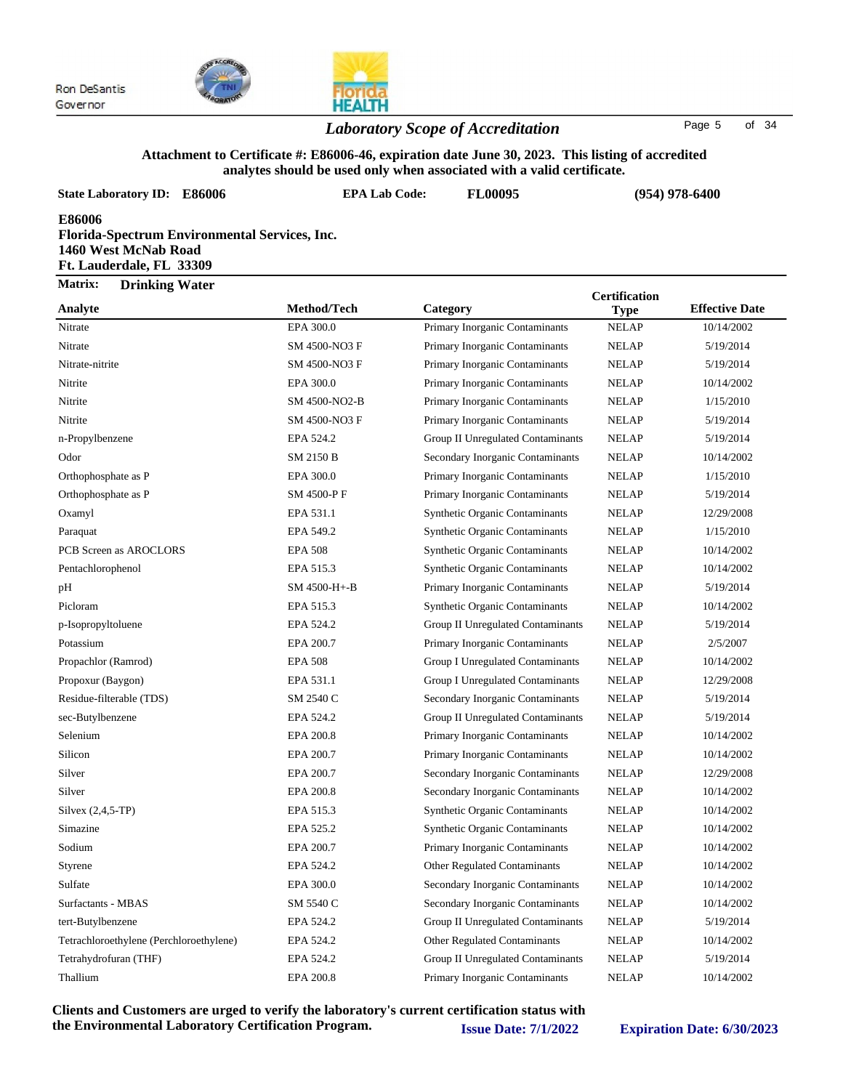

#### *Laboratory Scope of Accreditation* Page <sup>5</sup> of <sup>34</sup>

#### **Attachment to Certificate #: E86006-46, expiration date June 30, 2023. This listing of accredited analytes should be used only when associated with a valid certificate.**

| <b>State Laboratory ID: E86006</b>                                                                          | <b>EPA Lab Code:</b> | <b>FL00095</b>                        |                                     | $(954)$ 978-6400      |
|-------------------------------------------------------------------------------------------------------------|----------------------|---------------------------------------|-------------------------------------|-----------------------|
| E86006<br>Florida-Spectrum Environmental Services, Inc.<br>1460 West McNab Road<br>Ft. Lauderdale, FL 33309 |                      |                                       |                                     |                       |
| Matrix:<br><b>Drinking Water</b>                                                                            |                      |                                       |                                     |                       |
| Analyte                                                                                                     | Method/Tech          | Category                              | <b>Certification</b><br><b>Type</b> | <b>Effective Date</b> |
| Nitrate                                                                                                     | EPA 300.0            | Primary Inorganic Contaminants        | <b>NELAP</b>                        | 10/14/2002            |
| Nitrate                                                                                                     | SM 4500-NO3 F        | Primary Inorganic Contaminants        | <b>NELAP</b>                        | 5/19/2014             |
| Nitrate-nitrite                                                                                             | SM 4500-NO3 F        | Primary Inorganic Contaminants        | <b>NELAP</b>                        | 5/19/2014             |
| Nitrite                                                                                                     | EPA 300.0            | Primary Inorganic Contaminants        | <b>NELAP</b>                        | 10/14/2002            |
| Nitrite                                                                                                     | SM 4500-NO2-B        | Primary Inorganic Contaminants        | <b>NELAP</b>                        | 1/15/2010             |
| Nitrite                                                                                                     | SM 4500-NO3 F        | Primary Inorganic Contaminants        | <b>NELAP</b>                        | 5/19/2014             |
| n-Propylbenzene                                                                                             | EPA 524.2            | Group II Unregulated Contaminants     | <b>NELAP</b>                        | 5/19/2014             |
| Odor                                                                                                        | SM 2150 B            | Secondary Inorganic Contaminants      | <b>NELAP</b>                        | 10/14/2002            |
| Orthophosphate as P                                                                                         | EPA 300.0            | Primary Inorganic Contaminants        | <b>NELAP</b>                        | 1/15/2010             |
| Orthophosphate as P                                                                                         | SM 4500-PF           | Primary Inorganic Contaminants        | <b>NELAP</b>                        | 5/19/2014             |
| Oxamyl                                                                                                      | EPA 531.1            | <b>Synthetic Organic Contaminants</b> | <b>NELAP</b>                        | 12/29/2008            |
| Paraquat                                                                                                    | EPA 549.2            | <b>Synthetic Organic Contaminants</b> | <b>NELAP</b>                        | 1/15/2010             |
| PCB Screen as AROCLORS                                                                                      | <b>EPA 508</b>       | <b>Synthetic Organic Contaminants</b> | <b>NELAP</b>                        | 10/14/2002            |
| Pentachlorophenol                                                                                           | EPA 515.3            | <b>Synthetic Organic Contaminants</b> | <b>NELAP</b>                        | 10/14/2002            |
| pH                                                                                                          | SM 4500-H+-B         | Primary Inorganic Contaminants        | <b>NELAP</b>                        | 5/19/2014             |
| Picloram                                                                                                    | EPA 515.3            | <b>Synthetic Organic Contaminants</b> | <b>NELAP</b>                        | 10/14/2002            |
| p-Isopropyltoluene                                                                                          | EPA 524.2            | Group II Unregulated Contaminants     | <b>NELAP</b>                        | 5/19/2014             |

Potassium EPA 200.7 Primary Inorganic Contaminants NELAP 2/5/2007 Propachlor (Ramrod) **EPA 508** Group I Unregulated Contaminants NELAP 10/14/2002 Propoxur (Baygon) EPA 531.1 Group I Unregulated Contaminants NELAP 12/29/2008 Residue-filterable (TDS) SM 2540 C Secondary Inorganic Contaminants NELAP 5/19/2014 sec-Butylbenzene EPA 524.2 Group II Unregulated Contaminants NELAP 5/19/2014 Selenium EPA 200.8 Primary Inorganic Contaminants NELAP 10/14/2002 Silicon EPA 200.7 Primary Inorganic Contaminants NELAP 10/14/2002 Silver EPA 200.7 Secondary Inorganic Contaminants NELAP 12/29/2008 Silver EPA 200.8 Secondary Inorganic Contaminants NELAP 10/14/2002 Silvex (2,4,5-TP) EPA 515.3 Synthetic Organic Contaminants NELAP 10/14/2002 Simazine EPA 525.2 Synthetic Organic Contaminants NELAP 10/14/2002 Sodium **EPA 200.7** Primary Inorganic Contaminants NELAP 10/14/2002 Styrene EPA 524.2 Other Regulated Contaminants NELAP 10/14/2002

| Clients and Customers are urged to verify the laboratory's current certification status with<br>the Environmental Laboratory Certification Program. |           | <b>Issue Date: 7/1/2022</b>         |              | <b>Expiration Date: 6/30/2023</b> |
|-----------------------------------------------------------------------------------------------------------------------------------------------------|-----------|-------------------------------------|--------------|-----------------------------------|
| Thallium                                                                                                                                            | EPA 200.8 | Primary Inorganic Contaminants      | <b>NELAP</b> | 10/14/2002                        |
| Tetrahydrofuran (THF)                                                                                                                               | EPA 524.2 | Group II Unregulated Contaminants   | <b>NELAP</b> | 5/19/2014                         |
| Tetrachloroethylene (Perchloroethylene)                                                                                                             | EPA 524.2 | <b>Other Regulated Contaminants</b> | <b>NELAP</b> | 10/14/2002                        |
| tert-Butylbenzene                                                                                                                                   | EPA 524.2 | Group II Unregulated Contaminants   | <b>NELAP</b> | 5/19/2014                         |
| Surfactants - MBAS                                                                                                                                  | SM 5540 C | Secondary Inorganic Contaminants    | <b>NELAP</b> | 10/14/2002                        |
| Sulfate                                                                                                                                             | EPA 300.0 | Secondary Inorganic Contaminants    | <b>NELAP</b> | 10/14/2002                        |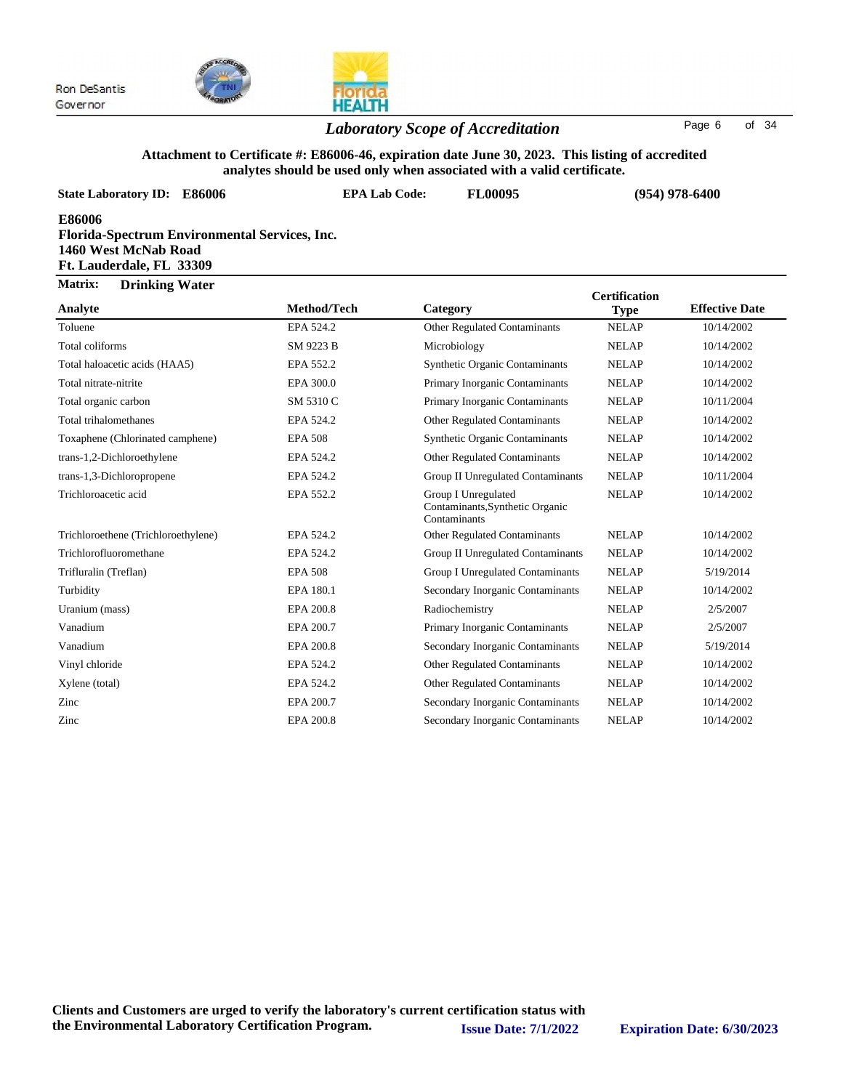

### *Laboratory Scope of Accreditation* Page <sup>6</sup> of <sup>34</sup>

#### **Attachment to Certificate #: E86006-46, expiration date June 30, 2023. This listing of accredited analytes should be used only when associated with a valid certificate.**

| analytes should be used only when associated with a valid certificate.                                             |                      |                                                                        |                      |                       |  |
|--------------------------------------------------------------------------------------------------------------------|----------------------|------------------------------------------------------------------------|----------------------|-----------------------|--|
| <b>State Laboratory ID: E86006</b>                                                                                 | <b>EPA Lab Code:</b> | FL00095                                                                |                      | $(954)$ 978-6400      |  |
| E86006<br><b>Florida-Spectrum Environmental Services, Inc.</b><br>1460 West McNab Road<br>Ft. Lauderdale, FL 33309 |                      |                                                                        |                      |                       |  |
| Matrix:<br><b>Drinking Water</b>                                                                                   |                      |                                                                        | <b>Certification</b> |                       |  |
| Analyte                                                                                                            | Method/Tech          | Category                                                               | <b>Type</b>          | <b>Effective Date</b> |  |
| Toluene                                                                                                            | EPA 524.2            | Other Regulated Contaminants                                           | <b>NELAP</b>         | 10/14/2002            |  |
| Total coliforms                                                                                                    | SM 9223 B            | Microbiology                                                           | <b>NELAP</b>         | 10/14/2002            |  |
| Total haloacetic acids (HAA5)                                                                                      | EPA 552.2            | <b>Synthetic Organic Contaminants</b>                                  | <b>NELAP</b>         | 10/14/2002            |  |
| Total nitrate-nitrite                                                                                              | EPA 300.0            | Primary Inorganic Contaminants                                         | <b>NELAP</b>         | 10/14/2002            |  |
| Total organic carbon                                                                                               | SM 5310 C            | Primary Inorganic Contaminants                                         | <b>NELAP</b>         | 10/11/2004            |  |
| Total trihalomethanes                                                                                              | EPA 524.2            | <b>Other Regulated Contaminants</b>                                    | <b>NELAP</b>         | 10/14/2002            |  |
| Toxaphene (Chlorinated camphene)                                                                                   | <b>EPA 508</b>       | <b>Synthetic Organic Contaminants</b>                                  | <b>NELAP</b>         | 10/14/2002            |  |
| trans-1,2-Dichloroethylene                                                                                         | EPA 524.2            | Other Regulated Contaminants                                           | <b>NELAP</b>         | 10/14/2002            |  |
| trans-1,3-Dichloropropene                                                                                          | EPA 524.2            | Group II Unregulated Contaminants                                      | <b>NELAP</b>         | 10/11/2004            |  |
| Trichloroacetic acid                                                                                               | EPA 552.2            | Group I Unregulated<br>Contaminants, Synthetic Organic<br>Contaminants | <b>NELAP</b>         | 10/14/2002            |  |
| Trichloroethene (Trichloroethylene)                                                                                | EPA 524.2            | Other Regulated Contaminants                                           | <b>NELAP</b>         | 10/14/2002            |  |
| Trichlorofluoromethane                                                                                             | EPA 524.2            | Group II Unregulated Contaminants                                      | <b>NELAP</b>         | 10/14/2002            |  |
| Trifluralin (Treflan)                                                                                              | <b>EPA 508</b>       | <b>Group I Unregulated Contaminants</b>                                | <b>NELAP</b>         | 5/19/2014             |  |
| Turbidity                                                                                                          | EPA 180.1            | Secondary Inorganic Contaminants                                       | <b>NELAP</b>         | 10/14/2002            |  |
| Uranium (mass)                                                                                                     | EPA 200.8            | Radiochemistry                                                         | <b>NELAP</b>         | 2/5/2007              |  |
| Vanadium                                                                                                           | EPA 200.7            | Primary Inorganic Contaminants                                         | <b>NELAP</b>         | 2/5/2007              |  |
| Vanadium                                                                                                           | EPA 200.8            | Secondary Inorganic Contaminants                                       | <b>NELAP</b>         | 5/19/2014             |  |
| Vinyl chloride                                                                                                     | EPA 524.2            | <b>Other Regulated Contaminants</b>                                    | <b>NELAP</b>         | 10/14/2002            |  |
| Xylene (total)                                                                                                     | EPA 524.2            | <b>Other Regulated Contaminants</b>                                    | <b>NELAP</b>         | 10/14/2002            |  |
| Zinc                                                                                                               | EPA 200.7            | Secondary Inorganic Contaminants                                       | <b>NELAP</b>         | 10/14/2002            |  |
| Zinc                                                                                                               | EPA 200.8            | Secondary Inorganic Contaminants                                       | <b>NELAP</b>         | 10/14/2002            |  |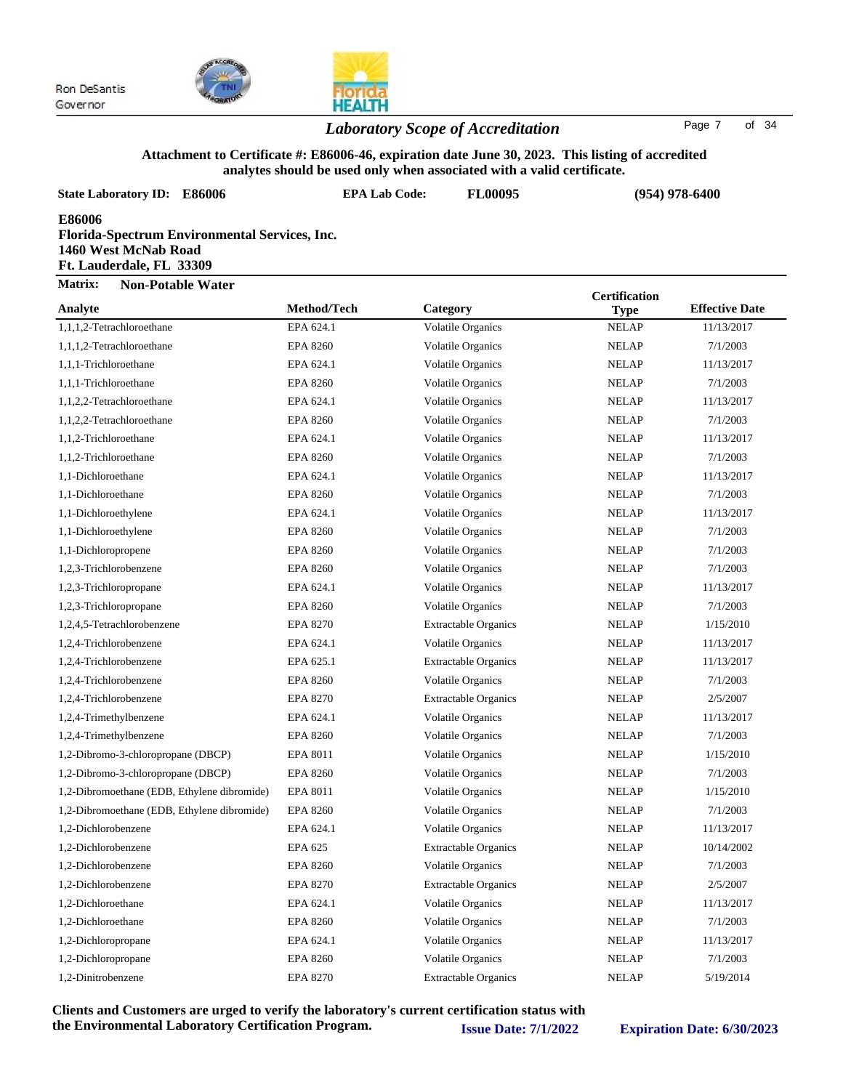



#### *Laboratory Scope of Accreditation* Page <sup>7</sup> of <sup>34</sup>

### **Attachment to Certificate #: E86006-46, expiration date June 30, 2023. This listing of accredited**

| analytes should be used only when associated with a valid certificate.                                             |                      |                             |                      |                       |  |
|--------------------------------------------------------------------------------------------------------------------|----------------------|-----------------------------|----------------------|-----------------------|--|
| <b>State Laboratory ID: E86006</b>                                                                                 | <b>EPA Lab Code:</b> | FL00095                     |                      | $(954)$ 978-6400      |  |
| <b>E86006</b><br>Florida-Spectrum Environmental Services, Inc.<br>1460 West McNab Road<br>Ft. Lauderdale, FL 33309 |                      |                             |                      |                       |  |
| Matrix:<br><b>Non-Potable Water</b>                                                                                |                      |                             | <b>Certification</b> |                       |  |
| Analyte                                                                                                            | Method/Tech          | Category                    | <b>Type</b>          | <b>Effective Date</b> |  |
| 1,1,1,2-Tetrachloroethane                                                                                          | EPA 624.1            | Volatile Organics           | <b>NELAP</b>         | 11/13/2017            |  |
| 1,1,1,2-Tetrachloroethane                                                                                          | <b>EPA 8260</b>      | <b>Volatile Organics</b>    | <b>NELAP</b>         | 7/1/2003              |  |
| 1,1,1-Trichloroethane                                                                                              | EPA 624.1            | <b>Volatile Organics</b>    | <b>NELAP</b>         | 11/13/2017            |  |
| 1,1,1-Trichloroethane                                                                                              | <b>EPA 8260</b>      | <b>Volatile Organics</b>    | <b>NELAP</b>         | 7/1/2003              |  |
| 1,1,2,2-Tetrachloroethane                                                                                          | EPA 624.1            | <b>Volatile Organics</b>    | <b>NELAP</b>         | 11/13/2017            |  |
| 1,1,2,2-Tetrachloroethane                                                                                          | <b>EPA 8260</b>      | <b>Volatile Organics</b>    | <b>NELAP</b>         | 7/1/2003              |  |
| 1,1,2-Trichloroethane                                                                                              | EPA 624.1            | <b>Volatile Organics</b>    | <b>NELAP</b>         | 11/13/2017            |  |
| 1,1,2-Trichloroethane                                                                                              | <b>EPA 8260</b>      | <b>Volatile Organics</b>    | <b>NELAP</b>         | 7/1/2003              |  |
| 1,1-Dichloroethane                                                                                                 | EPA 624.1            | <b>Volatile Organics</b>    | <b>NELAP</b>         | 11/13/2017            |  |
| 1,1-Dichloroethane                                                                                                 | <b>EPA 8260</b>      | <b>Volatile Organics</b>    | <b>NELAP</b>         | 7/1/2003              |  |
| 1,1-Dichloroethylene                                                                                               | EPA 624.1            | <b>Volatile Organics</b>    | <b>NELAP</b>         | 11/13/2017            |  |
| 1,1-Dichloroethylene                                                                                               | <b>EPA 8260</b>      | <b>Volatile Organics</b>    | <b>NELAP</b>         | 7/1/2003              |  |
| 1,1-Dichloropropene                                                                                                | <b>EPA 8260</b>      | <b>Volatile Organics</b>    | <b>NELAP</b>         | 7/1/2003              |  |
| 1,2,3-Trichlorobenzene                                                                                             | <b>EPA 8260</b>      | <b>Volatile Organics</b>    | <b>NELAP</b>         | 7/1/2003              |  |
| 1,2,3-Trichloropropane                                                                                             | EPA 624.1            | <b>Volatile Organics</b>    | <b>NELAP</b>         | 11/13/2017            |  |
| 1,2,3-Trichloropropane                                                                                             | <b>EPA 8260</b>      | <b>Volatile Organics</b>    | <b>NELAP</b>         | 7/1/2003              |  |
| 1,2,4,5-Tetrachlorobenzene                                                                                         | <b>EPA 8270</b>      | <b>Extractable Organics</b> | <b>NELAP</b>         | 1/15/2010             |  |
| 1,2,4-Trichlorobenzene                                                                                             | EPA 624.1            | <b>Volatile Organics</b>    | <b>NELAP</b>         | 11/13/2017            |  |
| 1,2,4-Trichlorobenzene                                                                                             | EPA 625.1            | <b>Extractable Organics</b> | <b>NELAP</b>         | 11/13/2017            |  |
| 1,2,4-Trichlorobenzene                                                                                             | <b>EPA 8260</b>      | <b>Volatile Organics</b>    | <b>NELAP</b>         | 7/1/2003              |  |
| 1,2,4-Trichlorobenzene                                                                                             | EPA 8270             | <b>Extractable Organics</b> | <b>NELAP</b>         | 2/5/2007              |  |
| 1,2,4-Trimethylbenzene                                                                                             | EPA 624.1            | <b>Volatile Organics</b>    | <b>NELAP</b>         | 11/13/2017            |  |
| 1,2,4-Trimethylbenzene                                                                                             | <b>EPA 8260</b>      | Volatile Organics           | <b>NELAP</b>         | 7/1/2003              |  |
| 1,2-Dibromo-3-chloropropane (DBCP)                                                                                 | EPA 8011             | <b>Volatile Organics</b>    | <b>NELAP</b>         | 1/15/2010             |  |
| 1,2-Dibromo-3-chloropropane (DBCP)                                                                                 | <b>EPA 8260</b>      | <b>Volatile Organics</b>    | <b>NELAP</b>         | 7/1/2003              |  |
| 1,2-Dibromoethane (EDB, Ethylene dibromide)                                                                        | EPA 8011             | Volatile Organics           | <b>NELAP</b>         | 1/15/2010             |  |
| 1,2-Dibromoethane (EDB, Ethylene dibromide)                                                                        | <b>EPA 8260</b>      | Volatile Organics           | <b>NELAP</b>         | 7/1/2003              |  |
| 1,2-Dichlorobenzene                                                                                                | EPA 624.1            | <b>Volatile Organics</b>    | <b>NELAP</b>         | 11/13/2017            |  |
| 1,2-Dichlorobenzene                                                                                                | EPA 625              | <b>Extractable Organics</b> | <b>NELAP</b>         | 10/14/2002            |  |
| 1,2-Dichlorobenzene                                                                                                | <b>EPA 8260</b>      | Volatile Organics           | <b>NELAP</b>         | 7/1/2003              |  |
| 1,2-Dichlorobenzene                                                                                                | EPA 8270             | <b>Extractable Organics</b> | <b>NELAP</b>         | 2/5/2007              |  |

1,2-Dichloroethane EPA 624.1 Volatile Organics NELAP 11/13/2017 1,2-Dichloroethane EPA 8260 Volatile Organics NELAP 7/1/2003 1,2-Dichloropropane EPA 624.1 Volatile Organics NELAP 11/13/2017 1,2-Dichloropropane EPA 8260 Volatile Organics NELAP 7/1/2003 1,2-Dinitrobenzene EPA 8270 Extractable Organics NELAP 5/19/2014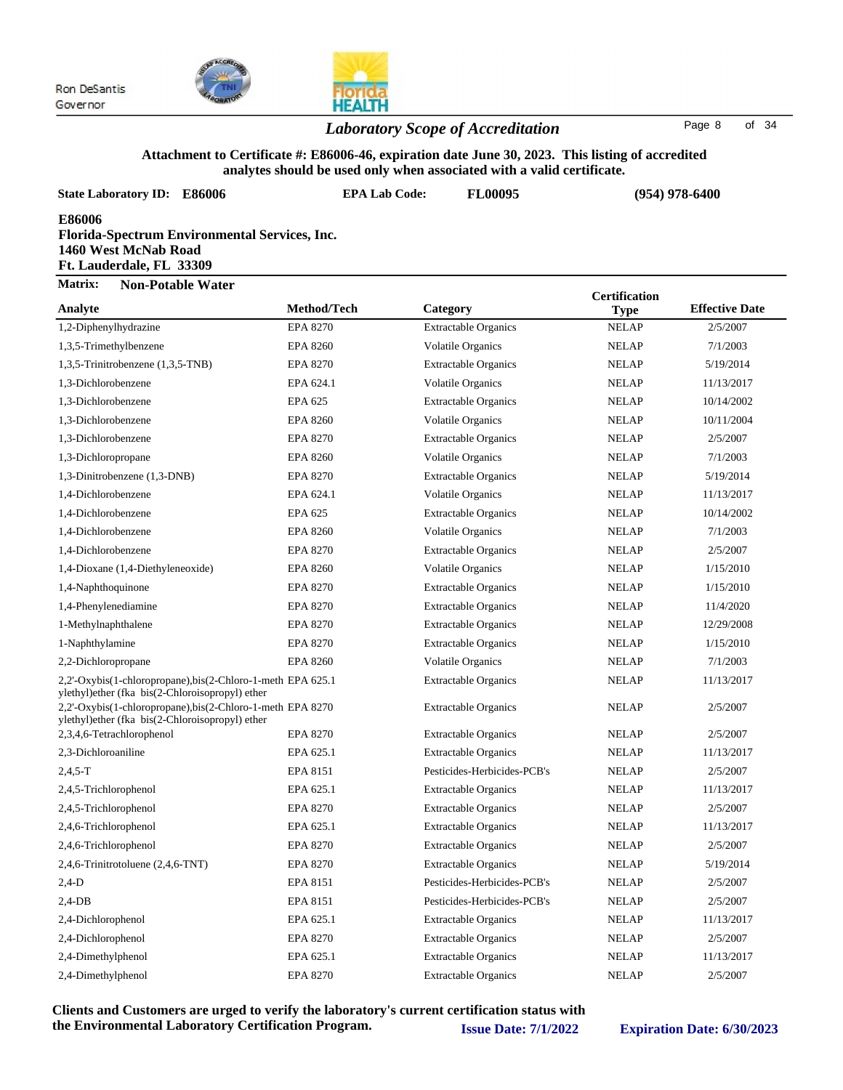



#### *Laboratory Scope of Accreditation* Page <sup>8</sup> of <sup>34</sup>

#### **Attachment to Certificate #: E86006-46, expiration date June 30, 2023. This listing of accredited analytes should be used only when associated with a valid certificate.**

| analytes should be used only when associated with a valid certificate.                                             |                      |                             |                             |                       |  |
|--------------------------------------------------------------------------------------------------------------------|----------------------|-----------------------------|-----------------------------|-----------------------|--|
| <b>State Laboratory ID: E86006</b>                                                                                 | <b>EPA Lab Code:</b> | FL00095                     | $(954)$ 978-6400            |                       |  |
| <b>E86006</b><br>Florida-Spectrum Environmental Services, Inc.<br>1460 West McNab Road<br>Ft. Lauderdale, FL 33309 |                      |                             |                             |                       |  |
| Matrix:<br><b>Non-Potable Water</b><br>Analyte                                                                     | Method/Tech          | Category                    | <b>Certification</b>        | <b>Effective Date</b> |  |
| 1,2-Diphenylhydrazine                                                                                              | <b>EPA 8270</b>      | <b>Extractable Organics</b> | <b>Type</b><br><b>NELAP</b> | 2/5/2007              |  |
| 1,3,5-Trimethylbenzene                                                                                             | <b>EPA 8260</b>      | <b>Volatile Organics</b>    | <b>NELAP</b>                | 7/1/2003              |  |
| 1,3,5-Trinitrobenzene (1,3,5-TNB)                                                                                  | EPA 8270             | <b>Extractable Organics</b> | <b>NELAP</b>                | 5/19/2014             |  |
| 1,3-Dichlorobenzene                                                                                                | EPA 624.1            | <b>Volatile Organics</b>    | <b>NELAP</b>                | 11/13/2017            |  |
| 1,3-Dichlorobenzene                                                                                                | EPA 625              | <b>Extractable Organics</b> | <b>NELAP</b>                | 10/14/2002            |  |
| 1,3-Dichlorobenzene                                                                                                | <b>EPA 8260</b>      | <b>Volatile Organics</b>    | <b>NELAP</b>                | 10/11/2004            |  |
| 1.3-Dichlorobenzene                                                                                                | <b>EPA 8270</b>      | <b>Extractable Organics</b> | <b>NELAP</b>                | 2/5/2007              |  |
| 1,3-Dichloropropane                                                                                                | <b>EPA 8260</b>      | <b>Volatile Organics</b>    | <b>NELAP</b>                | 7/1/2003              |  |
| 1,3-Dinitrobenzene (1,3-DNB)                                                                                       | <b>EPA 8270</b>      | <b>Extractable Organics</b> | <b>NELAP</b>                | 5/19/2014             |  |
| 1,4-Dichlorobenzene                                                                                                | EPA 624.1            | <b>Volatile Organics</b>    | <b>NELAP</b>                | 11/13/2017            |  |
| 1,4-Dichlorobenzene                                                                                                | EPA 625              | <b>Extractable Organics</b> | <b>NELAP</b>                | 10/14/2002            |  |
| 1,4-Dichlorobenzene                                                                                                | <b>EPA 8260</b>      | <b>Volatile Organics</b>    | <b>NELAP</b>                | 7/1/2003              |  |
| 1,4-Dichlorobenzene                                                                                                | <b>EPA 8270</b>      | <b>Extractable Organics</b> | <b>NELAP</b>                | 2/5/2007              |  |
| 1,4-Dioxane (1,4-Diethyleneoxide)                                                                                  | <b>EPA 8260</b>      | <b>Volatile Organics</b>    | <b>NELAP</b>                | 1/15/2010             |  |
| 1,4-Naphthoquinone                                                                                                 | EPA 8270             | <b>Extractable Organics</b> | <b>NELAP</b>                | 1/15/2010             |  |
| 1,4-Phenylenediamine                                                                                               | EPA 8270             | <b>Extractable Organics</b> | <b>NELAP</b>                | 11/4/2020             |  |
| 1-Methylnaphthalene                                                                                                | EPA 8270             | <b>Extractable Organics</b> | <b>NELAP</b>                | 12/29/2008            |  |
| 1-Naphthylamine                                                                                                    | <b>EPA 8270</b>      | <b>Extractable Organics</b> | <b>NELAP</b>                | 1/15/2010             |  |
| 2,2-Dichloropropane                                                                                                | <b>EPA 8260</b>      | <b>Volatile Organics</b>    | <b>NELAP</b>                | 7/1/2003              |  |
| 2,2'-Oxybis(1-chloropropane),bis(2-Chloro-1-meth EPA 625.1<br>ylethyl)ether (fka bis(2-Chloroisopropyl) ether      |                      | <b>Extractable Organics</b> | <b>NELAP</b>                | 11/13/2017            |  |
| 2,2'-Oxybis(1-chloropropane),bis(2-Chloro-1-meth EPA 8270<br>ylethyl)ether (fka bis(2-Chloroisopropyl) ether       |                      | <b>Extractable Organics</b> | <b>NELAP</b>                | 2/5/2007              |  |
| 2,3,4,6-Tetrachlorophenol                                                                                          | EPA 8270             | <b>Extractable Organics</b> | <b>NELAP</b>                | 2/5/2007              |  |
| 2,3-Dichloroaniline                                                                                                | EPA 625.1            | <b>Extractable Organics</b> | <b>NELAP</b>                | 11/13/2017            |  |
| $2,4,5-T$                                                                                                          | EPA 8151             | Pesticides-Herbicides-PCB's | <b>NELAP</b>                | 2/5/2007              |  |
| 2,4,5-Trichlorophenol                                                                                              | EPA 625.1            | <b>Extractable Organics</b> | <b>NELAP</b>                | 11/13/2017            |  |
| 2,4,5-Trichlorophenol                                                                                              | <b>EPA 8270</b>      | <b>Extractable Organics</b> | <b>NELAP</b>                | 2/5/2007              |  |
| 2,4,6-Trichlorophenol                                                                                              | EPA 625.1            | <b>Extractable Organics</b> | <b>NELAP</b>                | 11/13/2017            |  |
| 2,4,6-Trichlorophenol                                                                                              | <b>EPA 8270</b>      | <b>Extractable Organics</b> | <b>NELAP</b>                | 2/5/2007              |  |
| 2,4,6-Trinitrotoluene (2,4,6-TNT)                                                                                  | EPA 8270             | <b>Extractable Organics</b> | <b>NELAP</b>                | 5/19/2014             |  |
| $2,4-D$                                                                                                            | EPA 8151             | Pesticides-Herbicides-PCB's | <b>NELAP</b>                | 2/5/2007              |  |
| $2,4$ -DB                                                                                                          | EPA 8151             | Pesticides-Herbicides-PCB's | <b>NELAP</b>                | 2/5/2007              |  |
| 2,4-Dichlorophenol                                                                                                 | EPA 625.1            | <b>Extractable Organics</b> | <b>NELAP</b>                | 11/13/2017            |  |

2,4-Dichlorophenol EPA 8270 Extractable Organics NELAP 2/5/2007 2,4-Dimethylphenol EPA 625.1 Extractable Organics NELAP 11/13/2017 2,4-Dimethylphenol EPA 8270 Extractable Organics NELAP 2/5/2007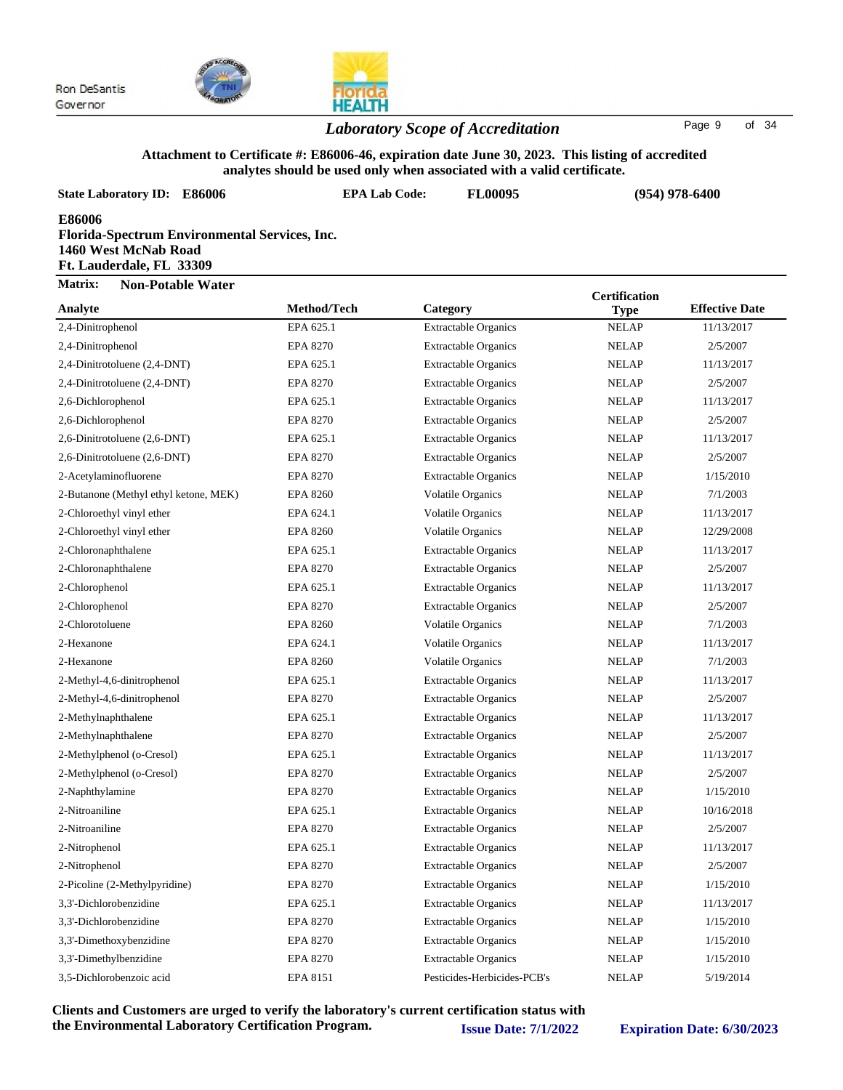



#### *Laboratory Scope of Accreditation* Page <sup>9</sup> of <sup>34</sup>

### **Attachment to Certificate #: E86006-46, expiration date June 30, 2023. This listing of accredited**

|                                                                                                             |                      | analytes should be used only when associated with a valid certificate. |                                     |                       |
|-------------------------------------------------------------------------------------------------------------|----------------------|------------------------------------------------------------------------|-------------------------------------|-----------------------|
| <b>State Laboratory ID:</b><br><b>E86006</b>                                                                | <b>EPA Lab Code:</b> | FL00095                                                                |                                     | $(954)$ 978-6400      |
| E86006<br>Florida-Spectrum Environmental Services, Inc.<br>1460 West McNab Road<br>Ft. Lauderdale, FL 33309 |                      |                                                                        |                                     |                       |
| Matrix:<br><b>Non-Potable Water</b>                                                                         |                      |                                                                        |                                     |                       |
| Analyte                                                                                                     | Method/Tech          | Category                                                               | <b>Certification</b><br><b>Type</b> | <b>Effective Date</b> |
| 2,4-Dinitrophenol                                                                                           | EPA 625.1            | <b>Extractable Organics</b>                                            | <b>NELAP</b>                        | 11/13/2017            |
| 2,4-Dinitrophenol                                                                                           | <b>EPA 8270</b>      | <b>Extractable Organics</b>                                            | <b>NELAP</b>                        | 2/5/2007              |
| 2,4-Dinitrotoluene (2,4-DNT)                                                                                | EPA 625.1            | <b>Extractable Organics</b>                                            | <b>NELAP</b>                        | 11/13/2017            |
| 2,4-Dinitrotoluene (2,4-DNT)                                                                                | <b>EPA 8270</b>      | <b>Extractable Organics</b>                                            | <b>NELAP</b>                        | 2/5/2007              |
| 2,6-Dichlorophenol                                                                                          | EPA 625.1            | <b>Extractable Organics</b>                                            | <b>NELAP</b>                        | 11/13/2017            |
| 2,6-Dichlorophenol                                                                                          | <b>EPA 8270</b>      | <b>Extractable Organics</b>                                            | <b>NELAP</b>                        | 2/5/2007              |
| 2,6-Dinitrotoluene (2,6-DNT)                                                                                | EPA 625.1            | <b>Extractable Organics</b>                                            | <b>NELAP</b>                        | 11/13/2017            |
| 2,6-Dinitrotoluene (2,6-DNT)                                                                                | EPA 8270             | <b>Extractable Organics</b>                                            | <b>NELAP</b>                        | 2/5/2007              |
| 2-Acetylaminofluorene                                                                                       | <b>EPA 8270</b>      | <b>Extractable Organics</b>                                            | <b>NELAP</b>                        | 1/15/2010             |
| 2-Butanone (Methyl ethyl ketone, MEK)                                                                       | <b>EPA 8260</b>      | <b>Volatile Organics</b>                                               | <b>NELAP</b>                        | 7/1/2003              |
| 2-Chloroethyl vinyl ether                                                                                   | EPA 624.1            | Volatile Organics                                                      | <b>NELAP</b>                        | 11/13/2017            |
| 2-Chloroethyl vinyl ether                                                                                   | <b>EPA 8260</b>      | <b>Volatile Organics</b>                                               | <b>NELAP</b>                        | 12/29/2008            |
| 2-Chloronaphthalene                                                                                         | EPA 625.1            | <b>Extractable Organics</b>                                            | <b>NELAP</b>                        | 11/13/2017            |
| 2-Chloronaphthalene                                                                                         | <b>EPA 8270</b>      | <b>Extractable Organics</b>                                            | <b>NELAP</b>                        | 2/5/2007              |
| 2-Chlorophenol                                                                                              | EPA 625.1            | <b>Extractable Organics</b>                                            | <b>NELAP</b>                        | 11/13/2017            |
| 2-Chlorophenol                                                                                              | <b>EPA 8270</b>      | <b>Extractable Organics</b>                                            | <b>NELAP</b>                        | 2/5/2007              |
| 2-Chlorotoluene                                                                                             | <b>EPA 8260</b>      | Volatile Organics                                                      | <b>NELAP</b>                        | 7/1/2003              |
| 2-Hexanone                                                                                                  | EPA 624.1            | Volatile Organics                                                      | <b>NELAP</b>                        | 11/13/2017            |
| 2-Hexanone                                                                                                  | <b>EPA 8260</b>      | <b>Volatile Organics</b>                                               | <b>NELAP</b>                        | 7/1/2003              |
| 2-Methyl-4,6-dinitrophenol                                                                                  | EPA 625.1            | <b>Extractable Organics</b>                                            | <b>NELAP</b>                        | 11/13/2017            |
| 2-Methyl-4,6-dinitrophenol                                                                                  | <b>EPA 8270</b>      | <b>Extractable Organics</b>                                            | <b>NELAP</b>                        | 2/5/2007              |
| 2-Methylnaphthalene                                                                                         | EPA 625.1            | <b>Extractable Organics</b>                                            | <b>NELAP</b>                        | 11/13/2017            |
| 2-Methylnaphthalene                                                                                         | <b>EPA 8270</b>      | <b>Extractable Organics</b>                                            | <b>NELAP</b>                        | 2/5/2007              |
| 2-Methylphenol (o-Cresol)                                                                                   | EPA 625.1            | <b>Extractable Organics</b>                                            | <b>NELAP</b>                        | 11/13/2017            |
| 2-Methylphenol (o-Cresol)                                                                                   | <b>EPA 8270</b>      | <b>Extractable Organics</b>                                            | <b>NELAP</b>                        | 2/5/2007              |
| 2-Naphthylamine                                                                                             | EPA 8270             | <b>Extractable Organics</b>                                            | <b>NELAP</b>                        | 1/15/2010             |
| 2-Nitroaniline                                                                                              | EPA 625.1            | <b>Extractable Organics</b>                                            | <b>NELAP</b>                        | 10/16/2018            |
| 2-Nitroaniline                                                                                              | EPA 8270             | <b>Extractable Organics</b>                                            | <b>NELAP</b>                        | 2/5/2007              |
| 2-Nitrophenol                                                                                               | EPA 625.1            | <b>Extractable Organics</b>                                            | <b>NELAP</b>                        | 11/13/2017            |
| 2-Nitrophenol                                                                                               | <b>EPA 8270</b>      | <b>Extractable Organics</b>                                            | <b>NELAP</b>                        | 2/5/2007              |
| 2-Picoline (2-Methylpyridine)                                                                               | EPA 8270             | <b>Extractable Organics</b>                                            | <b>NELAP</b>                        | 1/15/2010             |

3,3'-Dichlorobenzidine EPA 625.1 Extractable Organics NELAP 11/13/2017 3,3'-Dichlorobenzidine EPA 8270 Extractable Organics NELAP 1/15/2010 3,3'-Dimethoxybenzidine EPA 8270 Extractable Organics NELAP 1/15/2010 3,3'-Dimethylbenzidine EPA 8270 Extractable Organics NELAP 1/15/2010 3,5-Dichlorobenzoic acid EPA 8151 Pesticides-Herbicides-PCB's NELAP 5/19/2014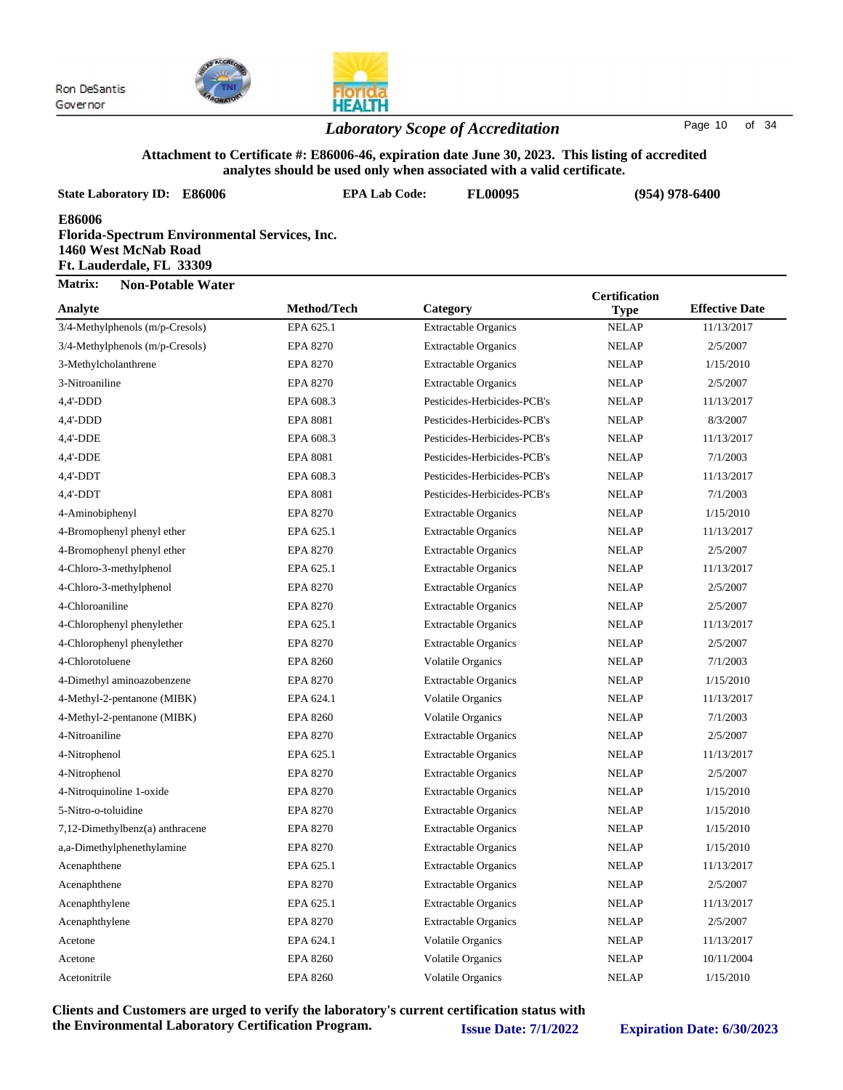

#### *Laboratory Scope of Accreditation* Page <sup>10</sup> of <sup>34</sup>

#### **Attachment to Certificate #: E86006-46, expiration date June 30, 2023. This listing of accredited analytes should be used only when associated with a valid certificate.**

|                                                            |                                               | analytes should be used only when associated with a valid certificate. |                      |                       |  |  |  |  |
|------------------------------------------------------------|-----------------------------------------------|------------------------------------------------------------------------|----------------------|-----------------------|--|--|--|--|
| <b>State Laboratory ID: E86006</b>                         | <b>EPA Lab Code:</b>                          | FL00095                                                                |                      | $(954)$ 978-6400      |  |  |  |  |
| E86006<br>1460 West McNab Road<br>Ft. Lauderdale, FL 33309 | Florida-Spectrum Environmental Services, Inc. |                                                                        |                      |                       |  |  |  |  |
| Matrix:<br><b>Non-Potable Water</b>                        |                                               |                                                                        | <b>Certification</b> |                       |  |  |  |  |
| Analyte                                                    | Method/Tech                                   | Category                                                               | <b>Type</b>          | <b>Effective Date</b> |  |  |  |  |
| 3/4-Methylphenols (m/p-Cresols)                            | EPA 625.1                                     | <b>Extractable Organics</b>                                            | <b>NELAP</b>         | 11/13/2017            |  |  |  |  |
| 3/4-Methylphenols (m/p-Cresols)                            | <b>EPA 8270</b>                               | <b>Extractable Organics</b>                                            | <b>NELAP</b>         | 2/5/2007              |  |  |  |  |
| 3-Methylcholanthrene                                       | <b>EPA 8270</b>                               | <b>Extractable Organics</b>                                            | <b>NELAP</b>         | 1/15/2010             |  |  |  |  |
| 3-Nitroaniline                                             | <b>EPA 8270</b>                               | <b>Extractable Organics</b>                                            | <b>NELAP</b>         | 2/5/2007              |  |  |  |  |
| $4,4'-DDD$                                                 | EPA 608.3                                     | Pesticides-Herbicides-PCB's                                            | <b>NELAP</b>         | 11/13/2017            |  |  |  |  |
| $4,4'-DDD$                                                 | <b>EPA 8081</b>                               | Pesticides-Herbicides-PCB's                                            | <b>NELAP</b>         | 8/3/2007              |  |  |  |  |
| 4,4'-DDE                                                   | EPA 608.3                                     | Pesticides-Herbicides-PCB's                                            | <b>NELAP</b>         | 11/13/2017            |  |  |  |  |
| 4,4'-DDE                                                   | <b>EPA 8081</b>                               | Pesticides-Herbicides-PCB's                                            | <b>NELAP</b>         | 7/1/2003              |  |  |  |  |
| $4,4'-DDT$                                                 | EPA 608.3                                     | Pesticides-Herbicides-PCB's                                            | <b>NELAP</b>         | 11/13/2017            |  |  |  |  |
| $4,4'-DDT$                                                 | <b>EPA 8081</b>                               | Pesticides-Herbicides-PCB's                                            | <b>NELAP</b>         | 7/1/2003              |  |  |  |  |
| 4-Aminobiphenyl                                            | <b>EPA 8270</b>                               | <b>Extractable Organics</b>                                            | <b>NELAP</b>         | 1/15/2010             |  |  |  |  |
| 4-Bromophenyl phenyl ether                                 | EPA 625.1                                     | Extractable Organics                                                   | <b>NELAP</b>         | 11/13/2017            |  |  |  |  |
| 4-Bromophenyl phenyl ether                                 | <b>EPA 8270</b>                               | Extractable Organics                                                   | <b>NELAP</b>         | 2/5/2007              |  |  |  |  |
| 4-Chloro-3-methylphenol                                    | EPA 625.1                                     | <b>Extractable Organics</b>                                            | <b>NELAP</b>         | 11/13/2017            |  |  |  |  |
| 4-Chloro-3-methylphenol                                    | <b>EPA 8270</b>                               | <b>Extractable Organics</b>                                            | <b>NELAP</b>         | 2/5/2007              |  |  |  |  |
| 4-Chloroaniline                                            | <b>EPA 8270</b>                               | <b>Extractable Organics</b>                                            | <b>NELAP</b>         | 2/5/2007              |  |  |  |  |
| 4-Chlorophenyl phenylether                                 | EPA 625.1                                     | <b>Extractable Organics</b>                                            | <b>NELAP</b>         | 11/13/2017            |  |  |  |  |
| 4-Chlorophenyl phenylether                                 | <b>EPA 8270</b>                               | <b>Extractable Organics</b>                                            | <b>NELAP</b>         | 2/5/2007              |  |  |  |  |
| 4-Chlorotoluene                                            | <b>EPA 8260</b>                               | Volatile Organics                                                      | <b>NELAP</b>         | 7/1/2003              |  |  |  |  |
| 4-Dimethyl aminoazobenzene                                 | <b>EPA 8270</b>                               | Extractable Organics                                                   | <b>NELAP</b>         | 1/15/2010             |  |  |  |  |
| 4-Methyl-2-pentanone (MIBK)                                | EPA 624.1                                     | Volatile Organics                                                      | <b>NELAP</b>         | 11/13/2017            |  |  |  |  |
| 4-Methyl-2-pentanone (MIBK)                                | <b>EPA 8260</b>                               | <b>Volatile Organics</b>                                               | <b>NELAP</b>         | 7/1/2003              |  |  |  |  |
| 4-Nitroaniline                                             | <b>EPA 8270</b>                               | <b>Extractable Organics</b>                                            | <b>NELAP</b>         | 2/5/2007              |  |  |  |  |
| 4-Nitrophenol                                              | EPA 625.1                                     | <b>Extractable Organics</b>                                            | <b>NELAP</b>         | 11/13/2017            |  |  |  |  |
| 4-Nitrophenol                                              | EPA 8270                                      | <b>Extractable Organics</b>                                            | <b>NELAP</b>         | 2/5/2007              |  |  |  |  |
| 4-Nitroquinoline 1-oxide                                   | <b>EPA 8270</b>                               | <b>Extractable Organics</b>                                            | <b>NELAP</b>         | 1/15/2010             |  |  |  |  |
| 5-Nitro-o-toluidine                                        | <b>EPA 8270</b>                               | <b>Extractable Organics</b>                                            | <b>NELAP</b>         | 1/15/2010             |  |  |  |  |
| 7,12-Dimethylbenz(a) anthracene                            | <b>EPA 8270</b>                               | <b>Extractable Organics</b>                                            | <b>NELAP</b>         | 1/15/2010             |  |  |  |  |

a,a-Dimethylphenethylamine EPA 8270 Extractable Organics NELAP 1/15/2010 Acenaphthene **EPA 625.1** Extractable Organics NELAP 11/13/2017 Acenaphthene **EPA 8270** Extractable Organics NELAP 2/5/2007 Acenaphthylene **EPA 625.1** Extractable Organics NELAP 11/13/2017 Acenaphthylene **EPA 8270** Extractable Organics NELAP 2/5/2007 Acetone EPA 624.1 Volatile Organics NELAP 11/13/2017 Acetone EPA 8260 Volatile Organics NELAP 10/11/2004 Acetonitrile **EPA 8260** Volatile Organics NELAP 1/15/2010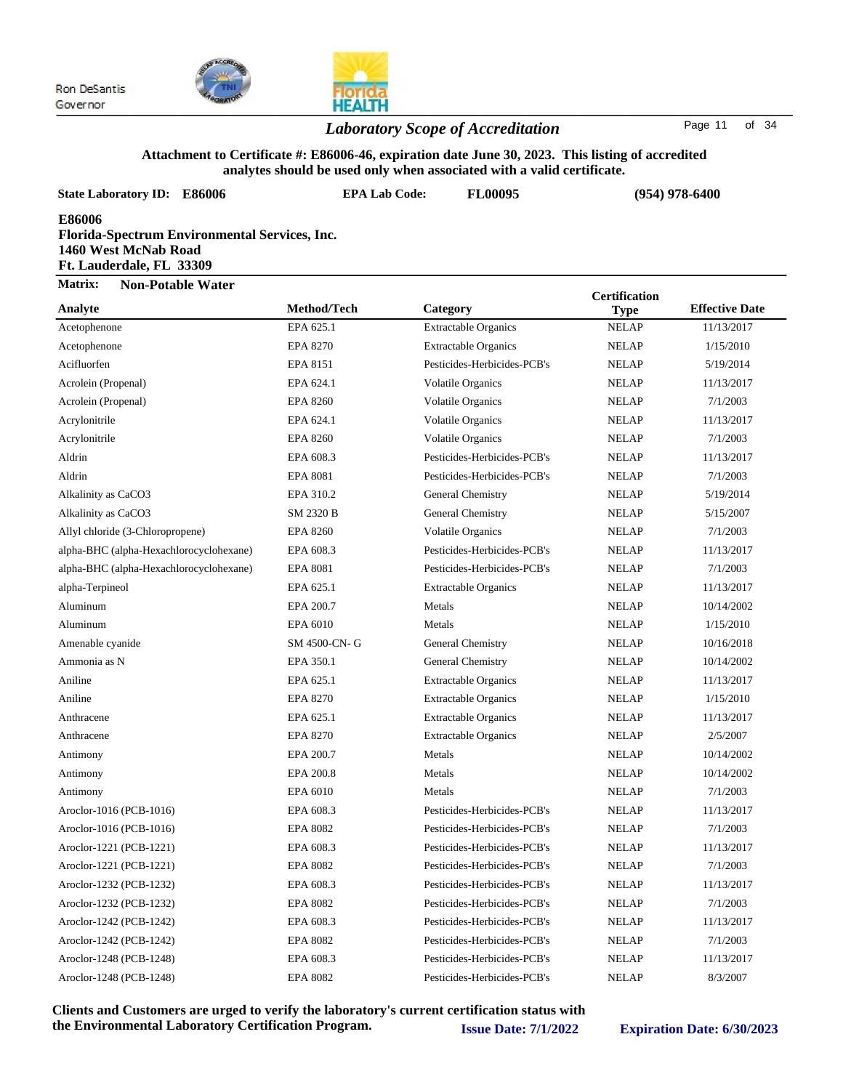

#### *Laboratory Scope of Accreditation* Page <sup>11</sup> of <sup>34</sup>

#### **Attachment to Certificate #: E86006-46, expiration date June 30, 2023. This listing of accredited analytes should be used only when associated with a valid certificate.**

| <b>State Laboratory ID: E86006</b>                                                                                 | anarytes should be used only when associated with a vand certificate.<br><b>EPA Lab Code:</b> | <b>FL00095</b>              |                      | $(954)$ 978-6400      |  |
|--------------------------------------------------------------------------------------------------------------------|-----------------------------------------------------------------------------------------------|-----------------------------|----------------------|-----------------------|--|
| <b>E86006</b><br>Florida-Spectrum Environmental Services, Inc.<br>1460 West McNab Road<br>Ft. Lauderdale, FL 33309 |                                                                                               |                             |                      |                       |  |
| Matrix:<br><b>Non-Potable Water</b>                                                                                |                                                                                               |                             | <b>Certification</b> |                       |  |
| Analyte                                                                                                            | Method/Tech                                                                                   | Category                    | <b>Type</b>          | <b>Effective Date</b> |  |
| Acetophenone                                                                                                       | EPA 625.1                                                                                     | <b>Extractable Organics</b> | <b>NELAP</b>         | 11/13/2017            |  |
| Acetophenone                                                                                                       | <b>EPA 8270</b>                                                                               | <b>Extractable Organics</b> | <b>NELAP</b>         | 1/15/2010             |  |
| Acifluorfen                                                                                                        | EPA 8151                                                                                      | Pesticides-Herbicides-PCB's | <b>NELAP</b>         | 5/19/2014             |  |
| Acrolein (Propenal)                                                                                                | EPA 624.1                                                                                     | <b>Volatile Organics</b>    | <b>NELAP</b>         | 11/13/2017            |  |
| Acrolein (Propenal)                                                                                                | <b>EPA 8260</b>                                                                               | <b>Volatile Organics</b>    | <b>NELAP</b>         | 7/1/2003              |  |
| Acrylonitrile                                                                                                      | EPA 624.1                                                                                     | Volatile Organics           | <b>NELAP</b>         | 11/13/2017            |  |
| Acrylonitrile                                                                                                      | <b>EPA 8260</b>                                                                               | <b>Volatile Organics</b>    | <b>NELAP</b>         | 7/1/2003              |  |
| Aldrin                                                                                                             | EPA 608.3                                                                                     | Pesticides-Herbicides-PCB's | <b>NELAP</b>         | 11/13/2017            |  |
| Aldrin                                                                                                             | <b>EPA 8081</b>                                                                               | Pesticides-Herbicides-PCB's | <b>NELAP</b>         | 7/1/2003              |  |
| Alkalinity as CaCO3                                                                                                | EPA 310.2                                                                                     | General Chemistry           | <b>NELAP</b>         | 5/19/2014             |  |
| Alkalinity as CaCO3                                                                                                | SM 2320 B                                                                                     | General Chemistry           | <b>NELAP</b>         | 5/15/2007             |  |
| Allyl chloride (3-Chloropropene)                                                                                   | <b>EPA 8260</b>                                                                               | Volatile Organics           | <b>NELAP</b>         | 7/1/2003              |  |
| alpha-BHC (alpha-Hexachlorocyclohexane)                                                                            | EPA 608.3                                                                                     | Pesticides-Herbicides-PCB's | <b>NELAP</b>         | 11/13/2017            |  |
| alpha-BHC (alpha-Hexachlorocyclohexane)                                                                            | <b>EPA 8081</b>                                                                               | Pesticides-Herbicides-PCB's | <b>NELAP</b>         | 7/1/2003              |  |
| alpha-Terpineol                                                                                                    | EPA 625.1                                                                                     | <b>Extractable Organics</b> | <b>NELAP</b>         | 11/13/2017            |  |
| Aluminum                                                                                                           | EPA 200.7                                                                                     | Metals                      | <b>NELAP</b>         | 10/14/2002            |  |
| Aluminum                                                                                                           | EPA 6010                                                                                      | Metals                      | <b>NELAP</b>         | 1/15/2010             |  |
| Amenable cyanide                                                                                                   | SM 4500-CN-G                                                                                  | General Chemistry           | <b>NELAP</b>         | 10/16/2018            |  |
| Ammonia as N                                                                                                       | EPA 350.1                                                                                     | General Chemistry           | <b>NELAP</b>         | 10/14/2002            |  |
| Aniline                                                                                                            | EPA 625.1                                                                                     | <b>Extractable Organics</b> | <b>NELAP</b>         | 11/13/2017            |  |
| Aniline                                                                                                            | <b>EPA 8270</b>                                                                               | <b>Extractable Organics</b> | <b>NELAP</b>         | 1/15/2010             |  |
| Anthracene                                                                                                         | EPA 625.1                                                                                     | <b>Extractable Organics</b> | <b>NELAP</b>         | 11/13/2017            |  |
| Anthracene                                                                                                         | EPA 8270                                                                                      | <b>Extractable Organics</b> | <b>NELAP</b>         | 2/5/2007              |  |
| Antimony                                                                                                           | EPA 200.7                                                                                     | Metals                      | <b>NELAP</b>         | 10/14/2002            |  |
| Antimony                                                                                                           | EPA 200.8                                                                                     | Metals                      | <b>NELAP</b>         | 10/14/2002            |  |
| Antimony                                                                                                           | EPA 6010                                                                                      | Metals                      | <b>NELAP</b>         | 7/1/2003              |  |
| Aroclor-1016 (PCB-1016)                                                                                            | EPA 608.3                                                                                     | Pesticides-Herbicides-PCB's | <b>NELAP</b>         | 11/13/2017            |  |
| Aroclor-1016 (PCB-1016)                                                                                            | <b>EPA 8082</b>                                                                               | Pesticides-Herbicides-PCB's | <b>NELAP</b>         | 7/1/2003              |  |
| Aroclor-1221 (PCB-1221)                                                                                            | EPA 608.3                                                                                     | Pesticides-Herbicides-PCB's | <b>NELAP</b>         | 11/13/2017            |  |
| Aroclor-1221 (PCB-1221)                                                                                            | <b>EPA 8082</b>                                                                               | Pesticides-Herbicides-PCB's | <b>NELAP</b>         | 7/1/2003              |  |
| Aroclor-1232 (PCB-1232)                                                                                            | EPA 608.3                                                                                     | Pesticides-Herbicides-PCB's | <b>NELAP</b>         | 11/13/2017            |  |
| Aroclor-1232 (PCB-1232)                                                                                            | <b>EPA 8082</b>                                                                               | Pesticides-Herbicides-PCB's | <b>NELAP</b>         | 7/1/2003              |  |
| Aroclor-1242 (PCB-1242)                                                                                            | EPA 608.3                                                                                     | Pesticides-Herbicides-PCB's | <b>NELAP</b>         | 11/13/2017            |  |
| Aroclor-1242 (PCB-1242)                                                                                            | <b>EPA 8082</b>                                                                               | Pesticides-Herbicides-PCB's | <b>NELAP</b>         | 7/1/2003              |  |
| Aroclor-1248 (PCB-1248)                                                                                            | EPA 608.3                                                                                     | Pesticides-Herbicides-PCB's | <b>NELAP</b>         | 11/13/2017            |  |

**Clients and Customers are urged to verify the laboratory's current certification status with the Environmental Laboratory Certification Program. Issue Date: 7/1/2022 Expiration Date: 6/30/2023**

Aroclor-1248 (PCB-1248) EPA 8082 Pesticides-Herbicides-PCB's NELAP 8/3/2007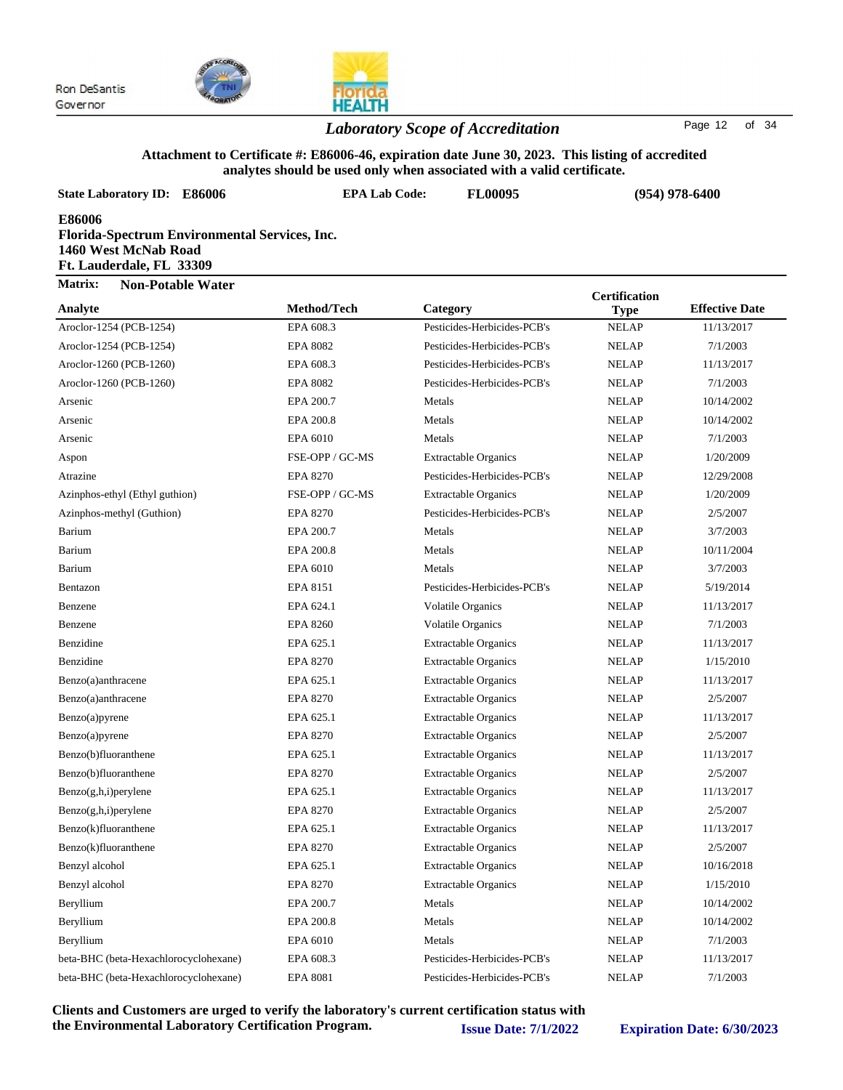

### *Laboratory Scope of Accreditation* Page <sup>12</sup> of <sup>34</sup>

#### **Attachment to Certificate #: E86006-46, expiration date June 30, 2023. This listing of accredited analytes should be used only when associated with a valid certificate.**

| <b>State Laboratory ID:</b><br>E86006                                                                       | <b>EPA Lab Code:</b> | anarytes shourd be used only when associated with a vand certificate.<br>FL00095 |                      | $(954)$ 978-6400      |  |
|-------------------------------------------------------------------------------------------------------------|----------------------|----------------------------------------------------------------------------------|----------------------|-----------------------|--|
| E86006<br>Florida-Spectrum Environmental Services, Inc.<br>1460 West McNab Road<br>Ft. Lauderdale, FL 33309 |                      |                                                                                  |                      |                       |  |
| <b>Matrix:</b><br><b>Non-Potable Water</b>                                                                  |                      |                                                                                  | <b>Certification</b> |                       |  |
| Analyte                                                                                                     | Method/Tech          | Category                                                                         | <b>Type</b>          | <b>Effective Date</b> |  |
| Aroclor-1254 (PCB-1254)                                                                                     | EPA 608.3            | Pesticides-Herbicides-PCB's                                                      | <b>NELAP</b>         | 11/13/2017            |  |
| Aroclor-1254 (PCB-1254)                                                                                     | <b>EPA 8082</b>      | Pesticides-Herbicides-PCB's                                                      | <b>NELAP</b>         | 7/1/2003              |  |
| Aroclor-1260 (PCB-1260)                                                                                     | EPA 608.3            | Pesticides-Herbicides-PCB's                                                      | <b>NELAP</b>         | 11/13/2017            |  |
| Aroclor-1260 (PCB-1260)                                                                                     | <b>EPA 8082</b>      | Pesticides-Herbicides-PCB's                                                      | <b>NELAP</b>         | 7/1/2003              |  |
| Arsenic                                                                                                     | EPA 200.7            | Metals                                                                           | <b>NELAP</b>         | 10/14/2002            |  |
| Arsenic                                                                                                     | EPA 200.8            | Metals                                                                           | <b>NELAP</b>         | 10/14/2002            |  |
| Arsenic                                                                                                     | EPA 6010             | Metals                                                                           | <b>NELAP</b>         | 7/1/2003              |  |
| Aspon                                                                                                       | FSE-OPP / GC-MS      | <b>Extractable Organics</b>                                                      | <b>NELAP</b>         | 1/20/2009             |  |
| Atrazine                                                                                                    | <b>EPA 8270</b>      | Pesticides-Herbicides-PCB's                                                      | <b>NELAP</b>         | 12/29/2008            |  |
| Azinphos-ethyl (Ethyl guthion)                                                                              | FSE-OPP / GC-MS      | <b>Extractable Organics</b>                                                      | <b>NELAP</b>         | 1/20/2009             |  |
| Azinphos-methyl (Guthion)                                                                                   | <b>EPA 8270</b>      | Pesticides-Herbicides-PCB's                                                      | <b>NELAP</b>         | 2/5/2007              |  |
| Barium                                                                                                      | EPA 200.7            | Metals                                                                           | <b>NELAP</b>         | 3/7/2003              |  |
| Barium                                                                                                      | EPA 200.8            | Metals                                                                           | <b>NELAP</b>         | 10/11/2004            |  |
| Barium                                                                                                      | EPA 6010             | Metals                                                                           | <b>NELAP</b>         | 3/7/2003              |  |
| Bentazon                                                                                                    | EPA 8151             | Pesticides-Herbicides-PCB's                                                      | <b>NELAP</b>         | 5/19/2014             |  |
| Benzene                                                                                                     | EPA 624.1            | <b>Volatile Organics</b>                                                         | <b>NELAP</b>         | 11/13/2017            |  |
| Benzene                                                                                                     | <b>EPA 8260</b>      | <b>Volatile Organics</b>                                                         | <b>NELAP</b>         | 7/1/2003              |  |
| Benzidine                                                                                                   | EPA 625.1            | <b>Extractable Organics</b>                                                      | <b>NELAP</b>         | 11/13/2017            |  |
| Benzidine                                                                                                   | <b>EPA 8270</b>      | <b>Extractable Organics</b>                                                      | <b>NELAP</b>         | 1/15/2010             |  |
| Benzo(a)anthracene                                                                                          | EPA 625.1            | <b>Extractable Organics</b>                                                      | <b>NELAP</b>         | 11/13/2017            |  |
| Benzo(a)anthracene                                                                                          | <b>EPA 8270</b>      | <b>Extractable Organics</b>                                                      | <b>NELAP</b>         | 2/5/2007              |  |
| Benzo(a)pyrene                                                                                              | EPA 625.1            | <b>Extractable Organics</b>                                                      | <b>NELAP</b>         | 11/13/2017            |  |
| Benzo(a)pyrene                                                                                              | <b>EPA 8270</b>      | <b>Extractable Organics</b>                                                      | <b>NELAP</b>         | 2/5/2007              |  |
| Benzo(b)fluoranthene                                                                                        | EPA 625.1            | <b>Extractable Organics</b>                                                      | <b>NELAP</b>         | 11/13/2017            |  |
| Benzo(b)fluoranthene                                                                                        | <b>EPA 8270</b>      | <b>Extractable Organics</b>                                                      | <b>NELAP</b>         | 2/5/2007              |  |
| Benzo(g,h,i)perylene                                                                                        | EPA 625.1            | <b>Extractable Organics</b>                                                      | <b>NELAP</b>         | 11/13/2017            |  |
| $Benzo(g,h,i)$ per ylene                                                                                    | <b>EPA 8270</b>      | <b>Extractable Organics</b>                                                      | <b>NELAP</b>         | 2/5/2007              |  |
| Benzo(k)fluoranthene                                                                                        | EPA 625.1            | <b>Extractable Organics</b>                                                      | <b>NELAP</b>         | 11/13/2017            |  |
| Benzo(k)fluoranthene                                                                                        | <b>EPA 8270</b>      | <b>Extractable Organics</b>                                                      | <b>NELAP</b>         | 2/5/2007              |  |
| Benzyl alcohol                                                                                              | EPA 625.1            | <b>Extractable Organics</b>                                                      | <b>NELAP</b>         | 10/16/2018            |  |
| Benzyl alcohol                                                                                              | <b>EPA 8270</b>      | <b>Extractable Organics</b>                                                      | <b>NELAP</b>         | 1/15/2010             |  |
| Beryllium                                                                                                   | EPA 200.7            | Metals                                                                           | <b>NELAP</b>         | 10/14/2002            |  |
| Beryllium                                                                                                   | EPA 200.8            | Metals                                                                           | <b>NELAP</b>         | 10/14/2002            |  |
| Beryllium                                                                                                   | EPA 6010             | Metals                                                                           | <b>NELAP</b>         | 7/1/2003              |  |
| beta-BHC (beta-Hexachlorocyclohexane)                                                                       | EPA 608.3            | Pesticides-Herbicides-PCB's                                                      | <b>NELAP</b>         | 11/13/2017            |  |
| beta-BHC (beta-Hexachlorocyclohexane)                                                                       | EPA 8081             | Pesticides-Herbicides-PCB's                                                      | <b>NELAP</b>         | 7/1/2003              |  |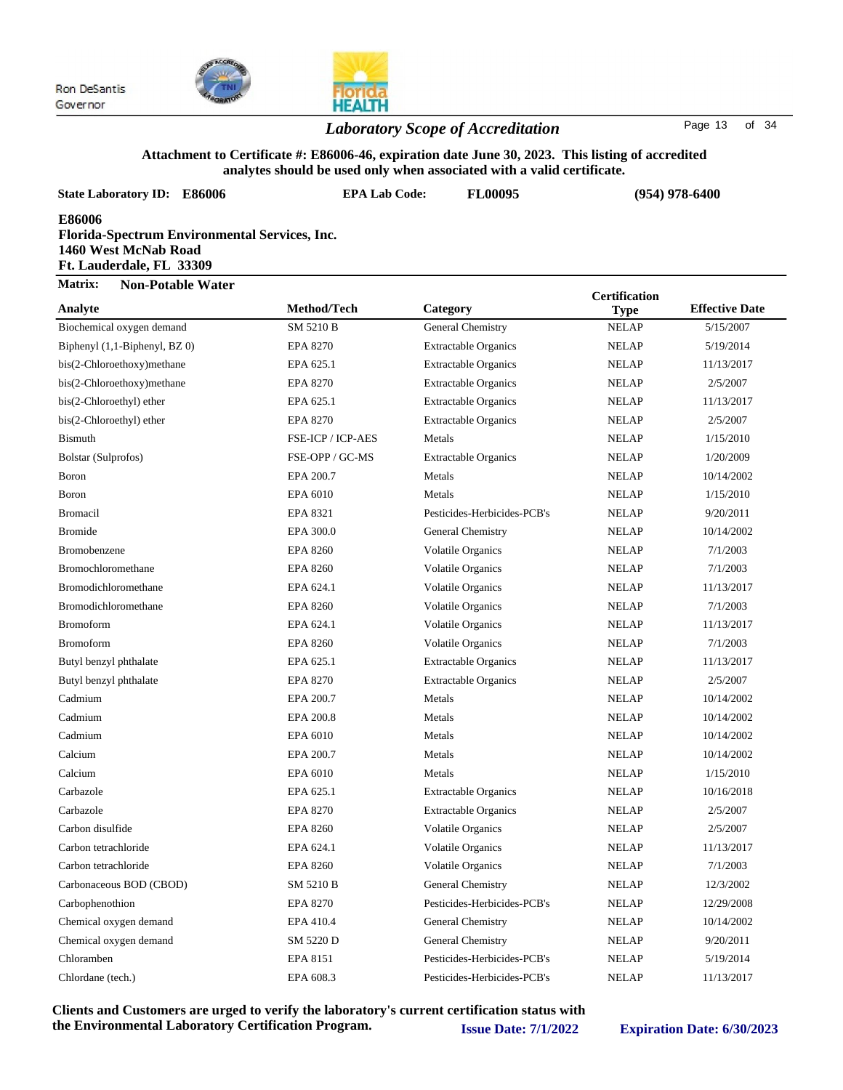



### *Laboratory Scope of Accreditation* Page <sup>13</sup> of <sup>34</sup>

#### **Attachment to Certificate #: E86006-46, expiration date June 30, 2023. This listing of accredited analytes should be used only when associated with a valid certificate.**

| <b>State Laboratory ID: E86006</b>                                                                          | <b>EPA Lab Code:</b><br><b>FL00095</b> |                             | $(954)$ 978-6400     |                       |  |
|-------------------------------------------------------------------------------------------------------------|----------------------------------------|-----------------------------|----------------------|-----------------------|--|
| E86006<br>Florida-Spectrum Environmental Services, Inc.<br>1460 West McNab Road<br>Ft. Lauderdale, FL 33309 |                                        |                             |                      |                       |  |
| Matrix:<br><b>Non-Potable Water</b>                                                                         |                                        |                             | <b>Certification</b> |                       |  |
| Analyte                                                                                                     | Method/Tech                            | Category                    | <b>Type</b>          | <b>Effective Date</b> |  |
| Biochemical oxygen demand                                                                                   | SM 5210 B                              | General Chemistry           | <b>NELAP</b>         | 5/15/2007             |  |
| Biphenyl (1,1-Biphenyl, BZ 0)                                                                               | <b>EPA 8270</b>                        | <b>Extractable Organics</b> | <b>NELAP</b>         | 5/19/2014             |  |
| bis(2-Chloroethoxy)methane                                                                                  | EPA 625.1                              | <b>Extractable Organics</b> | <b>NELAP</b>         | 11/13/2017            |  |
| bis(2-Chloroethoxy)methane                                                                                  | <b>EPA 8270</b>                        | <b>Extractable Organics</b> | <b>NELAP</b>         | 2/5/2007              |  |
| bis(2-Chloroethyl) ether                                                                                    | EPA 625.1                              | <b>Extractable Organics</b> | <b>NELAP</b>         | 11/13/2017            |  |
| bis(2-Chloroethyl) ether                                                                                    | <b>EPA 8270</b>                        | <b>Extractable Organics</b> | <b>NELAP</b>         | 2/5/2007              |  |
| <b>Bismuth</b>                                                                                              | FSE-ICP / ICP-AES                      | Metals                      | <b>NELAP</b>         | 1/15/2010             |  |
| Bolstar (Sulprofos)                                                                                         | FSE-OPP / GC-MS                        | <b>Extractable Organics</b> | <b>NELAP</b>         | 1/20/2009             |  |
| <b>Boron</b>                                                                                                | EPA 200.7                              | Metals                      | <b>NELAP</b>         | 10/14/2002            |  |
| Boron                                                                                                       | EPA 6010                               | Metals                      | <b>NELAP</b>         | 1/15/2010             |  |
| <b>Bromacil</b>                                                                                             | EPA 8321                               | Pesticides-Herbicides-PCB's | <b>NELAP</b>         | 9/20/2011             |  |
| <b>Bromide</b>                                                                                              | EPA 300.0                              | General Chemistry           | <b>NELAP</b>         | 10/14/2002            |  |
| Bromobenzene                                                                                                | <b>EPA 8260</b>                        | <b>Volatile Organics</b>    | <b>NELAP</b>         | 7/1/2003              |  |
| Bromochloromethane                                                                                          | <b>EPA 8260</b>                        | <b>Volatile Organics</b>    | <b>NELAP</b>         | 7/1/2003              |  |
| Bromodichloromethane                                                                                        | EPA 624.1                              | <b>Volatile Organics</b>    | <b>NELAP</b>         | 11/13/2017            |  |
| Bromodichloromethane                                                                                        | <b>EPA 8260</b>                        | <b>Volatile Organics</b>    | <b>NELAP</b>         | 7/1/2003              |  |
| <b>Bromoform</b>                                                                                            | EPA 624.1                              | <b>Volatile Organics</b>    | <b>NELAP</b>         | 11/13/2017            |  |
| <b>Bromoform</b>                                                                                            | <b>EPA 8260</b>                        | <b>Volatile Organics</b>    | <b>NELAP</b>         | 7/1/2003              |  |
| Butyl benzyl phthalate                                                                                      | EPA 625.1                              | <b>Extractable Organics</b> | <b>NELAP</b>         | 11/13/2017            |  |
| Butyl benzyl phthalate                                                                                      | <b>EPA 8270</b>                        | <b>Extractable Organics</b> | <b>NELAP</b>         | 2/5/2007              |  |
| Cadmium                                                                                                     | EPA 200.7                              | Metals                      | <b>NELAP</b>         | 10/14/2002            |  |
| Cadmium                                                                                                     | EPA 200.8                              | Metals                      | <b>NELAP</b>         | 10/14/2002            |  |
| Cadmium                                                                                                     | EPA 6010                               | Metals                      | <b>NELAP</b>         | 10/14/2002            |  |
| Calcium                                                                                                     | EPA 200.7                              | Metals                      | <b>NELAP</b>         | 10/14/2002            |  |
| Calcium                                                                                                     | EPA 6010                               | Metals                      | <b>NELAP</b>         | 1/15/2010             |  |
| Carbazole                                                                                                   | EPA 625.1                              | <b>Extractable Organics</b> | <b>NELAP</b>         | 10/16/2018            |  |
| Carbazole                                                                                                   | <b>EPA 8270</b>                        | <b>Extractable Organics</b> | <b>NELAP</b>         | 2/5/2007              |  |
| Carbon disulfide                                                                                            | <b>EPA 8260</b>                        | <b>Volatile Organics</b>    | <b>NELAP</b>         | 2/5/2007              |  |
| Carbon tetrachloride                                                                                        | EPA 624.1                              | <b>Volatile Organics</b>    | <b>NELAP</b>         | 11/13/2017            |  |
| Carbon tetrachloride                                                                                        | <b>EPA 8260</b>                        | Volatile Organics           | <b>NELAP</b>         | 7/1/2003              |  |
| Carbonaceous BOD (CBOD)                                                                                     | SM 5210 B                              | General Chemistry           | <b>NELAP</b>         | 12/3/2002             |  |
| Carbophenothion                                                                                             | <b>EPA 8270</b>                        | Pesticides-Herbicides-PCB's | <b>NELAP</b>         | 12/29/2008            |  |
| Chemical oxygen demand                                                                                      | EPA 410.4                              | General Chemistry           | <b>NELAP</b>         | 10/14/2002            |  |
| Chemical oxygen demand                                                                                      | SM 5220 D                              | General Chemistry           | <b>NELAP</b>         | 9/20/2011             |  |
| Chloramben                                                                                                  | EPA 8151                               | Pesticides-Herbicides-PCB's | <b>NELAP</b>         | 5/19/2014             |  |

**Clients and Customers are urged to verify the laboratory's current certification status with the Environmental Laboratory Certification Program. Issue Date: 7/1/2022 Expiration Date: 6/30/2023**

Chlordane (tech.) EPA 608.3 Pesticides-Herbicides-PCB's NELAP 11/13/2017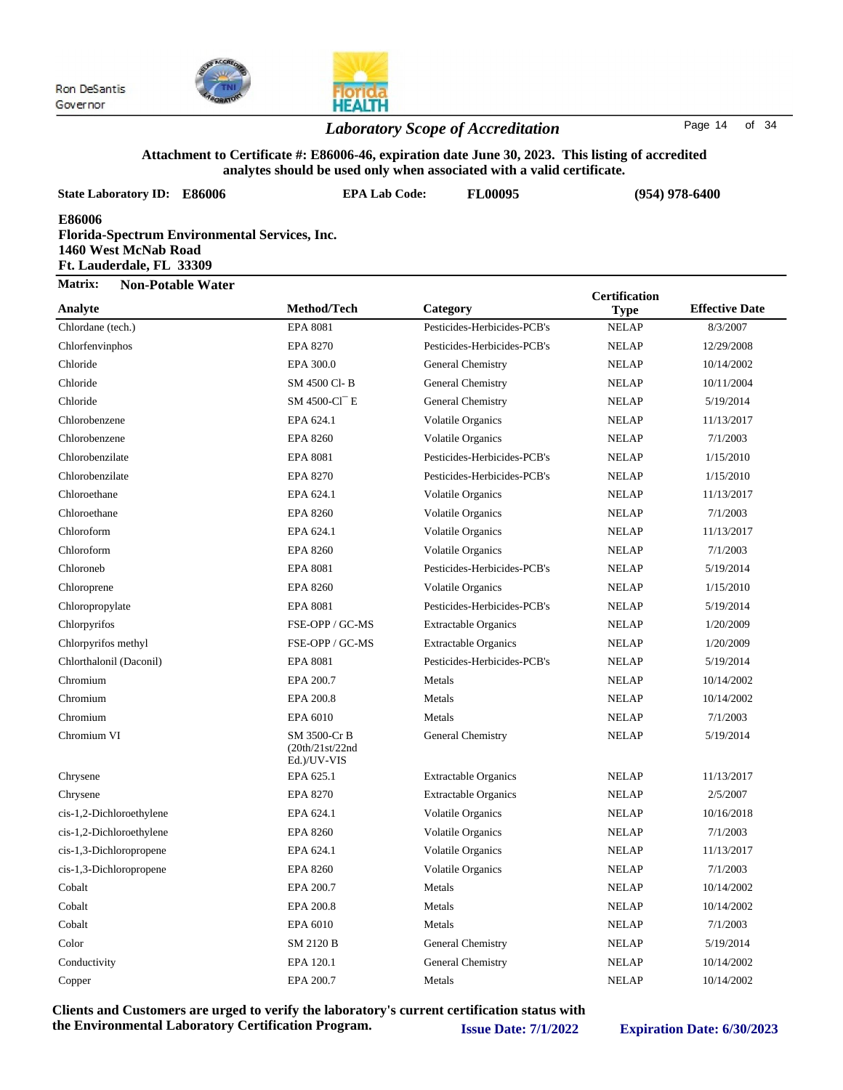

### *Laboratory Scope of Accreditation* Page <sup>14</sup> of <sup>34</sup>

#### **Attachment to Certificate #: E86006-46, expiration date June 30, 2023. This listing of accredited analytes should be used only when associated with a valid certificate.**

| <b>State Laboratory ID:</b><br><b>E86006</b>                                                                | <b>EPA Lab Code:</b>                           | anarytes shourd be used only when associated with a vand certificate.<br><b>FL00095</b> |                      | $(954)$ 978-6400      |  |
|-------------------------------------------------------------------------------------------------------------|------------------------------------------------|-----------------------------------------------------------------------------------------|----------------------|-----------------------|--|
| E86006<br>Florida-Spectrum Environmental Services, Inc.<br>1460 West McNab Road<br>Ft. Lauderdale, FL 33309 |                                                |                                                                                         |                      |                       |  |
| Matrix:<br><b>Non-Potable Water</b>                                                                         |                                                |                                                                                         | <b>Certification</b> |                       |  |
| Analyte                                                                                                     | Method/Tech                                    | Category                                                                                | <b>Type</b>          | <b>Effective Date</b> |  |
| Chlordane (tech.)                                                                                           | <b>EPA 8081</b>                                | Pesticides-Herbicides-PCB's                                                             | <b>NELAP</b>         | 8/3/2007              |  |
| Chlorfenvinphos                                                                                             | <b>EPA 8270</b>                                | Pesticides-Herbicides-PCB's                                                             | <b>NELAP</b>         | 12/29/2008            |  |
| Chloride                                                                                                    | EPA 300.0                                      | General Chemistry                                                                       | <b>NELAP</b>         | 10/14/2002            |  |
| Chloride                                                                                                    | SM 4500 Cl-B                                   | General Chemistry                                                                       | <b>NELAP</b>         | 10/11/2004            |  |
| Chloride                                                                                                    | SM 4500-Cl <sup>-</sup> E                      | General Chemistry                                                                       | <b>NELAP</b>         | 5/19/2014             |  |
| Chlorobenzene                                                                                               | EPA 624.1                                      | <b>Volatile Organics</b>                                                                | <b>NELAP</b>         | 11/13/2017            |  |
| Chlorobenzene                                                                                               | <b>EPA 8260</b>                                | <b>Volatile Organics</b>                                                                | <b>NELAP</b>         | 7/1/2003              |  |
| Chlorobenzilate                                                                                             | <b>EPA 8081</b>                                | Pesticides-Herbicides-PCB's                                                             | <b>NELAP</b>         | 1/15/2010             |  |
| Chlorobenzilate                                                                                             | <b>EPA 8270</b>                                | Pesticides-Herbicides-PCB's                                                             | <b>NELAP</b>         | 1/15/2010             |  |
| Chloroethane                                                                                                | EPA 624.1                                      | <b>Volatile Organics</b>                                                                | <b>NELAP</b>         | 11/13/2017            |  |
| Chloroethane                                                                                                | <b>EPA 8260</b>                                | <b>Volatile Organics</b>                                                                | <b>NELAP</b>         | 7/1/2003              |  |
| Chloroform                                                                                                  | EPA 624.1                                      | <b>Volatile Organics</b>                                                                | <b>NELAP</b>         | 11/13/2017            |  |
| Chloroform                                                                                                  | <b>EPA 8260</b>                                | Volatile Organics                                                                       | <b>NELAP</b>         | 7/1/2003              |  |
| Chloroneb                                                                                                   | <b>EPA 8081</b>                                | Pesticides-Herbicides-PCB's                                                             | <b>NELAP</b>         | 5/19/2014             |  |
| Chloroprene                                                                                                 | <b>EPA 8260</b>                                | <b>Volatile Organics</b>                                                                | <b>NELAP</b>         | 1/15/2010             |  |
| Chloropropylate                                                                                             | <b>EPA 8081</b>                                | Pesticides-Herbicides-PCB's                                                             | <b>NELAP</b>         | 5/19/2014             |  |
| Chlorpyrifos                                                                                                | FSE-OPP / GC-MS                                | <b>Extractable Organics</b>                                                             | <b>NELAP</b>         | 1/20/2009             |  |
| Chlorpyrifos methyl                                                                                         | FSE-OPP / GC-MS                                | <b>Extractable Organics</b>                                                             | <b>NELAP</b>         | 1/20/2009             |  |
| Chlorthalonil (Daconil)                                                                                     | <b>EPA 8081</b>                                | Pesticides-Herbicides-PCB's                                                             | <b>NELAP</b>         | 5/19/2014             |  |
| Chromium                                                                                                    | EPA 200.7                                      | Metals                                                                                  | <b>NELAP</b>         | 10/14/2002            |  |
| Chromium                                                                                                    | EPA 200.8                                      | Metals                                                                                  | <b>NELAP</b>         | 10/14/2002            |  |
| Chromium                                                                                                    | EPA 6010                                       | Metals                                                                                  | <b>NELAP</b>         | 7/1/2003              |  |
| Chromium VI                                                                                                 | SM 3500-Cr B<br>(20th/21st/22nd<br>Ed.)/UV-VIS | General Chemistry                                                                       | <b>NELAP</b>         | 5/19/2014             |  |
| Chrysene                                                                                                    | EPA 625.1                                      | <b>Extractable Organics</b>                                                             | <b>NELAP</b>         | 11/13/2017            |  |
| Chrysene                                                                                                    | EPA 8270                                       | <b>Extractable Organics</b>                                                             | <b>NELAP</b>         | 2/5/2007              |  |
| cis-1,2-Dichloroethylene                                                                                    | EPA 624.1                                      | <b>Volatile Organics</b>                                                                | <b>NELAP</b>         | 10/16/2018            |  |
| cis-1,2-Dichloroethylene                                                                                    | <b>EPA 8260</b>                                | <b>Volatile Organics</b>                                                                | <b>NELAP</b>         | 7/1/2003              |  |
| cis-1,3-Dichloropropene                                                                                     | EPA 624.1                                      | Volatile Organics                                                                       | <b>NELAP</b>         | 11/13/2017            |  |
| cis-1,3-Dichloropropene                                                                                     | <b>EPA 8260</b>                                | Volatile Organics                                                                       | <b>NELAP</b>         | 7/1/2003              |  |
| Cobalt                                                                                                      | EPA 200.7                                      | Metals                                                                                  | <b>NELAP</b>         | 10/14/2002            |  |
| Cobalt                                                                                                      | EPA 200.8                                      | Metals                                                                                  | <b>NELAP</b>         | 10/14/2002            |  |
| Cobalt                                                                                                      | EPA 6010                                       | Metals                                                                                  | <b>NELAP</b>         | 7/1/2003              |  |
| Color                                                                                                       | SM 2120 B                                      | General Chemistry                                                                       | <b>NELAP</b>         | 5/19/2014             |  |
| Conductivity                                                                                                | EPA 120.1                                      | General Chemistry                                                                       | <b>NELAP</b>         | 10/14/2002            |  |
| Copper                                                                                                      | EPA 200.7                                      | Metals                                                                                  | <b>NELAP</b>         | 10/14/2002            |  |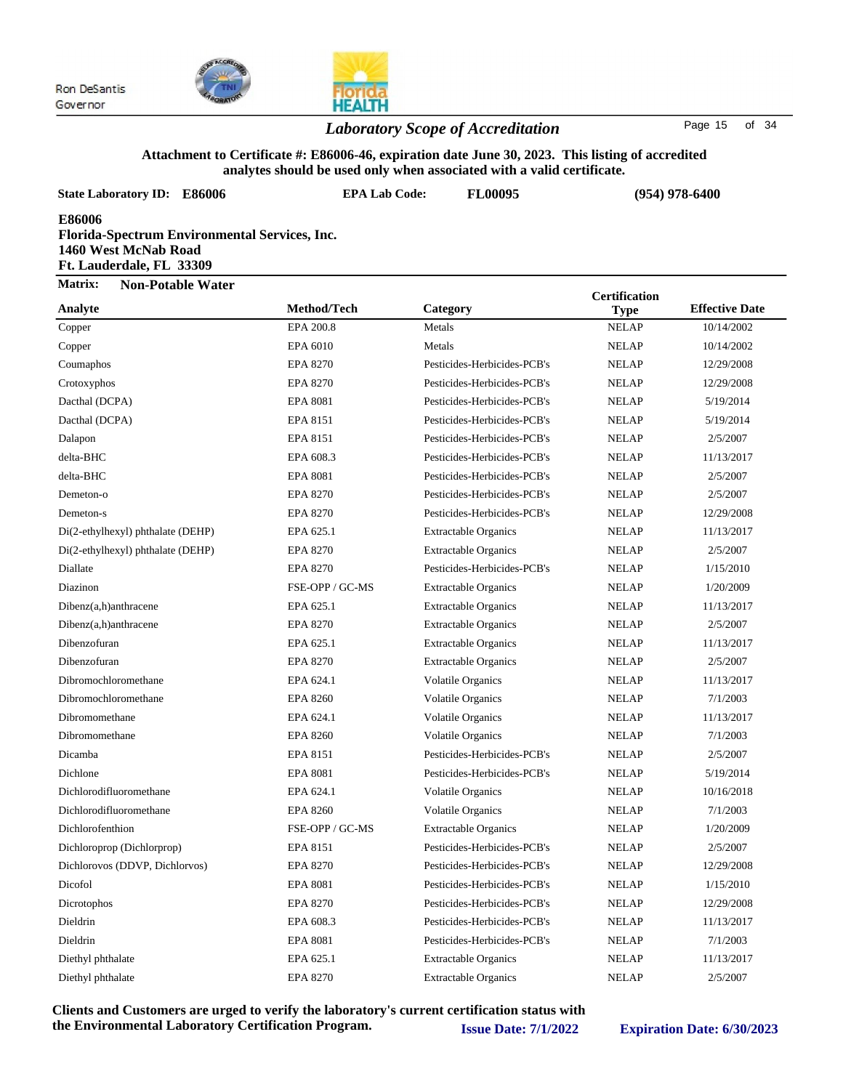

## HEA

#### *Laboratory Scope of Accreditation* Page 15 of 34

#### **Attachment to Certificate #: E86006-46, expiration date June 30, 2023. This listing of accredited analytes should be used only when associated with a valid certificate.**

| <b>State Laboratory ID: E86006</b>                                                                                 | <b>EPA Lab Code:</b> | <b>FL00095</b>              | $(954)$ 978-6400     |                       |  |
|--------------------------------------------------------------------------------------------------------------------|----------------------|-----------------------------|----------------------|-----------------------|--|
| <b>E86006</b><br>Florida-Spectrum Environmental Services, Inc.<br>1460 West McNab Road<br>Ft. Lauderdale, FL 33309 |                      |                             |                      |                       |  |
| Matrix:<br><b>Non-Potable Water</b>                                                                                |                      |                             | <b>Certification</b> |                       |  |
| Analyte                                                                                                            | Method/Tech          | Category                    | <b>Type</b>          | <b>Effective Date</b> |  |
| Copper                                                                                                             | EPA 200.8            | Metals                      | <b>NELAP</b>         | 10/14/2002            |  |
| Copper                                                                                                             | EPA 6010             | Metals                      | <b>NELAP</b>         | 10/14/2002            |  |
| Coumaphos                                                                                                          | <b>EPA 8270</b>      | Pesticides-Herbicides-PCB's | <b>NELAP</b>         | 12/29/2008            |  |
| Crotoxyphos                                                                                                        | <b>EPA 8270</b>      | Pesticides-Herbicides-PCB's | <b>NELAP</b>         | 12/29/2008            |  |
| Dacthal (DCPA)                                                                                                     | <b>EPA 8081</b>      | Pesticides-Herbicides-PCB's | <b>NELAP</b>         | 5/19/2014             |  |
| Dacthal (DCPA)                                                                                                     | EPA 8151             | Pesticides-Herbicides-PCB's | <b>NELAP</b>         | 5/19/2014             |  |
| Dalapon                                                                                                            | EPA 8151             | Pesticides-Herbicides-PCB's | <b>NELAP</b>         | 2/5/2007              |  |
| delta-BHC                                                                                                          | EPA 608.3            | Pesticides-Herbicides-PCB's | <b>NELAP</b>         | 11/13/2017            |  |
| delta-BHC                                                                                                          | <b>EPA 8081</b>      | Pesticides-Herbicides-PCB's | <b>NELAP</b>         | 2/5/2007              |  |
| Demeton-o                                                                                                          | <b>EPA 8270</b>      | Pesticides-Herbicides-PCB's | <b>NELAP</b>         | 2/5/2007              |  |
| Demeton-s                                                                                                          | <b>EPA 8270</b>      | Pesticides-Herbicides-PCB's | <b>NELAP</b>         | 12/29/2008            |  |
| Di(2-ethylhexyl) phthalate (DEHP)                                                                                  | EPA 625.1            | <b>Extractable Organics</b> | <b>NELAP</b>         | 11/13/2017            |  |
| Di(2-ethylhexyl) phthalate (DEHP)                                                                                  | <b>EPA 8270</b>      | <b>Extractable Organics</b> | <b>NELAP</b>         | 2/5/2007              |  |
| Diallate                                                                                                           | <b>EPA 8270</b>      | Pesticides-Herbicides-PCB's | <b>NELAP</b>         | 1/15/2010             |  |
| Diazinon                                                                                                           | FSE-OPP / GC-MS      | <b>Extractable Organics</b> | <b>NELAP</b>         | 1/20/2009             |  |
| $Dibenz(a,h)$ anthracene                                                                                           | EPA 625.1            | <b>Extractable Organics</b> | <b>NELAP</b>         | 11/13/2017            |  |
| $Dibenz(a,h)$ anthracene                                                                                           | <b>EPA 8270</b>      | <b>Extractable Organics</b> | <b>NELAP</b>         | 2/5/2007              |  |
| Dibenzofuran                                                                                                       | EPA 625.1            | <b>Extractable Organics</b> | <b>NELAP</b>         | 11/13/2017            |  |
| Dibenzofuran                                                                                                       | <b>EPA 8270</b>      | <b>Extractable Organics</b> | <b>NELAP</b>         | 2/5/2007              |  |
| Dibromochloromethane                                                                                               | EPA 624.1            | <b>Volatile Organics</b>    | <b>NELAP</b>         | 11/13/2017            |  |
| Dibromochloromethane                                                                                               | <b>EPA 8260</b>      | <b>Volatile Organics</b>    | <b>NELAP</b>         | 7/1/2003              |  |
| Dibromomethane                                                                                                     | EPA 624.1            | <b>Volatile Organics</b>    | <b>NELAP</b>         | 11/13/2017            |  |
| Dibromomethane                                                                                                     | <b>EPA 8260</b>      | <b>Volatile Organics</b>    | <b>NELAP</b>         | 7/1/2003              |  |
| Dicamba                                                                                                            | EPA 8151             | Pesticides-Herbicides-PCB's | <b>NELAP</b>         | 2/5/2007              |  |
| Dichlone                                                                                                           | <b>EPA 8081</b>      | Pesticides-Herbicides-PCB's | <b>NELAP</b>         | 5/19/2014             |  |
| Dichlorodifluoromethane                                                                                            | EPA 624.1            | Volatile Organics           | <b>NELAP</b>         | 10/16/2018            |  |
| Dichlorodifluoromethane                                                                                            | <b>EPA 8260</b>      | <b>Volatile Organics</b>    | <b>NELAP</b>         | 7/1/2003              |  |
| Dichlorofenthion                                                                                                   | FSE-OPP / GC-MS      | <b>Extractable Organics</b> | <b>NELAP</b>         | 1/20/2009             |  |
| Dichloroprop (Dichlorprop)                                                                                         | EPA 8151             | Pesticides-Herbicides-PCB's | <b>NELAP</b>         | 2/5/2007              |  |
| Dichlorovos (DDVP, Dichlorvos)                                                                                     | <b>EPA 8270</b>      | Pesticides-Herbicides-PCB's | <b>NELAP</b>         | 12/29/2008            |  |
| Dicofol                                                                                                            | <b>EPA 8081</b>      | Pesticides-Herbicides-PCB's | <b>NELAP</b>         | 1/15/2010             |  |
| Dicrotophos                                                                                                        | <b>EPA 8270</b>      | Pesticides-Herbicides-PCB's | <b>NELAP</b>         | 12/29/2008            |  |
| Dieldrin                                                                                                           | EPA 608.3            | Pesticides-Herbicides-PCB's | <b>NELAP</b>         | 11/13/2017            |  |
| Dieldrin                                                                                                           | <b>EPA 8081</b>      | Pesticides-Herbicides-PCB's | <b>NELAP</b>         | 7/1/2003              |  |
| Diethyl phthalate                                                                                                  | EPA 625.1            | <b>Extractable Organics</b> | <b>NELAP</b>         | 11/13/2017            |  |
| Diethyl phthalate                                                                                                  | <b>EPA 8270</b>      | <b>Extractable Organics</b> | <b>NELAP</b>         | 2/5/2007              |  |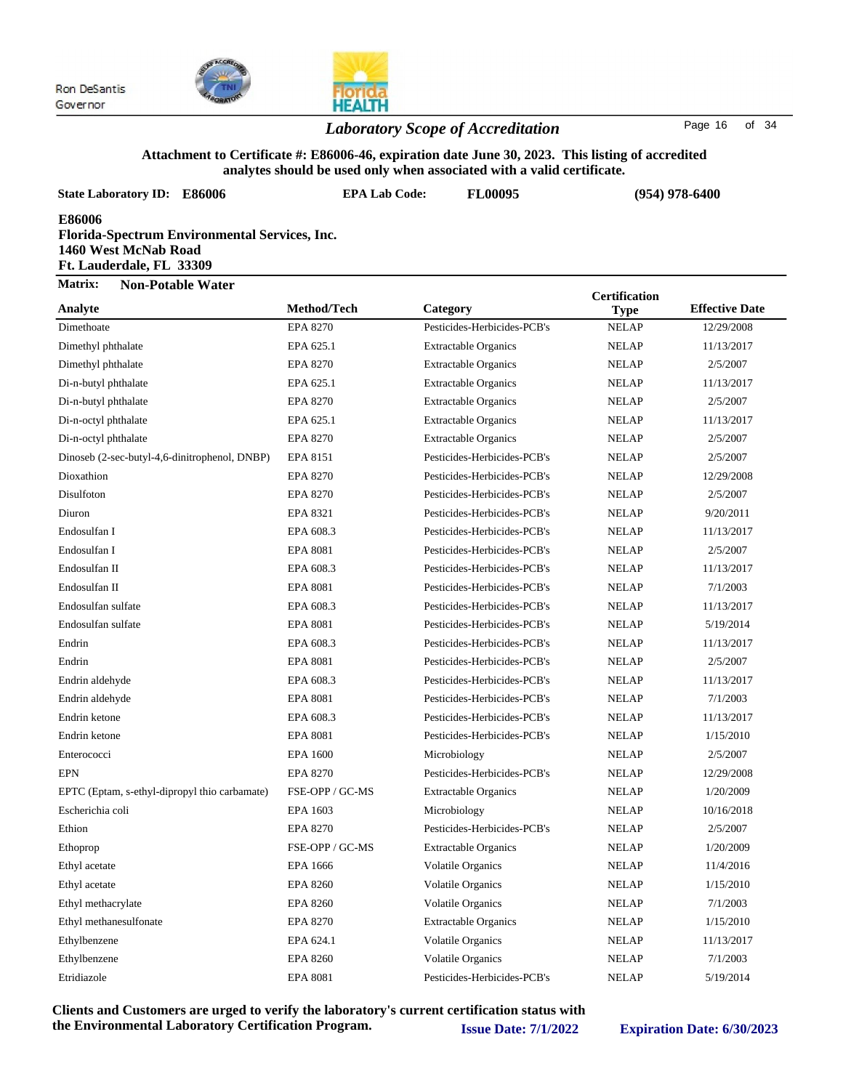

### *Laboratory Scope of Accreditation* Page <sup>16</sup> of <sup>34</sup>

#### **Attachment to Certificate #: E86006-46, expiration date June 30, 2023. This listing of accredited analytes should be used only when associated with a valid certificate.**

| <b>State Laboratory ID: E86006</b>                                                                          | <b>EPA Lab Code:</b> | analytes should be used only when associated with a valid certificate.<br><b>FL00095</b> |                      | $(954)$ 978-6400      |  |
|-------------------------------------------------------------------------------------------------------------|----------------------|------------------------------------------------------------------------------------------|----------------------|-----------------------|--|
| E86006<br>Florida-Spectrum Environmental Services, Inc.<br>1460 West McNab Road<br>Ft. Lauderdale, FL 33309 |                      |                                                                                          |                      |                       |  |
| Matrix:<br><b>Non-Potable Water</b>                                                                         |                      |                                                                                          | <b>Certification</b> |                       |  |
| Analyte                                                                                                     | Method/Tech          | Category                                                                                 | <b>Type</b>          | <b>Effective Date</b> |  |
| Dimethoate                                                                                                  | <b>EPA 8270</b>      | Pesticides-Herbicides-PCB's                                                              | <b>NELAP</b>         | 12/29/2008            |  |
| Dimethyl phthalate                                                                                          | EPA 625.1            | <b>Extractable Organics</b>                                                              | <b>NELAP</b>         | 11/13/2017            |  |
| Dimethyl phthalate                                                                                          | <b>EPA 8270</b>      | <b>Extractable Organics</b>                                                              | <b>NELAP</b>         | 2/5/2007              |  |
| Di-n-butyl phthalate                                                                                        | EPA 625.1            | <b>Extractable Organics</b>                                                              | <b>NELAP</b>         | 11/13/2017            |  |
| Di-n-butyl phthalate                                                                                        | <b>EPA 8270</b>      | <b>Extractable Organics</b>                                                              | <b>NELAP</b>         | 2/5/2007              |  |
| Di-n-octyl phthalate                                                                                        | EPA 625.1            | <b>Extractable Organics</b>                                                              | <b>NELAP</b>         | 11/13/2017            |  |
| Di-n-octyl phthalate                                                                                        | <b>EPA 8270</b>      | <b>Extractable Organics</b>                                                              | <b>NELAP</b>         | 2/5/2007              |  |
| Dinoseb (2-sec-butyl-4,6-dinitrophenol, DNBP)                                                               | EPA 8151             | Pesticides-Herbicides-PCB's                                                              | <b>NELAP</b>         | 2/5/2007              |  |
| Dioxathion                                                                                                  | <b>EPA 8270</b>      | Pesticides-Herbicides-PCB's                                                              | <b>NELAP</b>         | 12/29/2008            |  |
| Disulfoton                                                                                                  | <b>EPA 8270</b>      | Pesticides-Herbicides-PCB's                                                              | <b>NELAP</b>         | 2/5/2007              |  |
| Diuron                                                                                                      | <b>EPA 8321</b>      | Pesticides-Herbicides-PCB's                                                              | <b>NELAP</b>         | 9/20/2011             |  |
| Endosulfan I                                                                                                | EPA 608.3            | Pesticides-Herbicides-PCB's                                                              | <b>NELAP</b>         | 11/13/2017            |  |
| Endosulfan I                                                                                                | <b>EPA 8081</b>      | Pesticides-Herbicides-PCB's                                                              | <b>NELAP</b>         | 2/5/2007              |  |
| Endosulfan II                                                                                               | EPA 608.3            | Pesticides-Herbicides-PCB's                                                              | <b>NELAP</b>         | 11/13/2017            |  |
| Endosulfan II                                                                                               | <b>EPA 8081</b>      | Pesticides-Herbicides-PCB's                                                              | <b>NELAP</b>         | 7/1/2003              |  |
| Endosulfan sulfate                                                                                          | EPA 608.3            | Pesticides-Herbicides-PCB's                                                              | <b>NELAP</b>         | 11/13/2017            |  |
| Endosulfan sulfate                                                                                          | <b>EPA 8081</b>      | Pesticides-Herbicides-PCB's                                                              | <b>NELAP</b>         | 5/19/2014             |  |
| Endrin                                                                                                      | EPA 608.3            | Pesticides-Herbicides-PCB's                                                              | <b>NELAP</b>         | 11/13/2017            |  |
| Endrin                                                                                                      | <b>EPA 8081</b>      | Pesticides-Herbicides-PCB's                                                              | <b>NELAP</b>         | 2/5/2007              |  |
| Endrin aldehyde                                                                                             | EPA 608.3            | Pesticides-Herbicides-PCB's                                                              | <b>NELAP</b>         | 11/13/2017            |  |
| Endrin aldehyde                                                                                             | <b>EPA 8081</b>      | Pesticides-Herbicides-PCB's                                                              | <b>NELAP</b>         | 7/1/2003              |  |
| Endrin ketone                                                                                               | EPA 608.3            | Pesticides-Herbicides-PCB's                                                              | <b>NELAP</b>         | 11/13/2017            |  |
| Endrin ketone                                                                                               | <b>EPA 8081</b>      | Pesticides-Herbicides-PCB's                                                              | <b>NELAP</b>         | 1/15/2010             |  |
| Enterococci                                                                                                 | <b>EPA 1600</b>      | Microbiology                                                                             | <b>NELAP</b>         | 2/5/2007              |  |
| <b>EPN</b>                                                                                                  | <b>EPA 8270</b>      | Pesticides-Herbicides-PCB's                                                              | <b>NELAP</b>         | 12/29/2008            |  |
| EPTC (Eptam, s-ethyl-dipropyl thio carbamate)                                                               | FSE-OPP / GC-MS      | <b>Extractable Organics</b>                                                              | <b>NELAP</b>         | 1/20/2009             |  |
| Escherichia coli                                                                                            | EPA 1603             | Microbiology                                                                             | <b>NELAP</b>         | 10/16/2018            |  |
| Ethion                                                                                                      | <b>EPA 8270</b>      | Pesticides-Herbicides-PCB's                                                              | <b>NELAP</b>         | 2/5/2007              |  |
| Ethoprop                                                                                                    | FSE-OPP / GC-MS      | <b>Extractable Organics</b>                                                              | <b>NELAP</b>         | 1/20/2009             |  |
| Ethyl acetate                                                                                               | <b>EPA 1666</b>      | <b>Volatile Organics</b>                                                                 | <b>NELAP</b>         | 11/4/2016             |  |
| Ethyl acetate                                                                                               | <b>EPA 8260</b>      | Volatile Organics                                                                        | <b>NELAP</b>         | 1/15/2010             |  |
| Ethyl methacrylate                                                                                          | <b>EPA 8260</b>      | Volatile Organics                                                                        | <b>NELAP</b>         | 7/1/2003              |  |
| Ethyl methanesulfonate                                                                                      | EPA 8270             | <b>Extractable Organics</b>                                                              | <b>NELAP</b>         | 1/15/2010             |  |
| Ethylbenzene                                                                                                | EPA 624.1            | Volatile Organics                                                                        | <b>NELAP</b>         | 11/13/2017            |  |
| Ethylbenzene                                                                                                | <b>EPA 8260</b>      | Volatile Organics                                                                        | <b>NELAP</b>         | 7/1/2003              |  |

**Clients and Customers are urged to verify the laboratory's current certification status with the Environmental Laboratory Certification Program. Issue Date: 7/1/2022 Expiration Date: 6/30/2023**

Etridiazole EPA 8081 Pesticides-Herbicides-PCB's NELAP 5/19/2014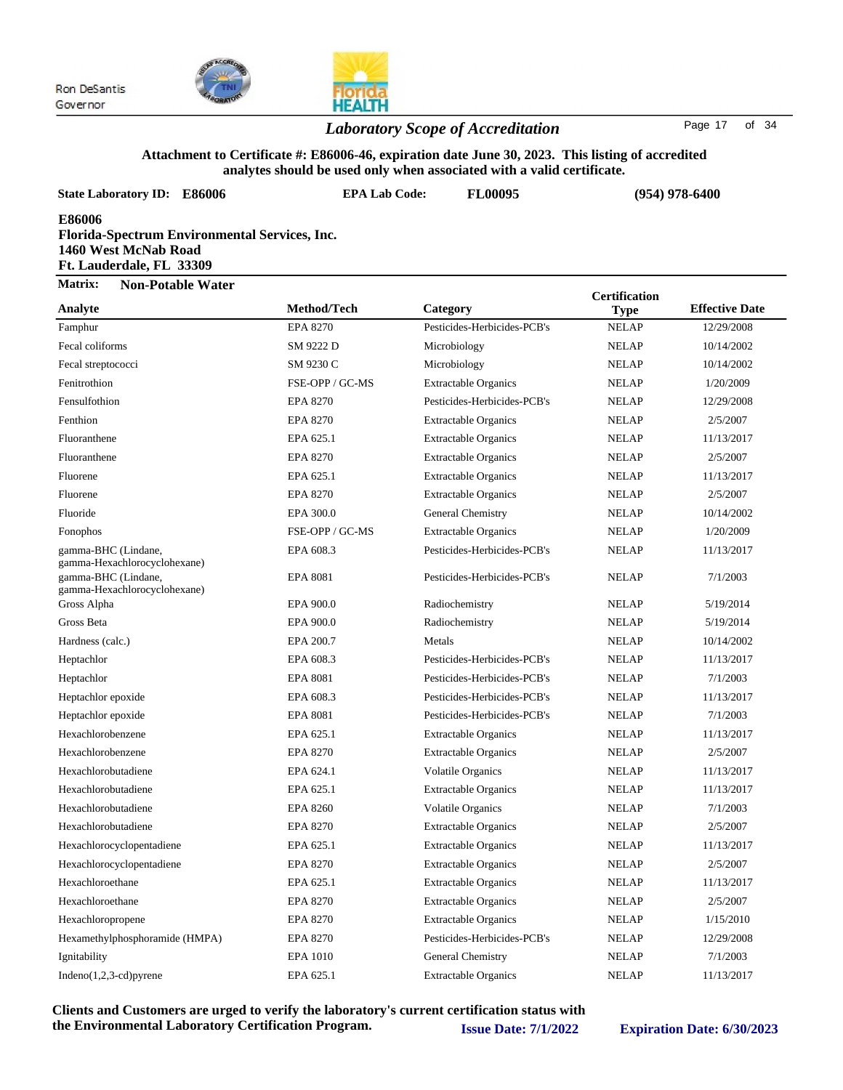

#### *Laboratory Scope of Accreditation* Page <sup>17</sup> of <sup>34</sup>

### **Attachment to Certificate #: E86006-46, expiration date June 30, 2023. This listing of accredited**

| analytes should be used only when associated with a valid certificate. |                                                      |                             |                      |                       |  |  |
|------------------------------------------------------------------------|------------------------------------------------------|-----------------------------|----------------------|-----------------------|--|--|
| <b>State Laboratory ID: E86006</b>                                     | <b>EPA Lab Code:</b>                                 | <b>FL00095</b>              |                      | $(954)$ 978-6400      |  |  |
| <b>E86006</b><br>1460 West McNab Road<br>Ft. Lauderdale, FL 33309      | <b>Florida-Spectrum Environmental Services, Inc.</b> |                             |                      |                       |  |  |
| Matrix:<br><b>Non-Potable Water</b>                                    |                                                      |                             | <b>Certification</b> |                       |  |  |
| Analyte                                                                | Method/Tech                                          | Category                    | <b>Type</b>          | <b>Effective Date</b> |  |  |
| Famphur                                                                | <b>EPA 8270</b>                                      | Pesticides-Herbicides-PCB's | <b>NELAP</b>         | 12/29/2008            |  |  |
| Fecal coliforms                                                        | SM 9222 D                                            | Microbiology                | <b>NELAP</b>         | 10/14/2002            |  |  |
| Fecal streptococci                                                     | SM 9230 C                                            | Microbiology                | <b>NELAP</b>         | 10/14/2002            |  |  |
| Fenitrothion                                                           | FSE-OPP / GC-MS                                      | <b>Extractable Organics</b> | <b>NELAP</b>         | 1/20/2009             |  |  |
| Fensulfothion                                                          | <b>EPA 8270</b>                                      | Pesticides-Herbicides-PCB's | <b>NELAP</b>         | 12/29/2008            |  |  |
| Fenthion                                                               | <b>EPA 8270</b>                                      | <b>Extractable Organics</b> | <b>NELAP</b>         | 2/5/2007              |  |  |
| Fluoranthene                                                           | EPA 625.1                                            | <b>Extractable Organics</b> | <b>NELAP</b>         | 11/13/2017            |  |  |
| Fluoranthene                                                           | <b>EPA 8270</b>                                      | <b>Extractable Organics</b> | <b>NELAP</b>         | 2/5/2007              |  |  |
| Fluorene                                                               | EPA 625.1                                            | <b>Extractable Organics</b> | <b>NELAP</b>         | 11/13/2017            |  |  |
| Fluorene                                                               | <b>EPA 8270</b>                                      | <b>Extractable Organics</b> | <b>NELAP</b>         | 2/5/2007              |  |  |
| Fluoride                                                               | EPA 300.0                                            | General Chemistry           | <b>NELAP</b>         | 10/14/2002            |  |  |
| Fonophos                                                               | FSE-OPP / GC-MS                                      | <b>Extractable Organics</b> | <b>NELAP</b>         | 1/20/2009             |  |  |
| gamma-BHC (Lindane,<br>gamma-Hexachlorocyclohexane)                    | EPA 608.3                                            | Pesticides-Herbicides-PCB's | <b>NELAP</b>         | 11/13/2017            |  |  |
| gamma-BHC (Lindane,<br>gamma-Hexachlorocyclohexane)                    | <b>EPA 8081</b>                                      | Pesticides-Herbicides-PCB's | <b>NELAP</b>         | 7/1/2003              |  |  |
| Gross Alpha                                                            | EPA 900.0                                            | Radiochemistry              | <b>NELAP</b>         | 5/19/2014             |  |  |
| Gross Beta                                                             | EPA 900.0                                            | Radiochemistry              | <b>NELAP</b>         | 5/19/2014             |  |  |
| Hardness (calc.)                                                       | EPA 200.7                                            | Metals                      | <b>NELAP</b>         | 10/14/2002            |  |  |
| Heptachlor                                                             | EPA 608.3                                            | Pesticides-Herbicides-PCB's | <b>NELAP</b>         | 11/13/2017            |  |  |
| Heptachlor                                                             | <b>EPA 8081</b>                                      | Pesticides-Herbicides-PCB's | <b>NELAP</b>         | 7/1/2003              |  |  |
| Heptachlor epoxide                                                     | EPA 608.3                                            | Pesticides-Herbicides-PCB's | <b>NELAP</b>         | 11/13/2017            |  |  |
| Heptachlor epoxide                                                     | <b>EPA 8081</b>                                      | Pesticides-Herbicides-PCB's | <b>NELAP</b>         | 7/1/2003              |  |  |
| Hexachlorobenzene                                                      | EPA 625.1                                            | <b>Extractable Organics</b> | <b>NELAP</b>         | 11/13/2017            |  |  |
| Hexachlorobenzene                                                      | <b>EPA 8270</b>                                      | <b>Extractable Organics</b> | <b>NELAP</b>         | 2/5/2007              |  |  |
| Hexachlorobutadiene                                                    | EPA 624.1                                            | <b>Volatile Organics</b>    | <b>NELAP</b>         | 11/13/2017            |  |  |
| Hexachlorobutadiene                                                    | EPA 625.1                                            | <b>Extractable Organics</b> | <b>NELAP</b>         | 11/13/2017            |  |  |
| Hexachlorobutadiene                                                    | <b>EPA 8260</b>                                      | Volatile Organics           | <b>NELAP</b>         | 7/1/2003              |  |  |
| Hexachlorobutadiene                                                    | <b>EPA 8270</b>                                      | <b>Extractable Organics</b> | <b>NELAP</b>         | 2/5/2007              |  |  |
| Hexachlorocyclopentadiene                                              | EPA 625.1                                            | <b>Extractable Organics</b> | <b>NELAP</b>         | 11/13/2017            |  |  |
| Hexachlorocyclopentadiene                                              | EPA 8270                                             | <b>Extractable Organics</b> | <b>NELAP</b>         | 2/5/2007              |  |  |
| Hexachloroethane                                                       | EPA 625.1                                            | <b>Extractable Organics</b> | <b>NELAP</b>         | 11/13/2017            |  |  |
| Hexachloroethane                                                       | <b>EPA 8270</b>                                      | <b>Extractable Organics</b> | <b>NELAP</b>         | 2/5/2007              |  |  |

Hexachloropropene EPA 8270 Extractable Organics NELAP 1/15/2010 Hexamethylphosphoramide (HMPA) EPA 8270 Pesticides-Herbicides-PCB's NELAP 12/29/2008 Ignitability EPA 1010 General Chemistry NELAP 7/1/2003 Indeno(1,2,3-cd)pyrene EPA 625.1 Extractable Organics NELAP 11/13/2017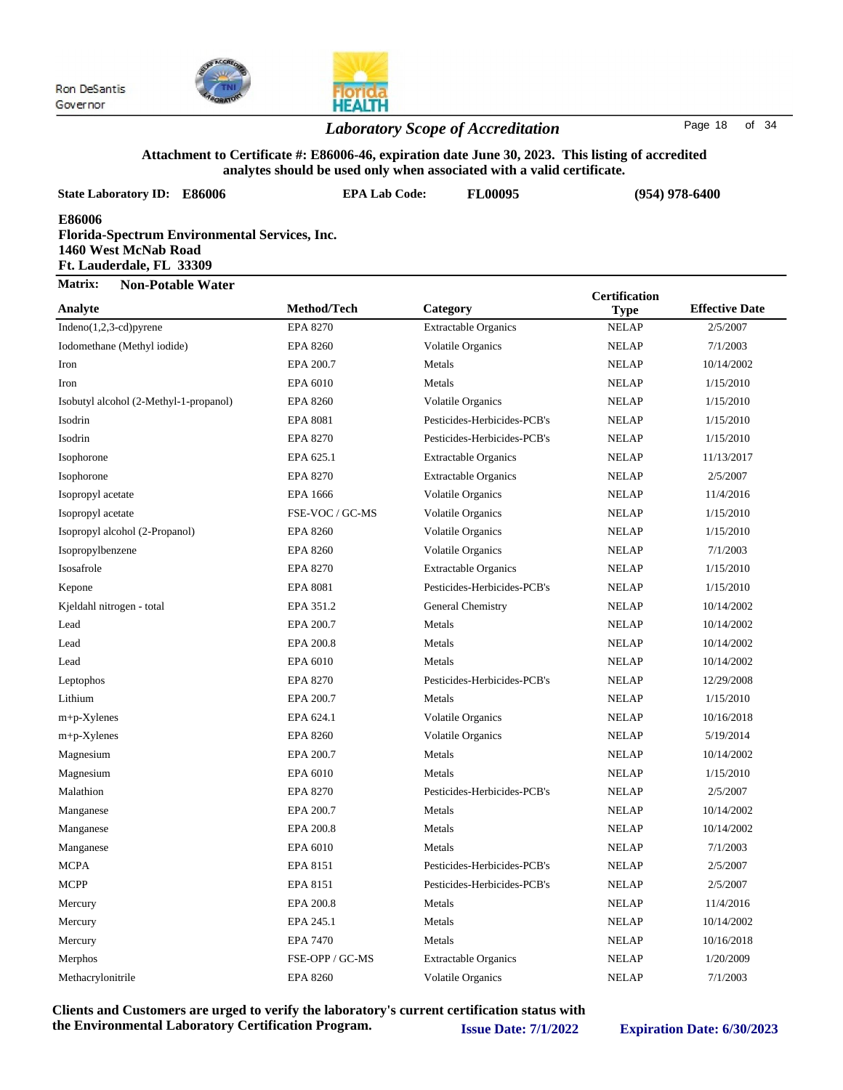

#### *Laboratory Scope of Accreditation* Page 18 of 34

#### **Attachment to Certificate #: E86006-46, expiration date June 30, 2023. This listing of accredited analytes should be used only when associated with a valid certificate.**

| analytes should be used only when associated with a valid certificate.                                      |                      |                             |                      |                       |  |  |
|-------------------------------------------------------------------------------------------------------------|----------------------|-----------------------------|----------------------|-----------------------|--|--|
| <b>State Laboratory ID: E86006</b>                                                                          | <b>EPA Lab Code:</b> | FL00095                     |                      | $(954)$ 978-6400      |  |  |
| E86006<br>Florida-Spectrum Environmental Services, Inc.<br>1460 West McNab Road<br>Ft. Lauderdale, FL 33309 |                      |                             |                      |                       |  |  |
| Matrix:<br><b>Non-Potable Water</b>                                                                         |                      |                             | <b>Certification</b> |                       |  |  |
| Analyte                                                                                                     | Method/Tech          | Category                    | <b>Type</b>          | <b>Effective Date</b> |  |  |
| Indeno(1,2,3-cd)pyrene                                                                                      | <b>EPA 8270</b>      | <b>Extractable Organics</b> | <b>NELAP</b>         | 2/5/2007              |  |  |
| Iodomethane (Methyl iodide)                                                                                 | <b>EPA 8260</b>      | Volatile Organics           | <b>NELAP</b>         | 7/1/2003              |  |  |
| Iron                                                                                                        | EPA 200.7            | Metals                      | <b>NELAP</b>         | 10/14/2002            |  |  |
| Iron                                                                                                        | EPA 6010             | Metals                      | <b>NELAP</b>         | 1/15/2010             |  |  |
| Isobutyl alcohol (2-Methyl-1-propanol)                                                                      | <b>EPA 8260</b>      | <b>Volatile Organics</b>    | <b>NELAP</b>         | 1/15/2010             |  |  |
| Isodrin                                                                                                     | EPA 8081             | Pesticides-Herbicides-PCB's | <b>NELAP</b>         | 1/15/2010             |  |  |
| Isodrin                                                                                                     | <b>EPA 8270</b>      | Pesticides-Herbicides-PCB's | <b>NELAP</b>         | 1/15/2010             |  |  |
| Isophorone                                                                                                  | EPA 625.1            | <b>Extractable Organics</b> | <b>NELAP</b>         | 11/13/2017            |  |  |
| Isophorone                                                                                                  | <b>EPA 8270</b>      | <b>Extractable Organics</b> | <b>NELAP</b>         | 2/5/2007              |  |  |
| Isopropyl acetate                                                                                           | EPA 1666             | Volatile Organics           | <b>NELAP</b>         | 11/4/2016             |  |  |
| Isopropyl acetate                                                                                           | FSE-VOC / GC-MS      | <b>Volatile Organics</b>    | <b>NELAP</b>         | 1/15/2010             |  |  |
| Isopropyl alcohol (2-Propanol)                                                                              | <b>EPA 8260</b>      | Volatile Organics           | <b>NELAP</b>         | 1/15/2010             |  |  |
| Isopropylbenzene                                                                                            | <b>EPA 8260</b>      | Volatile Organics           | <b>NELAP</b>         | 7/1/2003              |  |  |
| Isosafrole                                                                                                  | <b>EPA 8270</b>      | <b>Extractable Organics</b> | <b>NELAP</b>         | 1/15/2010             |  |  |
| Kepone                                                                                                      | <b>EPA 8081</b>      | Pesticides-Herbicides-PCB's | <b>NELAP</b>         | 1/15/2010             |  |  |
| Kjeldahl nitrogen - total                                                                                   | EPA 351.2            | General Chemistry           | <b>NELAP</b>         | 10/14/2002            |  |  |
| Lead                                                                                                        | EPA 200.7            | Metals                      | <b>NELAP</b>         | 10/14/2002            |  |  |
| Lead                                                                                                        | EPA 200.8            | Metals                      | <b>NELAP</b>         | 10/14/2002            |  |  |
| Lead                                                                                                        | EPA 6010             | Metals                      | <b>NELAP</b>         | 10/14/2002            |  |  |
| Leptophos                                                                                                   | <b>EPA 8270</b>      | Pesticides-Herbicides-PCB's | <b>NELAP</b>         | 12/29/2008            |  |  |
| Lithium                                                                                                     | EPA 200.7            | Metals                      | <b>NELAP</b>         | 1/15/2010             |  |  |
| $m+p$ -Xylenes                                                                                              | EPA 624.1            | <b>Volatile Organics</b>    | <b>NELAP</b>         | 10/16/2018            |  |  |
| $m+p$ -Xylenes                                                                                              | <b>EPA 8260</b>      | Volatile Organics           | <b>NELAP</b>         | 5/19/2014             |  |  |
| Magnesium                                                                                                   | EPA 200.7            | Metals                      | <b>NELAP</b>         | 10/14/2002            |  |  |
| Magnesium                                                                                                   | EPA 6010             | Metals                      | <b>NELAP</b>         | 1/15/2010             |  |  |
| Malathion                                                                                                   | <b>EPA 8270</b>      | Pesticides-Herbicides-PCB's | <b>NELAP</b>         | 2/5/2007              |  |  |
| Manganese                                                                                                   | EPA 200.7            | Metals                      | <b>NELAP</b>         | 10/14/2002            |  |  |
| Manganese                                                                                                   | EPA 200.8            | Metals                      | <b>NELAP</b>         | 10/14/2002            |  |  |
| Manganese                                                                                                   | EPA 6010             | Metals                      | <b>NELAP</b>         | 7/1/2003              |  |  |
| <b>MCPA</b>                                                                                                 | EPA 8151             | Pesticides-Herbicides-PCB's | <b>NELAP</b>         | 2/5/2007              |  |  |
| <b>MCPP</b>                                                                                                 | EPA 8151             | Pesticides-Herbicides-PCB's | <b>NELAP</b>         | 2/5/2007              |  |  |
| Mercury                                                                                                     | EPA 200.8            | Metals                      | <b>NELAP</b>         | 11/4/2016             |  |  |

Mercury **EPA 245.1** Metals NELAP 10/14/2002 Mercury **EPA 7470** Metals NELAP 10/16/2018 Merphos FSE-OPP / GC-MS Extractable Organics NELAP 1/20/2009 Methacrylonitrile EPA 8260 Volatile Organics NELAP 7/1/2003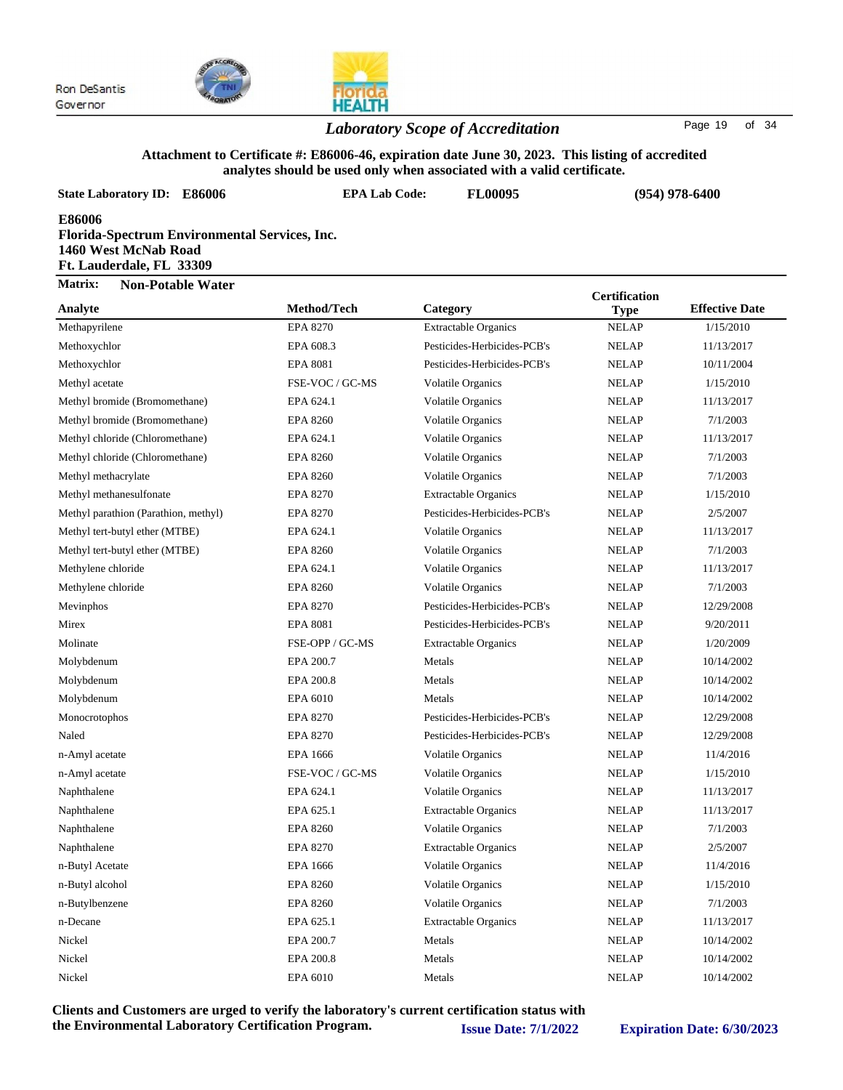

### *Laboratory Scope of Accreditation* Page <sup>19</sup> of <sup>34</sup>

#### **Attachment to Certificate #: E86006-46, expiration date June 30, 2023. This listing of accredited analytes should be used only when associated with a valid certificate.**

| analytes should be used only when associated with a valid certificate.                                      |                      |                             |                                     |                       |  |  |
|-------------------------------------------------------------------------------------------------------------|----------------------|-----------------------------|-------------------------------------|-----------------------|--|--|
| <b>State Laboratory ID: E86006</b>                                                                          | <b>EPA Lab Code:</b> | <b>FL00095</b>              |                                     | $(954)$ 978-6400      |  |  |
| E86006<br>Florida-Spectrum Environmental Services, Inc.<br>1460 West McNab Road<br>Ft. Lauderdale, FL 33309 |                      |                             |                                     |                       |  |  |
| Matrix:<br><b>Non-Potable Water</b>                                                                         |                      |                             |                                     |                       |  |  |
| Analyte                                                                                                     | Method/Tech          | Category                    | <b>Certification</b><br><b>Type</b> | <b>Effective Date</b> |  |  |
| Methapyrilene                                                                                               | <b>EPA 8270</b>      | <b>Extractable Organics</b> | <b>NELAP</b>                        | 1/15/2010             |  |  |
| Methoxychlor                                                                                                | EPA 608.3            | Pesticides-Herbicides-PCB's | <b>NELAP</b>                        | 11/13/2017            |  |  |
| Methoxychlor                                                                                                | <b>EPA 8081</b>      | Pesticides-Herbicides-PCB's | <b>NELAP</b>                        | 10/11/2004            |  |  |
| Methyl acetate                                                                                              | FSE-VOC / GC-MS      | <b>Volatile Organics</b>    | <b>NELAP</b>                        | 1/15/2010             |  |  |
| Methyl bromide (Bromomethane)                                                                               | EPA 624.1            | <b>Volatile Organics</b>    | <b>NELAP</b>                        | 11/13/2017            |  |  |
| Methyl bromide (Bromomethane)                                                                               | <b>EPA 8260</b>      | <b>Volatile Organics</b>    | <b>NELAP</b>                        | 7/1/2003              |  |  |
| Methyl chloride (Chloromethane)                                                                             | EPA 624.1            | <b>Volatile Organics</b>    | <b>NELAP</b>                        | 11/13/2017            |  |  |
| Methyl chloride (Chloromethane)                                                                             | <b>EPA 8260</b>      | <b>Volatile Organics</b>    | <b>NELAP</b>                        | 7/1/2003              |  |  |
| Methyl methacrylate                                                                                         | <b>EPA 8260</b>      | <b>Volatile Organics</b>    | <b>NELAP</b>                        | 7/1/2003              |  |  |
| Methyl methanesulfonate                                                                                     | <b>EPA 8270</b>      | <b>Extractable Organics</b> | <b>NELAP</b>                        | 1/15/2010             |  |  |
| Methyl parathion (Parathion, methyl)                                                                        | <b>EPA 8270</b>      | Pesticides-Herbicides-PCB's | <b>NELAP</b>                        | 2/5/2007              |  |  |
| Methyl tert-butyl ether (MTBE)                                                                              | EPA 624.1            | <b>Volatile Organics</b>    | <b>NELAP</b>                        | 11/13/2017            |  |  |
| Methyl tert-butyl ether (MTBE)                                                                              | <b>EPA 8260</b>      | <b>Volatile Organics</b>    | <b>NELAP</b>                        | 7/1/2003              |  |  |
| Methylene chloride                                                                                          | EPA 624.1            | <b>Volatile Organics</b>    | <b>NELAP</b>                        | 11/13/2017            |  |  |
| Methylene chloride                                                                                          | <b>EPA 8260</b>      | <b>Volatile Organics</b>    | <b>NELAP</b>                        | 7/1/2003              |  |  |
| Mevinphos                                                                                                   | <b>EPA 8270</b>      | Pesticides-Herbicides-PCB's | <b>NELAP</b>                        | 12/29/2008            |  |  |
| Mirex                                                                                                       | <b>EPA 8081</b>      | Pesticides-Herbicides-PCB's | <b>NELAP</b>                        | 9/20/2011             |  |  |
| Molinate                                                                                                    | FSE-OPP / GC-MS      | <b>Extractable Organics</b> | <b>NELAP</b>                        | 1/20/2009             |  |  |
| Molybdenum                                                                                                  | EPA 200.7            | Metals                      | <b>NELAP</b>                        | 10/14/2002            |  |  |
| Molybdenum                                                                                                  | EPA 200.8            | Metals                      | <b>NELAP</b>                        | 10/14/2002            |  |  |
| Molybdenum                                                                                                  | EPA 6010             | Metals                      | <b>NELAP</b>                        | 10/14/2002            |  |  |
| Monocrotophos                                                                                               | <b>EPA 8270</b>      | Pesticides-Herbicides-PCB's | <b>NELAP</b>                        | 12/29/2008            |  |  |
| Naled                                                                                                       | <b>EPA 8270</b>      | Pesticides-Herbicides-PCB's | <b>NELAP</b>                        | 12/29/2008            |  |  |
| n-Amyl acetate                                                                                              | <b>EPA 1666</b>      | <b>Volatile Organics</b>    | <b>NELAP</b>                        | 11/4/2016             |  |  |
| n-Amyl acetate                                                                                              | FSE-VOC / GC-MS      | <b>Volatile Organics</b>    | <b>NELAP</b>                        | 1/15/2010             |  |  |
| Naphthalene                                                                                                 | EPA 624.1            | Volatile Organics           | <b>NELAP</b>                        | 11/13/2017            |  |  |
| Naphthalene                                                                                                 | EPA 625.1            | <b>Extractable Organics</b> | <b>NELAP</b>                        | 11/13/2017            |  |  |
| Naphthalene                                                                                                 | EPA 8260             | Volatile Organics           | <b>NELAP</b>                        | 7/1/2003              |  |  |
| Naphthalene                                                                                                 | EPA 8270             | <b>Extractable Organics</b> | <b>NELAP</b>                        | 2/5/2007              |  |  |
| n-Butyl Acetate                                                                                             | EPA 1666             | Volatile Organics           | <b>NELAP</b>                        | 11/4/2016             |  |  |
| n-Butyl alcohol                                                                                             | <b>EPA 8260</b>      | <b>Volatile Organics</b>    | <b>NELAP</b>                        | 1/15/2010             |  |  |
| n-Butylbenzene                                                                                              | <b>EPA 8260</b>      | Volatile Organics           | <b>NELAP</b>                        | 7/1/2003              |  |  |
| n-Decane                                                                                                    | EPA 625.1            | <b>Extractable Organics</b> | <b>NELAP</b>                        | 11/13/2017            |  |  |
| Nickel                                                                                                      | EPA 200.7            | Metals                      | <b>NELAP</b>                        | 10/14/2002            |  |  |
| Nickel                                                                                                      | EPA 200.8            | Metals                      | <b>NELAP</b>                        | 10/14/2002            |  |  |

**Clients and Customers are urged to verify the laboratory's current certification status with the Environmental Laboratory Certification Program. Issue Date: 7/1/2022 Expiration Date: 6/30/2023**

Nickel EPA 6010 Metals NELAP 10/14/2002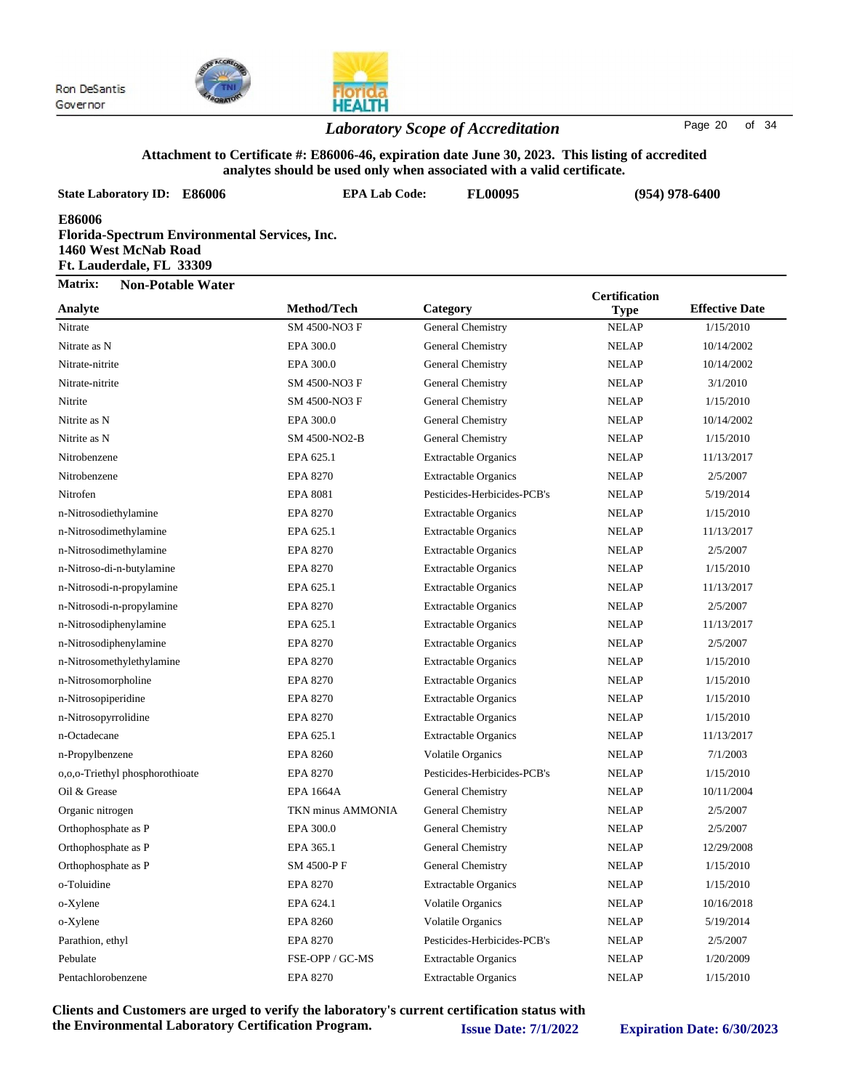

#### *Laboratory Scope of Accreditation* Page 20 of 34

#### **Attachment to Certificate #: E86006-46, expiration date June 30, 2023. This listing of accredited analytes should be used only when associated with a valid certificate.**

| <b>State Laboratory ID: E86006</b>                                                                                 | <b>EPA Lab Code:</b> | anarytes shourd be used only when associated with a valid certificate.<br>FL00095 |                      | $(954)$ 978-6400      |  |
|--------------------------------------------------------------------------------------------------------------------|----------------------|-----------------------------------------------------------------------------------|----------------------|-----------------------|--|
| <b>E86006</b><br>Florida-Spectrum Environmental Services, Inc.<br>1460 West McNab Road<br>Ft. Lauderdale, FL 33309 |                      |                                                                                   |                      |                       |  |
| <b>Matrix:</b><br><b>Non-Potable Water</b>                                                                         |                      |                                                                                   | <b>Certification</b> |                       |  |
| Analyte                                                                                                            | Method/Tech          | Category                                                                          | <b>Type</b>          | <b>Effective Date</b> |  |
| Nitrate                                                                                                            | SM 4500-NO3 F        | General Chemistry                                                                 | <b>NELAP</b>         | 1/15/2010             |  |
| Nitrate as N                                                                                                       | EPA 300.0            | General Chemistry                                                                 | <b>NELAP</b>         | 10/14/2002            |  |
| Nitrate-nitrite                                                                                                    | EPA 300.0            | General Chemistry                                                                 | <b>NELAP</b>         | 10/14/2002            |  |
| Nitrate-nitrite                                                                                                    | SM 4500-NO3 F        | General Chemistry                                                                 | <b>NELAP</b>         | 3/1/2010              |  |
| Nitrite                                                                                                            | SM 4500-NO3 F        | General Chemistry                                                                 | <b>NELAP</b>         | 1/15/2010             |  |
| Nitrite as N                                                                                                       | EPA 300.0            | General Chemistry                                                                 | <b>NELAP</b>         | 10/14/2002            |  |
| Nitrite as N                                                                                                       | SM 4500-NO2-B        | General Chemistry                                                                 | <b>NELAP</b>         | 1/15/2010             |  |
| Nitrobenzene                                                                                                       | EPA 625.1            | <b>Extractable Organics</b>                                                       | <b>NELAP</b>         | 11/13/2017            |  |
| Nitrobenzene                                                                                                       | <b>EPA 8270</b>      | <b>Extractable Organics</b>                                                       | <b>NELAP</b>         | 2/5/2007              |  |
| Nitrofen                                                                                                           | <b>EPA 8081</b>      | Pesticides-Herbicides-PCB's                                                       | <b>NELAP</b>         | 5/19/2014             |  |
| n-Nitrosodiethylamine                                                                                              | <b>EPA 8270</b>      | <b>Extractable Organics</b>                                                       | <b>NELAP</b>         | 1/15/2010             |  |
| n-Nitrosodimethylamine                                                                                             | EPA 625.1            | <b>Extractable Organics</b>                                                       | <b>NELAP</b>         | 11/13/2017            |  |
| n-Nitrosodimethylamine                                                                                             | <b>EPA 8270</b>      | <b>Extractable Organics</b>                                                       | <b>NELAP</b>         | 2/5/2007              |  |
| n-Nitroso-di-n-butylamine                                                                                          | <b>EPA 8270</b>      | <b>Extractable Organics</b>                                                       | <b>NELAP</b>         | 1/15/2010             |  |
| n-Nitrosodi-n-propylamine                                                                                          | EPA 625.1            | <b>Extractable Organics</b>                                                       | <b>NELAP</b>         | 11/13/2017            |  |
| n-Nitrosodi-n-propylamine                                                                                          | <b>EPA 8270</b>      | <b>Extractable Organics</b>                                                       | <b>NELAP</b>         | 2/5/2007              |  |
| n-Nitrosodiphenylamine                                                                                             | EPA 625.1            | <b>Extractable Organics</b>                                                       | <b>NELAP</b>         | 11/13/2017            |  |
| n-Nitrosodiphenylamine                                                                                             | <b>EPA 8270</b>      | <b>Extractable Organics</b>                                                       | <b>NELAP</b>         | 2/5/2007              |  |
| n-Nitrosomethylethylamine                                                                                          | <b>EPA 8270</b>      | <b>Extractable Organics</b>                                                       | <b>NELAP</b>         | 1/15/2010             |  |
| n-Nitrosomorpholine                                                                                                | <b>EPA 8270</b>      | <b>Extractable Organics</b>                                                       | <b>NELAP</b>         | 1/15/2010             |  |
| n-Nitrosopiperidine                                                                                                | <b>EPA 8270</b>      | <b>Extractable Organics</b>                                                       | <b>NELAP</b>         | 1/15/2010             |  |
| n-Nitrosopyrrolidine                                                                                               | <b>EPA 8270</b>      | <b>Extractable Organics</b>                                                       | <b>NELAP</b>         | 1/15/2010             |  |
| n-Octadecane                                                                                                       | EPA 625.1            | <b>Extractable Organics</b>                                                       | <b>NELAP</b>         | 11/13/2017            |  |
| n-Propylbenzene                                                                                                    | <b>EPA 8260</b>      | Volatile Organics                                                                 | <b>NELAP</b>         | 7/1/2003              |  |
| 0,0,0-Triethyl phosphorothioate                                                                                    | <b>EPA 8270</b>      | Pesticides-Herbicides-PCB's                                                       | <b>NELAP</b>         | 1/15/2010             |  |
| Oil & Grease                                                                                                       | <b>EPA 1664A</b>     | General Chemistry                                                                 | <b>NELAP</b>         | 10/11/2004            |  |
| Organic nitrogen                                                                                                   | TKN minus AMMONIA    | General Chemistry                                                                 | <b>NELAP</b>         | 2/5/2007              |  |
| Orthophosphate as P                                                                                                | EPA 300.0            | General Chemistry                                                                 | <b>NELAP</b>         | 2/5/2007              |  |
| Orthophosphate as P                                                                                                | EPA 365.1            | General Chemistry                                                                 | <b>NELAP</b>         | 12/29/2008            |  |
| Orthophosphate as P                                                                                                | SM 4500-P F          | General Chemistry                                                                 | <b>NELAP</b>         | 1/15/2010             |  |
| o-Toluidine                                                                                                        | <b>EPA 8270</b>      | <b>Extractable Organics</b>                                                       | <b>NELAP</b>         | 1/15/2010             |  |
| o-Xylene                                                                                                           | EPA 624.1            | Volatile Organics                                                                 | <b>NELAP</b>         | 10/16/2018            |  |
| o-Xylene                                                                                                           | <b>EPA 8260</b>      | Volatile Organics                                                                 | <b>NELAP</b>         | 5/19/2014             |  |
| Parathion, ethyl                                                                                                   | EPA 8270             | Pesticides-Herbicides-PCB's                                                       | <b>NELAP</b>         | 2/5/2007              |  |
| Pebulate                                                                                                           | FSE-OPP / GC-MS      | <b>Extractable Organics</b>                                                       | <b>NELAP</b>         | 1/20/2009             |  |
| Pentachlorobenzene                                                                                                 | EPA 8270             | <b>Extractable Organics</b>                                                       | <b>NELAP</b>         | 1/15/2010             |  |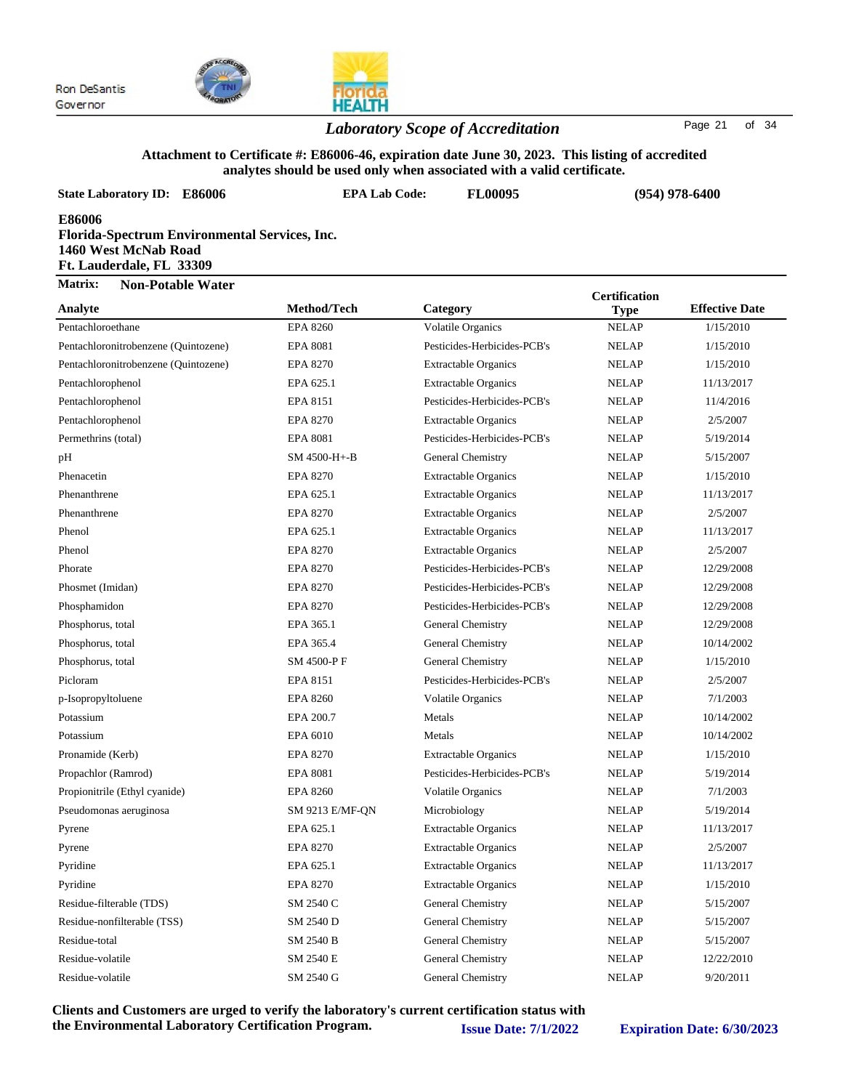



#### *Laboratory Scope of Accreditation* Page <sup>21</sup> of <sup>34</sup>

#### **Attachment to Certificate #: E86006-46, expiration date June 30, 2023. This listing of accredited analytes should be used only when associated with a valid certificate.**

| <b>State Laboratory ID:</b><br><b>E86006</b>                                                                | <b>EPA Lab Code:</b> | anaryics should be used only when associated with a vand certificate.<br><b>FL00095</b> |                      | $(954)$ 978-6400      |  |
|-------------------------------------------------------------------------------------------------------------|----------------------|-----------------------------------------------------------------------------------------|----------------------|-----------------------|--|
| E86006<br>Florida-Spectrum Environmental Services, Inc.<br>1460 West McNab Road<br>Ft. Lauderdale, FL 33309 |                      |                                                                                         |                      |                       |  |
| Matrix:<br><b>Non-Potable Water</b>                                                                         |                      |                                                                                         | <b>Certification</b> |                       |  |
| Analyte                                                                                                     | Method/Tech          | Category                                                                                | <b>Type</b>          | <b>Effective Date</b> |  |
| Pentachloroethane                                                                                           | <b>EPA 8260</b>      | Volatile Organics                                                                       | <b>NELAP</b>         | 1/15/2010             |  |
| Pentachloronitrobenzene (Quintozene)                                                                        | <b>EPA 8081</b>      | Pesticides-Herbicides-PCB's                                                             | <b>NELAP</b>         | 1/15/2010             |  |
| Pentachloronitrobenzene (Quintozene)                                                                        | <b>EPA 8270</b>      | <b>Extractable Organics</b>                                                             | <b>NELAP</b>         | 1/15/2010             |  |
| Pentachlorophenol                                                                                           | EPA 625.1            | <b>Extractable Organics</b>                                                             | <b>NELAP</b>         | 11/13/2017            |  |
| Pentachlorophenol                                                                                           | EPA 8151             | Pesticides-Herbicides-PCB's                                                             | <b>NELAP</b>         | 11/4/2016             |  |
| Pentachlorophenol                                                                                           | <b>EPA 8270</b>      | <b>Extractable Organics</b>                                                             | <b>NELAP</b>         | 2/5/2007              |  |
| Permethrins (total)                                                                                         | <b>EPA 8081</b>      | Pesticides-Herbicides-PCB's                                                             | <b>NELAP</b>         | 5/19/2014             |  |
| pH                                                                                                          | SM 4500-H+-B         | General Chemistry                                                                       | <b>NELAP</b>         | 5/15/2007             |  |
| Phenacetin                                                                                                  | <b>EPA 8270</b>      | <b>Extractable Organics</b>                                                             | <b>NELAP</b>         | 1/15/2010             |  |
| Phenanthrene                                                                                                | EPA 625.1            | <b>Extractable Organics</b>                                                             | <b>NELAP</b>         | 11/13/2017            |  |
| Phenanthrene                                                                                                | <b>EPA 8270</b>      | <b>Extractable Organics</b>                                                             | <b>NELAP</b>         | 2/5/2007              |  |
| Phenol                                                                                                      | EPA 625.1            | <b>Extractable Organics</b>                                                             | <b>NELAP</b>         | 11/13/2017            |  |
| Phenol                                                                                                      | <b>EPA 8270</b>      | <b>Extractable Organics</b>                                                             | <b>NELAP</b>         | 2/5/2007              |  |
| Phorate                                                                                                     | <b>EPA 8270</b>      | Pesticides-Herbicides-PCB's                                                             | <b>NELAP</b>         | 12/29/2008            |  |
| Phosmet (Imidan)                                                                                            | <b>EPA 8270</b>      | Pesticides-Herbicides-PCB's                                                             | <b>NELAP</b>         | 12/29/2008            |  |
| Phosphamidon                                                                                                | <b>EPA 8270</b>      | Pesticides-Herbicides-PCB's                                                             | <b>NELAP</b>         | 12/29/2008            |  |
| Phosphorus, total                                                                                           | EPA 365.1            | General Chemistry                                                                       | <b>NELAP</b>         | 12/29/2008            |  |
| Phosphorus, total                                                                                           | EPA 365.4            | General Chemistry                                                                       | <b>NELAP</b>         | 10/14/2002            |  |
| Phosphorus, total                                                                                           | SM 4500-PF           | General Chemistry                                                                       | <b>NELAP</b>         | 1/15/2010             |  |
| Picloram                                                                                                    | EPA 8151             | Pesticides-Herbicides-PCB's                                                             | <b>NELAP</b>         | 2/5/2007              |  |
| p-Isopropyltoluene                                                                                          | <b>EPA 8260</b>      | <b>Volatile Organics</b>                                                                | <b>NELAP</b>         | 7/1/2003              |  |
| Potassium                                                                                                   | EPA 200.7            | Metals                                                                                  | <b>NELAP</b>         | 10/14/2002            |  |
| Potassium                                                                                                   | EPA 6010             | Metals                                                                                  | <b>NELAP</b>         | 10/14/2002            |  |
| Pronamide (Kerb)                                                                                            | <b>EPA 8270</b>      | <b>Extractable Organics</b>                                                             | <b>NELAP</b>         | 1/15/2010             |  |
| Propachlor (Ramrod)                                                                                         | <b>EPA 8081</b>      | Pesticides-Herbicides-PCB's                                                             | <b>NELAP</b>         | 5/19/2014             |  |
| Propionitrile (Ethyl cyanide)                                                                               | <b>EPA 8260</b>      | Volatile Organics                                                                       | <b>NELAP</b>         | 7/1/2003              |  |
| Pseudomonas aeruginosa                                                                                      | SM 9213 E/MF-QN      | Microbiology                                                                            | <b>NELAP</b>         | 5/19/2014             |  |
| Pyrene                                                                                                      | EPA 625.1            | <b>Extractable Organics</b>                                                             | <b>NELAP</b>         | 11/13/2017            |  |
| Pyrene                                                                                                      | <b>EPA 8270</b>      | <b>Extractable Organics</b>                                                             | <b>NELAP</b>         | 2/5/2007              |  |
| Pyridine                                                                                                    | EPA 625.1            | <b>Extractable Organics</b>                                                             | <b>NELAP</b>         | 11/13/2017            |  |
| Pyridine                                                                                                    | EPA 8270             | <b>Extractable Organics</b>                                                             | <b>NELAP</b>         | 1/15/2010             |  |
| Residue-filterable (TDS)                                                                                    | SM 2540 C            | General Chemistry                                                                       | <b>NELAP</b>         | 5/15/2007             |  |
| Residue-nonfilterable (TSS)                                                                                 | SM 2540 D            | General Chemistry                                                                       | <b>NELAP</b>         | 5/15/2007             |  |
| Residue-total                                                                                               | SM 2540 B            | General Chemistry                                                                       | <b>NELAP</b>         | 5/15/2007             |  |
| Residue-volatile                                                                                            | SM 2540 E            | General Chemistry                                                                       | <b>NELAP</b>         | 12/22/2010            |  |

**Clients and Customers are urged to verify the laboratory's current certification status with the Environmental Laboratory Certification Program. Issue Date: 7/1/2022 Expiration Date: 6/30/2023**

Residue-volatile SM 2540 G General Chemistry NELAP 9/20/2011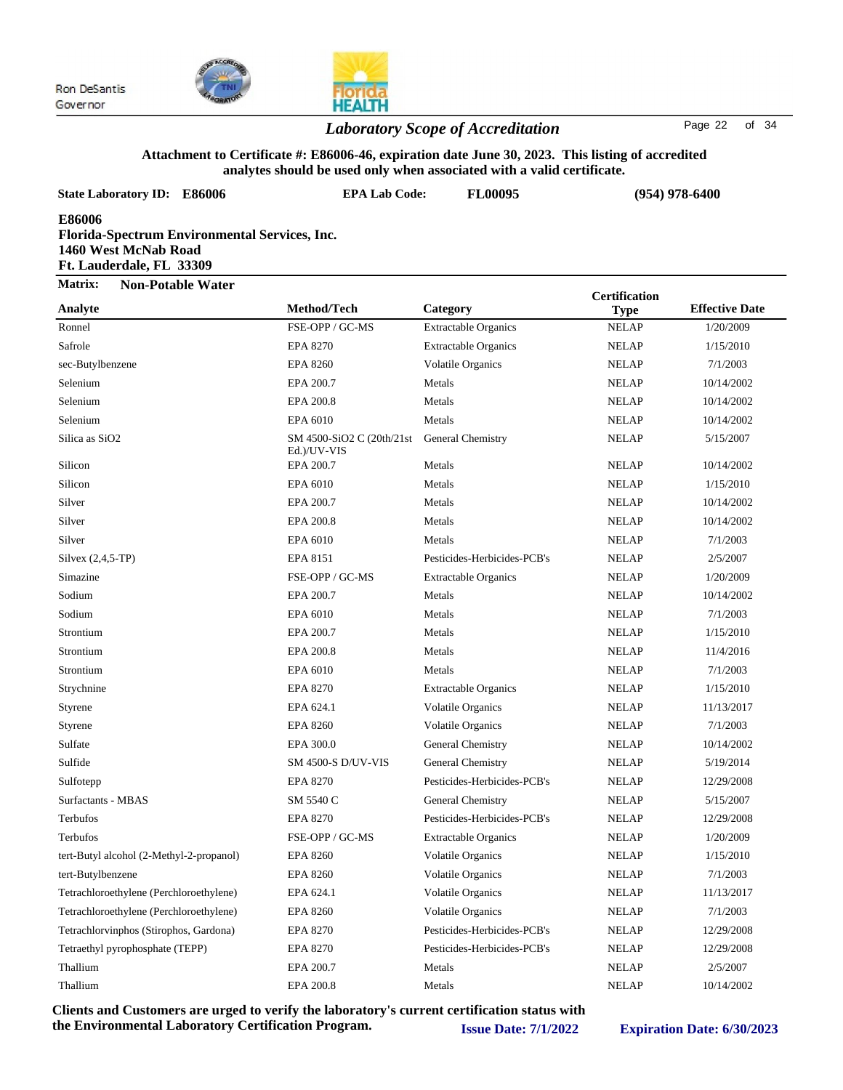



### *Laboratory Scope of Accreditation* Page <sup>22</sup> of <sup>34</sup>

#### **Attachment to Certificate #: E86006-46, expiration date June 30, 2023. This listing of accredited analytes should be used only when associated with a valid certificate.**

| <b>State Laboratory ID: E86006</b>                                                                          | co onouru oc uscu omy<br>сп аззостатся with a vanu<br><b>EPA Lab Code:</b><br><b>FL00095</b> |                             |                      | $(954)$ 978-6400      |  |
|-------------------------------------------------------------------------------------------------------------|----------------------------------------------------------------------------------------------|-----------------------------|----------------------|-----------------------|--|
| E86006<br>Florida-Spectrum Environmental Services, Inc.<br>1460 West McNab Road<br>Ft. Lauderdale, FL 33309 |                                                                                              |                             |                      |                       |  |
| Matrix:<br><b>Non-Potable Water</b>                                                                         |                                                                                              |                             | <b>Certification</b> |                       |  |
| Analyte                                                                                                     | Method/Tech                                                                                  | Category                    | <b>Type</b>          | <b>Effective Date</b> |  |
| Ronnel                                                                                                      | FSE-OPP / GC-MS                                                                              | <b>Extractable Organics</b> | <b>NELAP</b>         | 1/20/2009             |  |
| Safrole                                                                                                     | <b>EPA 8270</b>                                                                              | <b>Extractable Organics</b> | <b>NELAP</b>         | 1/15/2010             |  |
| sec-Butylbenzene                                                                                            | <b>EPA 8260</b>                                                                              | <b>Volatile Organics</b>    | <b>NELAP</b>         | 7/1/2003              |  |
| Selenium                                                                                                    | EPA 200.7                                                                                    | Metals                      | <b>NELAP</b>         | 10/14/2002            |  |
| Selenium                                                                                                    | EPA 200.8                                                                                    | Metals                      | <b>NELAP</b>         | 10/14/2002            |  |
| Selenium                                                                                                    | EPA 6010                                                                                     | Metals                      | <b>NELAP</b>         | 10/14/2002            |  |
| Silica as SiO <sub>2</sub>                                                                                  | SM 4500-SiO2 C (20th/21st)<br>Ed.)/UV-VIS                                                    | General Chemistry           | <b>NELAP</b>         | 5/15/2007             |  |
| Silicon                                                                                                     | EPA 200.7                                                                                    | Metals                      | <b>NELAP</b>         | 10/14/2002            |  |
| Silicon                                                                                                     | EPA 6010                                                                                     | Metals                      | <b>NELAP</b>         | 1/15/2010             |  |
| Silver                                                                                                      | EPA 200.7                                                                                    | Metals                      | <b>NELAP</b>         | 10/14/2002            |  |
| Silver                                                                                                      | EPA 200.8                                                                                    | Metals                      | <b>NELAP</b>         | 10/14/2002            |  |
| Silver                                                                                                      | EPA 6010                                                                                     | Metals                      | <b>NELAP</b>         | 7/1/2003              |  |
| Silvex $(2,4,5-TP)$                                                                                         | <b>EPA 8151</b>                                                                              | Pesticides-Herbicides-PCB's | <b>NELAP</b>         | 2/5/2007              |  |
| Simazine                                                                                                    | FSE-OPP / GC-MS                                                                              | <b>Extractable Organics</b> | <b>NELAP</b>         | 1/20/2009             |  |
| Sodium                                                                                                      | EPA 200.7                                                                                    | Metals                      | <b>NELAP</b>         | 10/14/2002            |  |
| Sodium                                                                                                      | EPA 6010                                                                                     | Metals                      | <b>NELAP</b>         | 7/1/2003              |  |
| Strontium                                                                                                   | EPA 200.7                                                                                    | Metals                      | <b>NELAP</b>         | 1/15/2010             |  |
| Strontium                                                                                                   | EPA 200.8                                                                                    | Metals                      | <b>NELAP</b>         | 11/4/2016             |  |
| Strontium                                                                                                   | EPA 6010                                                                                     | Metals                      | <b>NELAP</b>         | 7/1/2003              |  |
| Strychnine                                                                                                  | <b>EPA 8270</b>                                                                              | <b>Extractable Organics</b> | <b>NELAP</b>         | 1/15/2010             |  |
| Styrene                                                                                                     | EPA 624.1                                                                                    | <b>Volatile Organics</b>    | <b>NELAP</b>         | 11/13/2017            |  |
| Styrene                                                                                                     | <b>EPA 8260</b>                                                                              | <b>Volatile Organics</b>    | <b>NELAP</b>         | 7/1/2003              |  |
| Sulfate                                                                                                     | EPA 300.0                                                                                    | General Chemistry           | <b>NELAP</b>         | 10/14/2002            |  |
| Sulfide                                                                                                     | <b>SM 4500-S D/UV-VIS</b>                                                                    | General Chemistry           | <b>NELAP</b>         | 5/19/2014             |  |
| Sulfotepp                                                                                                   | <b>EPA 8270</b>                                                                              | Pesticides-Herbicides-PCB's | <b>NELAP</b>         | 12/29/2008            |  |
| Surfactants - MBAS                                                                                          | SM 5540 C                                                                                    | General Chemistry           | <b>NELAP</b>         | 5/15/2007             |  |
| Terbufos                                                                                                    | EPA 8270                                                                                     | Pesticides-Herbicides-PCB's | <b>NELAP</b>         | 12/29/2008            |  |
| Terbufos                                                                                                    | FSE-OPP / GC-MS                                                                              | <b>Extractable Organics</b> | <b>NELAP</b>         | 1/20/2009             |  |
| tert-Butyl alcohol (2-Methyl-2-propanol)                                                                    | <b>EPA 8260</b>                                                                              | <b>Volatile Organics</b>    | <b>NELAP</b>         | 1/15/2010             |  |
| tert-Butylbenzene                                                                                           | <b>EPA 8260</b>                                                                              | <b>Volatile Organics</b>    | <b>NELAP</b>         | 7/1/2003              |  |
| Tetrachloroethylene (Perchloroethylene)                                                                     | EPA 624.1                                                                                    | <b>Volatile Organics</b>    | <b>NELAP</b>         | 11/13/2017            |  |
| Tetrachloroethylene (Perchloroethylene)                                                                     | <b>EPA 8260</b>                                                                              | <b>Volatile Organics</b>    | <b>NELAP</b>         | 7/1/2003              |  |
| Tetrachlorvinphos (Stirophos, Gardona)                                                                      | EPA 8270                                                                                     | Pesticides-Herbicides-PCB's | <b>NELAP</b>         | 12/29/2008            |  |
| Tetraethyl pyrophosphate (TEPP)                                                                             | EPA 8270                                                                                     | Pesticides-Herbicides-PCB's | <b>NELAP</b>         | 12/29/2008            |  |
| Thallium                                                                                                    | EPA 200.7                                                                                    | Metals                      | <b>NELAP</b>         | 2/5/2007              |  |

**Clients and Customers are urged to verify the laboratory's current certification status with the Environmental Laboratory Certification Program. Issue Date: 7/1/2022 Expiration Date: 6/30/2023**

Thallium **EPA 200.8** Metals NELAP 10/14/2002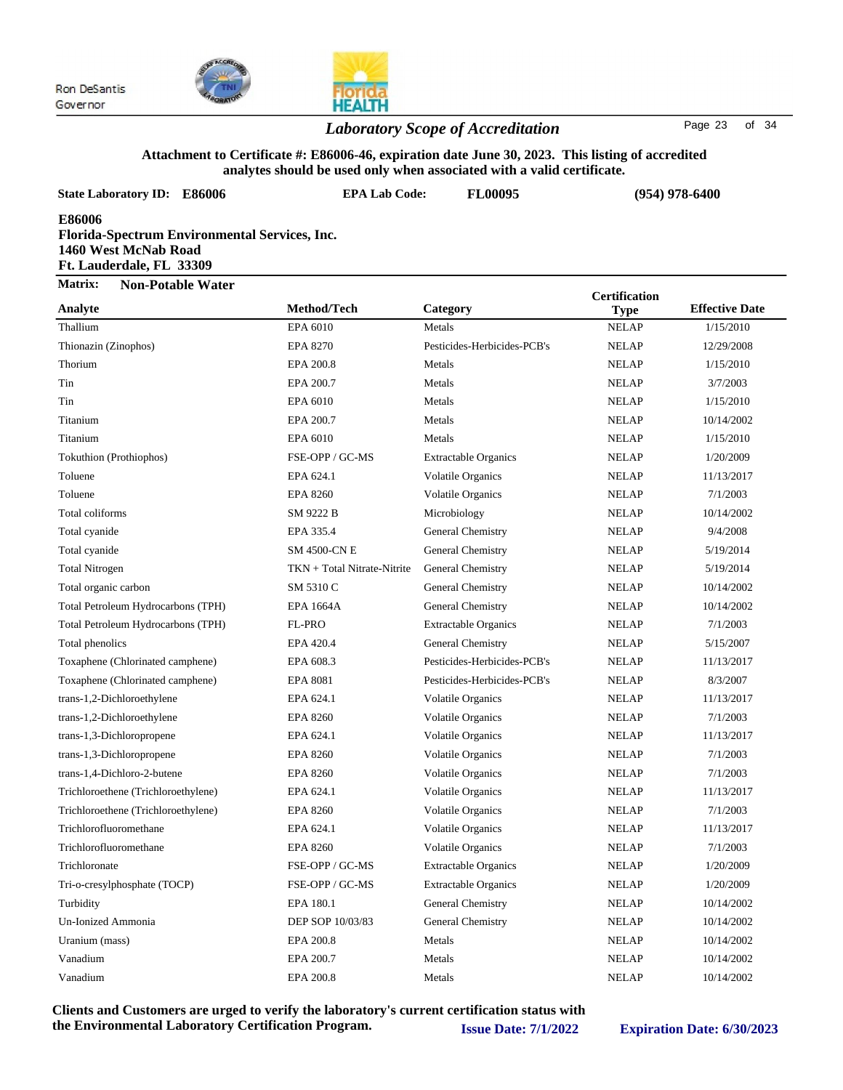



#### *Laboratory Scope of Accreditation* Page <sup>23</sup> of <sup>34</sup>

#### **Attachment to Certificate #: E86006-46, expiration date June 30, 2023. This listing of accredited analytes should be used only when associated with a valid certificate.**

| <b>State Laboratory ID: E86006</b>                                                                                              | anarytes should be used only when associated with a vand teruntate.<br><b>EPA Lab Code:</b> | <b>FL00095</b>              |                                     |                       |  |
|---------------------------------------------------------------------------------------------------------------------------------|---------------------------------------------------------------------------------------------|-----------------------------|-------------------------------------|-----------------------|--|
| $(954)$ 978-6400<br>E86006<br>Florida-Spectrum Environmental Services, Inc.<br>1460 West McNab Road<br>Ft. Lauderdale, FL 33309 |                                                                                             |                             |                                     |                       |  |
| Matrix:<br><b>Non-Potable Water</b>                                                                                             |                                                                                             |                             |                                     |                       |  |
| Analyte                                                                                                                         | Method/Tech                                                                                 | Category                    | <b>Certification</b><br><b>Type</b> | <b>Effective Date</b> |  |
| Thallium                                                                                                                        | EPA 6010                                                                                    | Metals                      | <b>NELAP</b>                        | 1/15/2010             |  |
| Thionazin (Zinophos)                                                                                                            | <b>EPA 8270</b>                                                                             | Pesticides-Herbicides-PCB's | <b>NELAP</b>                        | 12/29/2008            |  |
| Thorium                                                                                                                         | EPA 200.8                                                                                   | Metals                      | <b>NELAP</b>                        | 1/15/2010             |  |
| Tin                                                                                                                             | EPA 200.7                                                                                   | Metals                      | <b>NELAP</b>                        | 3/7/2003              |  |
| Tin                                                                                                                             | EPA 6010                                                                                    | Metals                      | <b>NELAP</b>                        | 1/15/2010             |  |
| Titanium                                                                                                                        | EPA 200.7                                                                                   | Metals                      | <b>NELAP</b>                        | 10/14/2002            |  |
| Titanium                                                                                                                        | EPA 6010                                                                                    | Metals                      | <b>NELAP</b>                        | 1/15/2010             |  |
| Tokuthion (Prothiophos)                                                                                                         | FSE-OPP / GC-MS                                                                             | <b>Extractable Organics</b> | <b>NELAP</b>                        | 1/20/2009             |  |
| Toluene                                                                                                                         | EPA 624.1                                                                                   | <b>Volatile Organics</b>    | <b>NELAP</b>                        | 11/13/2017            |  |
| Toluene                                                                                                                         | <b>EPA 8260</b>                                                                             | Volatile Organics           | <b>NELAP</b>                        | 7/1/2003              |  |
| Total coliforms                                                                                                                 | SM 9222 B                                                                                   | Microbiology                | <b>NELAP</b>                        | 10/14/2002            |  |
| Total cyanide                                                                                                                   | EPA 335.4                                                                                   | General Chemistry           | <b>NELAP</b>                        | 9/4/2008              |  |
| Total cyanide                                                                                                                   | <b>SM 4500-CN E</b>                                                                         | General Chemistry           | <b>NELAP</b>                        | 5/19/2014             |  |
| <b>Total Nitrogen</b>                                                                                                           | TKN + Total Nitrate-Nitrite                                                                 | <b>General Chemistry</b>    | <b>NELAP</b>                        | 5/19/2014             |  |
| Total organic carbon                                                                                                            | SM 5310 C                                                                                   | General Chemistry           | <b>NELAP</b>                        | 10/14/2002            |  |
| Total Petroleum Hydrocarbons (TPH)                                                                                              | <b>EPA 1664A</b>                                                                            | General Chemistry           | <b>NELAP</b>                        | 10/14/2002            |  |
| Total Petroleum Hydrocarbons (TPH)                                                                                              | FL-PRO                                                                                      | <b>Extractable Organics</b> | <b>NELAP</b>                        | 7/1/2003              |  |
| Total phenolics                                                                                                                 | EPA 420.4                                                                                   | General Chemistry           | <b>NELAP</b>                        | 5/15/2007             |  |
| Toxaphene (Chlorinated camphene)                                                                                                | EPA 608.3                                                                                   | Pesticides-Herbicides-PCB's | <b>NELAP</b>                        | 11/13/2017            |  |
| Toxaphene (Chlorinated camphene)                                                                                                | <b>EPA 8081</b>                                                                             | Pesticides-Herbicides-PCB's | <b>NELAP</b>                        | 8/3/2007              |  |
| trans-1,2-Dichloroethylene                                                                                                      | EPA 624.1                                                                                   | <b>Volatile Organics</b>    | <b>NELAP</b>                        | 11/13/2017            |  |
| trans-1,2-Dichloroethylene                                                                                                      | <b>EPA 8260</b>                                                                             | Volatile Organics           | <b>NELAP</b>                        | 7/1/2003              |  |
| trans-1,3-Dichloropropene                                                                                                       | EPA 624.1                                                                                   | Volatile Organics           | <b>NELAP</b>                        | 11/13/2017            |  |
| trans-1,3-Dichloropropene                                                                                                       | <b>EPA 8260</b>                                                                             | Volatile Organics           | <b>NELAP</b>                        | 7/1/2003              |  |
| trans-1,4-Dichloro-2-butene                                                                                                     | <b>EPA 8260</b>                                                                             | <b>Volatile Organics</b>    | <b>NELAP</b>                        | 7/1/2003              |  |
| Trichloroethene (Trichloroethylene)                                                                                             | EPA 624.1                                                                                   | Volatile Organics           | <b>NELAP</b>                        | 11/13/2017            |  |
| Trichloroethene (Trichloroethylene)                                                                                             | <b>EPA 8260</b>                                                                             | <b>Volatile Organics</b>    | <b>NELAP</b>                        | 7/1/2003              |  |
| Trichlorofluoromethane                                                                                                          | EPA 624.1                                                                                   | Volatile Organics           | <b>NELAP</b>                        | 11/13/2017            |  |
| Trichlorofluoromethane                                                                                                          | <b>EPA 8260</b>                                                                             | Volatile Organics           | <b>NELAP</b>                        | 7/1/2003              |  |
| Trichloronate                                                                                                                   | FSE-OPP / GC-MS                                                                             | <b>Extractable Organics</b> | <b>NELAP</b>                        | 1/20/2009             |  |
| Tri-o-cresylphosphate (TOCP)                                                                                                    | FSE-OPP / GC-MS                                                                             | <b>Extractable Organics</b> | <b>NELAP</b>                        | 1/20/2009             |  |
| Turbidity                                                                                                                       | EPA 180.1                                                                                   | General Chemistry           | <b>NELAP</b>                        | 10/14/2002            |  |
| Un-Ionized Ammonia                                                                                                              | DEP SOP 10/03/83                                                                            | General Chemistry           | <b>NELAP</b>                        | 10/14/2002            |  |
| Uranium (mass)                                                                                                                  | EPA 200.8                                                                                   | Metals                      | <b>NELAP</b>                        | 10/14/2002            |  |
| Vanadium                                                                                                                        | EPA 200.7                                                                                   | Metals                      | <b>NELAP</b>                        | 10/14/2002            |  |

Vanadium 10/14/2002 EPA 200.8 Metals Metals NELAP 10/14/2002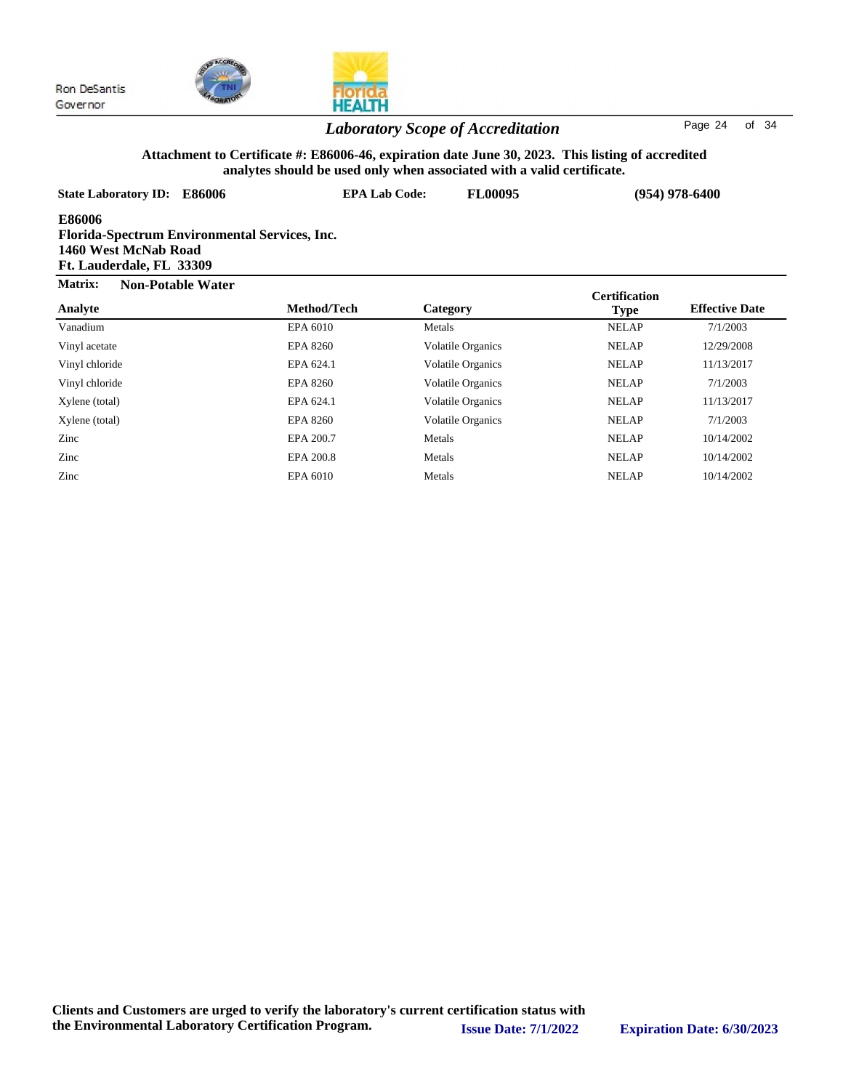



### *Laboratory Scope of Accreditation* Page <sup>24</sup> of <sup>34</sup>

#### **Attachment to Certificate #: E86006-46, expiration date June 30, 2023. This listing of accredited analytes should be used only when associated with a valid certificate.**

| <b>State Laboratory ID:</b><br>E86006                                                                              |                 | <b>EPA Lab Code:</b><br><b>FL00095</b> |                      | $(954)$ 978-6400      |
|--------------------------------------------------------------------------------------------------------------------|-----------------|----------------------------------------|----------------------|-----------------------|
| <b>E86006</b><br>Florida-Spectrum Environmental Services, Inc.<br>1460 West McNab Road<br>Ft. Lauderdale, FL 33309 |                 |                                        |                      |                       |
| Matrix:<br><b>Non-Potable Water</b>                                                                                |                 |                                        | <b>Certification</b> |                       |
| Analyte                                                                                                            | Method/Tech     | Category                               | <b>Type</b>          | <b>Effective Date</b> |
| Vanadium                                                                                                           | EPA 6010        | Metals                                 | <b>NELAP</b>         | 7/1/2003              |
| Vinyl acetate                                                                                                      | <b>EPA 8260</b> | <b>Volatile Organics</b>               | <b>NELAP</b>         | 12/29/2008            |
| Vinyl chloride                                                                                                     | EPA 624.1       | <b>Volatile Organics</b>               | <b>NELAP</b>         | 11/13/2017            |
| Vinyl chloride                                                                                                     | EPA 8260        | <b>Volatile Organics</b>               | <b>NELAP</b>         | 7/1/2003              |
| Xylene (total)                                                                                                     | EPA 624.1       | <b>Volatile Organics</b>               | <b>NELAP</b>         | 11/13/2017            |
| Xylene (total)                                                                                                     | <b>EPA 8260</b> | <b>Volatile Organics</b>               | <b>NELAP</b>         | 7/1/2003              |
| Zinc                                                                                                               | EPA 200.7       | Metals                                 | <b>NELAP</b>         | 10/14/2002            |
| Zinc                                                                                                               | EPA 200.8       | Metals                                 | <b>NELAP</b>         | 10/14/2002            |
| Zinc                                                                                                               | EPA 6010        | Metals                                 | <b>NELAP</b>         | 10/14/2002            |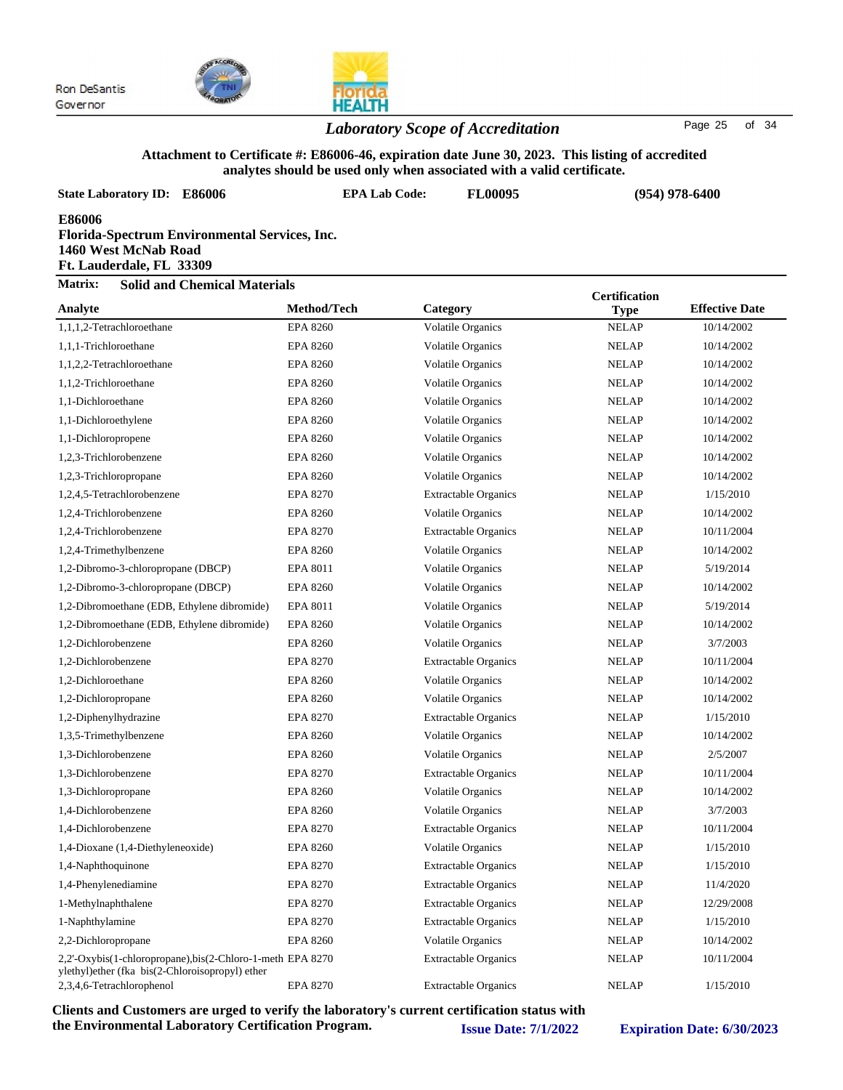

#### *Laboratory Scope of Accreditation* Page <sup>25</sup> of <sup>34</sup>

#### **Attachment to Certificate #: E86006-46, expiration date June 30, 2023. This listing of accredited analytes should be used only when associated with a valid certificate.**

| <b>State Laboratory ID: E86006</b>                                                                          |                 | <b>EPA Lab Code:</b> | FL00095                     |                      | $(954)$ 978-6400      |
|-------------------------------------------------------------------------------------------------------------|-----------------|----------------------|-----------------------------|----------------------|-----------------------|
| E86006<br>Florida-Spectrum Environmental Services, Inc.<br>1460 West McNab Road<br>Ft. Lauderdale, FL 33309 |                 |                      |                             |                      |                       |
| Matrix:<br><b>Solid and Chemical Materials</b>                                                              |                 |                      |                             | <b>Certification</b> |                       |
| Analyte                                                                                                     | Method/Tech     | Category             |                             | <b>Type</b>          | <b>Effective Date</b> |
| 1,1,1,2-Tetrachloroethane                                                                                   | <b>EPA 8260</b> |                      | <b>Volatile Organics</b>    | <b>NELAP</b>         | 10/14/2002            |
| 1,1,1-Trichloroethane                                                                                       | <b>EPA 8260</b> |                      | <b>Volatile Organics</b>    | <b>NELAP</b>         | 10/14/2002            |
| 1,1,2,2-Tetrachloroethane                                                                                   | <b>EPA 8260</b> |                      | Volatile Organics           | <b>NELAP</b>         | 10/14/2002            |
| 1,1,2-Trichloroethane                                                                                       | <b>EPA 8260</b> |                      | <b>Volatile Organics</b>    | <b>NELAP</b>         | 10/14/2002            |
| 1,1-Dichloroethane                                                                                          | <b>EPA 8260</b> |                      | <b>Volatile Organics</b>    | <b>NELAP</b>         | 10/14/2002            |
| 1,1-Dichloroethylene                                                                                        | <b>EPA 8260</b> |                      | <b>Volatile Organics</b>    | <b>NELAP</b>         | 10/14/2002            |
| 1,1-Dichloropropene                                                                                         | <b>EPA 8260</b> |                      | Volatile Organics           | <b>NELAP</b>         | 10/14/2002            |
| 1.2.3-Trichlorobenzene                                                                                      | <b>EPA 8260</b> |                      | <b>Volatile Organics</b>    | <b>NELAP</b>         | 10/14/2002            |
| 1,2,3-Trichloropropane                                                                                      | <b>EPA 8260</b> |                      | <b>Volatile Organics</b>    | <b>NELAP</b>         | 10/14/2002            |
| 1,2,4,5-Tetrachlorobenzene                                                                                  | <b>EPA 8270</b> |                      | <b>Extractable Organics</b> | <b>NELAP</b>         | 1/15/2010             |
| 1,2,4-Trichlorobenzene                                                                                      | <b>EPA 8260</b> |                      | Volatile Organics           | <b>NELAP</b>         | 10/14/2002            |
| 1,2,4-Trichlorobenzene                                                                                      | <b>EPA 8270</b> |                      | <b>Extractable Organics</b> | <b>NELAP</b>         | 10/11/2004            |
| 1,2,4-Trimethylbenzene                                                                                      | <b>EPA 8260</b> |                      | Volatile Organics           | <b>NELAP</b>         | 10/14/2002            |
| 1,2-Dibromo-3-chloropropane (DBCP)                                                                          | <b>EPA 8011</b> |                      | <b>Volatile Organics</b>    | <b>NELAP</b>         | 5/19/2014             |
| 1,2-Dibromo-3-chloropropane (DBCP)                                                                          | <b>EPA 8260</b> |                      | <b>Volatile Organics</b>    | <b>NELAP</b>         | 10/14/2002            |
| 1,2-Dibromoethane (EDB, Ethylene dibromide)                                                                 | EPA 8011        |                      | <b>Volatile Organics</b>    | <b>NELAP</b>         | 5/19/2014             |
| 1,2-Dibromoethane (EDB, Ethylene dibromide)                                                                 | <b>EPA 8260</b> |                      | <b>Volatile Organics</b>    | <b>NELAP</b>         | 10/14/2002            |
| 1,2-Dichlorobenzene                                                                                         | <b>EPA 8260</b> |                      | <b>Volatile Organics</b>    | <b>NELAP</b>         | 3/7/2003              |
| 1,2-Dichlorobenzene                                                                                         | EPA 8270        |                      | <b>Extractable Organics</b> | <b>NELAP</b>         | 10/11/2004            |
| 1,2-Dichloroethane                                                                                          | <b>EPA 8260</b> |                      | <b>Volatile Organics</b>    | <b>NELAP</b>         | 10/14/2002            |
| 1,2-Dichloropropane                                                                                         | <b>EPA 8260</b> |                      | <b>Volatile Organics</b>    | <b>NELAP</b>         | 10/14/2002            |
| 1,2-Diphenylhydrazine                                                                                       | <b>EPA 8270</b> |                      | <b>Extractable Organics</b> | <b>NELAP</b>         | 1/15/2010             |
| 1,3,5-Trimethylbenzene                                                                                      | <b>EPA 8260</b> |                      | Volatile Organics           | <b>NELAP</b>         | 10/14/2002            |
| 1,3-Dichlorobenzene                                                                                         | <b>EPA 8260</b> |                      | <b>Volatile Organics</b>    | <b>NELAP</b>         | 2/5/2007              |
| 1,3-Dichlorobenzene                                                                                         | <b>EPA 8270</b> |                      | <b>Extractable Organics</b> | <b>NELAP</b>         | 10/11/2004            |
| 1,3-Dichloropropane                                                                                         | <b>EPA 8260</b> |                      | <b>Volatile Organics</b>    | <b>NELAP</b>         | 10/14/2002            |
| 1,4-Dichlorobenzene                                                                                         | <b>EPA 8260</b> |                      | <b>Volatile Organics</b>    | <b>NELAP</b>         | 3/7/2003              |
| 1,4-Dichlorobenzene                                                                                         | <b>EPA 8270</b> |                      | <b>Extractable Organics</b> | <b>NELAP</b>         | 10/11/2004            |
| 1,4-Dioxane (1,4-Diethyleneoxide)                                                                           | <b>EPA 8260</b> |                      | <b>Volatile Organics</b>    | <b>NELAP</b>         | 1/15/2010             |
| 1,4-Naphthoquinone                                                                                          | <b>EPA 8270</b> |                      | <b>Extractable Organics</b> | <b>NELAP</b>         | 1/15/2010             |
| 1,4-Phenylenediamine                                                                                        | <b>EPA 8270</b> |                      | <b>Extractable Organics</b> | <b>NELAP</b>         | 11/4/2020             |
| 1-Methylnaphthalene                                                                                         | <b>EPA 8270</b> |                      | <b>Extractable Organics</b> | <b>NELAP</b>         | 12/29/2008            |
| 1-Naphthylamine                                                                                             | EPA 8270        |                      | <b>Extractable Organics</b> | <b>NELAP</b>         | 1/15/2010             |
| 2,2-Dichloropropane                                                                                         | EPA 8260        |                      | Volatile Organics           | <b>NELAP</b>         | 10/14/2002            |

Extractable Organics

2,2'-Oxybis(1-chloropropane),bis(2-Chloro-1-meth EPA 8270 Extractable Organics NELAP 10/11/2004 ylethyl)ether (fka bis(2-Chloroisopropyl) ether 2,3,4,6-Tetrachlorophenol EPA 8270 Extractable Organics NELAP 1/15/2010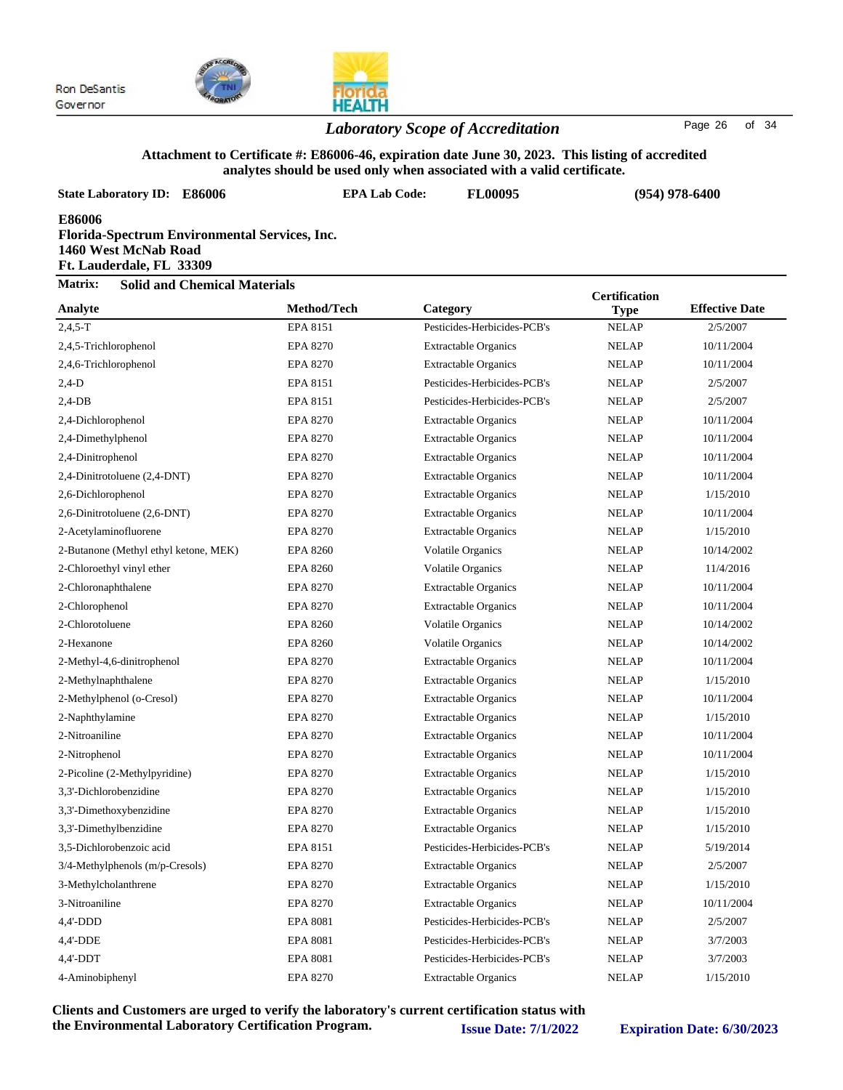



### *Laboratory Scope of Accreditation* Page <sup>26</sup> of <sup>34</sup>

#### **Attachment to Certificate #: E86006-46, expiration date June 30, 2023. This listing of accredited analytes should be used only when associated with a valid certificate.**

| <b>State Laboratory ID: E86006</b>                                                                          | <b>EPA Lab Code:</b> | <b>FL00095</b>              | $(954)$ 978-6400     |                       |  |  |
|-------------------------------------------------------------------------------------------------------------|----------------------|-----------------------------|----------------------|-----------------------|--|--|
| E86006<br>Florida-Spectrum Environmental Services, Inc.<br>1460 West McNab Road<br>Ft. Lauderdale, FL 33309 |                      |                             |                      |                       |  |  |
| Matrix:<br><b>Solid and Chemical Materials</b>                                                              |                      |                             | <b>Certification</b> |                       |  |  |
| Analyte                                                                                                     | Method/Tech          | Category                    | <b>Type</b>          | <b>Effective Date</b> |  |  |
| $2,4,5-T$                                                                                                   | EPA 8151             | Pesticides-Herbicides-PCB's | <b>NELAP</b>         | 2/5/2007              |  |  |
| 2,4,5-Trichlorophenol                                                                                       | EPA 8270             | <b>Extractable Organics</b> | <b>NELAP</b>         | 10/11/2004            |  |  |
| 2,4,6-Trichlorophenol                                                                                       | <b>EPA 8270</b>      | <b>Extractable Organics</b> | <b>NELAP</b>         | 10/11/2004            |  |  |
| $2,4-D$                                                                                                     | EPA 8151             | Pesticides-Herbicides-PCB's | <b>NELAP</b>         | 2/5/2007              |  |  |
| $2,4$ -DB                                                                                                   | EPA 8151             | Pesticides-Herbicides-PCB's | <b>NELAP</b>         | 2/5/2007              |  |  |
| 2,4-Dichlorophenol                                                                                          | EPA 8270             | <b>Extractable Organics</b> | <b>NELAP</b>         | 10/11/2004            |  |  |
| 2,4-Dimethylphenol                                                                                          | <b>EPA 8270</b>      | <b>Extractable Organics</b> | <b>NELAP</b>         | 10/11/2004            |  |  |
| 2,4-Dinitrophenol                                                                                           | <b>EPA 8270</b>      | <b>Extractable Organics</b> | <b>NELAP</b>         | 10/11/2004            |  |  |
| 2,4-Dinitrotoluene (2,4-DNT)                                                                                | EPA 8270             | <b>Extractable Organics</b> | <b>NELAP</b>         | 10/11/2004            |  |  |
| 2,6-Dichlorophenol                                                                                          | EPA 8270             | <b>Extractable Organics</b> | <b>NELAP</b>         | 1/15/2010             |  |  |
| 2,6-Dinitrotoluene (2,6-DNT)                                                                                | <b>EPA 8270</b>      | <b>Extractable Organics</b> | <b>NELAP</b>         | 10/11/2004            |  |  |
| 2-Acetylaminofluorene                                                                                       | <b>EPA 8270</b>      | <b>Extractable Organics</b> | <b>NELAP</b>         | 1/15/2010             |  |  |
| 2-Butanone (Methyl ethyl ketone, MEK)                                                                       | <b>EPA 8260</b>      | <b>Volatile Organics</b>    | <b>NELAP</b>         | 10/14/2002            |  |  |
| 2-Chloroethyl vinyl ether                                                                                   | <b>EPA 8260</b>      | <b>Volatile Organics</b>    | <b>NELAP</b>         | 11/4/2016             |  |  |
| 2-Chloronaphthalene                                                                                         | <b>EPA 8270</b>      | <b>Extractable Organics</b> | <b>NELAP</b>         | 10/11/2004            |  |  |
| 2-Chlorophenol                                                                                              | <b>EPA 8270</b>      | <b>Extractable Organics</b> | <b>NELAP</b>         | 10/11/2004            |  |  |
| 2-Chlorotoluene                                                                                             | <b>EPA 8260</b>      | <b>Volatile Organics</b>    | <b>NELAP</b>         | 10/14/2002            |  |  |
| 2-Hexanone                                                                                                  | <b>EPA 8260</b>      | <b>Volatile Organics</b>    | <b>NELAP</b>         | 10/14/2002            |  |  |
| 2-Methyl-4,6-dinitrophenol                                                                                  | <b>EPA 8270</b>      | <b>Extractable Organics</b> | <b>NELAP</b>         | 10/11/2004            |  |  |
| 2-Methylnaphthalene                                                                                         | <b>EPA 8270</b>      | <b>Extractable Organics</b> | <b>NELAP</b>         | 1/15/2010             |  |  |
| 2-Methylphenol (o-Cresol)                                                                                   | EPA 8270             | <b>Extractable Organics</b> | <b>NELAP</b>         | 10/11/2004            |  |  |
| 2-Naphthylamine                                                                                             | EPA 8270             | <b>Extractable Organics</b> | <b>NELAP</b>         | 1/15/2010             |  |  |
| 2-Nitroaniline                                                                                              | <b>EPA 8270</b>      | <b>Extractable Organics</b> | <b>NELAP</b>         | 10/11/2004            |  |  |
| 2-Nitrophenol                                                                                               | <b>EPA 8270</b>      | <b>Extractable Organics</b> | <b>NELAP</b>         | 10/11/2004            |  |  |
| 2-Picoline (2-Methylpyridine)                                                                               | <b>EPA 8270</b>      | <b>Extractable Organics</b> | <b>NELAP</b>         | 1/15/2010             |  |  |
| 3,3'-Dichlorobenzidine                                                                                      | EPA 8270             | <b>Extractable Organics</b> | <b>NELAP</b>         | 1/15/2010             |  |  |
| 3,3'-Dimethoxybenzidine                                                                                     | EPA 8270             | <b>Extractable Organics</b> | <b>NELAP</b>         | 1/15/2010             |  |  |
| 3,3'-Dimethylbenzidine                                                                                      | <b>EPA 8270</b>      | <b>Extractable Organics</b> | <b>NELAP</b>         | 1/15/2010             |  |  |
| 3,5-Dichlorobenzoic acid                                                                                    | EPA 8151             | Pesticides-Herbicides-PCB's | <b>NELAP</b>         | 5/19/2014             |  |  |
| 3/4-Methylphenols (m/p-Cresols)                                                                             | <b>EPA 8270</b>      | <b>Extractable Organics</b> | <b>NELAP</b>         | 2/5/2007              |  |  |
| 3-Methylcholanthrene                                                                                        | <b>EPA 8270</b>      | <b>Extractable Organics</b> | <b>NELAP</b>         | 1/15/2010             |  |  |
| 3-Nitroaniline                                                                                              | <b>EPA 8270</b>      | <b>Extractable Organics</b> | <b>NELAP</b>         | 10/11/2004            |  |  |
| 4,4'-DDD                                                                                                    | <b>EPA 8081</b>      | Pesticides-Herbicides-PCB's | <b>NELAP</b>         | 2/5/2007              |  |  |
| 4,4'-DDE                                                                                                    | <b>EPA 8081</b>      | Pesticides-Herbicides-PCB's | <b>NELAP</b>         | 3/7/2003              |  |  |
| $4,4'-DDT$                                                                                                  | <b>EPA 8081</b>      | Pesticides-Herbicides-PCB's | <b>NELAP</b>         | 3/7/2003              |  |  |
| 4-Aminobiphenyl                                                                                             | <b>EPA 8270</b>      | <b>Extractable Organics</b> | <b>NELAP</b>         | 1/15/2010             |  |  |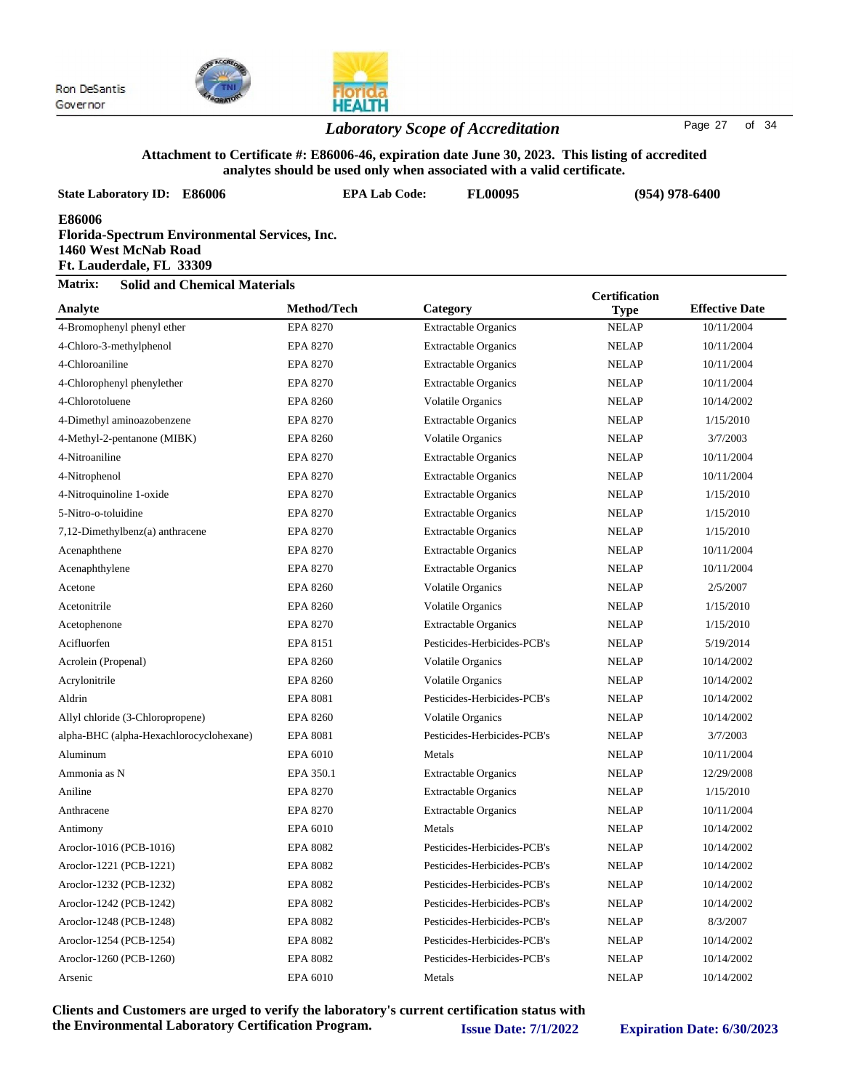



#### *Laboratory Scope of Accreditation* Page <sup>27</sup> of <sup>34</sup>

#### **Attachment to Certificate #: E86006-46, expiration date June 30, 2023. This listing of accredited analytes should be used only when associated with a valid certificate.**

| <b>State Laboratory ID: E86006</b>                                                                                 | <b>EPA Lab Code:</b> | сэ энчий эс изси онгу үнгэн азэостагса үнги а тани сет инсагс.<br><b>FL00095</b> |                      | $(954)$ 978-6400      |  |
|--------------------------------------------------------------------------------------------------------------------|----------------------|----------------------------------------------------------------------------------|----------------------|-----------------------|--|
| <b>E86006</b><br>Florida-Spectrum Environmental Services, Inc.<br>1460 West McNab Road<br>Ft. Lauderdale, FL 33309 |                      |                                                                                  |                      |                       |  |
| Matrix:<br><b>Solid and Chemical Materials</b>                                                                     |                      |                                                                                  | <b>Certification</b> |                       |  |
| Analyte                                                                                                            | Method/Tech          | Category                                                                         | <b>Type</b>          | <b>Effective Date</b> |  |
| 4-Bromophenyl phenyl ether                                                                                         | <b>EPA 8270</b>      | <b>Extractable Organics</b>                                                      | <b>NELAP</b>         | 10/11/2004            |  |
| 4-Chloro-3-methylphenol                                                                                            | EPA 8270             | <b>Extractable Organics</b>                                                      | <b>NELAP</b>         | 10/11/2004            |  |
| 4-Chloroaniline                                                                                                    | EPA 8270             | <b>Extractable Organics</b>                                                      | <b>NELAP</b>         | 10/11/2004            |  |
| 4-Chlorophenyl phenylether                                                                                         | EPA 8270             | <b>Extractable Organics</b>                                                      | <b>NELAP</b>         | 10/11/2004            |  |
| 4-Chlorotoluene                                                                                                    | <b>EPA 8260</b>      | Volatile Organics                                                                | <b>NELAP</b>         | 10/14/2002            |  |
| 4-Dimethyl aminoazobenzene                                                                                         | EPA 8270             | <b>Extractable Organics</b>                                                      | <b>NELAP</b>         | 1/15/2010             |  |
| 4-Methyl-2-pentanone (MIBK)                                                                                        | <b>EPA 8260</b>      | Volatile Organics                                                                | <b>NELAP</b>         | 3/7/2003              |  |
| 4-Nitroaniline                                                                                                     | EPA 8270             | <b>Extractable Organics</b>                                                      | <b>NELAP</b>         | 10/11/2004            |  |
| 4-Nitrophenol                                                                                                      | EPA 8270             | <b>Extractable Organics</b>                                                      | <b>NELAP</b>         | 10/11/2004            |  |
| 4-Nitroquinoline 1-oxide                                                                                           | <b>EPA 8270</b>      | <b>Extractable Organics</b>                                                      | <b>NELAP</b>         | 1/15/2010             |  |
| 5-Nitro-o-toluidine                                                                                                | EPA 8270             | <b>Extractable Organics</b>                                                      | <b>NELAP</b>         | 1/15/2010             |  |
| 7,12-Dimethylbenz(a) anthracene                                                                                    | EPA 8270             | <b>Extractable Organics</b>                                                      | <b>NELAP</b>         | 1/15/2010             |  |
| Acenaphthene                                                                                                       | EPA 8270             | <b>Extractable Organics</b>                                                      | <b>NELAP</b>         | 10/11/2004            |  |
| Acenaphthylene                                                                                                     | <b>EPA 8270</b>      | <b>Extractable Organics</b>                                                      | <b>NELAP</b>         | 10/11/2004            |  |
| Acetone                                                                                                            | <b>EPA 8260</b>      | Volatile Organics                                                                | <b>NELAP</b>         | 2/5/2007              |  |
| Acetonitrile                                                                                                       | <b>EPA 8260</b>      | <b>Volatile Organics</b>                                                         | <b>NELAP</b>         | 1/15/2010             |  |
| Acetophenone                                                                                                       | <b>EPA 8270</b>      | <b>Extractable Organics</b>                                                      | <b>NELAP</b>         | 1/15/2010             |  |
| Acifluorfen                                                                                                        | EPA 8151             | Pesticides-Herbicides-PCB's                                                      | <b>NELAP</b>         | 5/19/2014             |  |
| Acrolein (Propenal)                                                                                                | <b>EPA 8260</b>      | <b>Volatile Organics</b>                                                         | <b>NELAP</b>         | 10/14/2002            |  |
| Acrylonitrile                                                                                                      | EPA 8260             | <b>Volatile Organics</b>                                                         | <b>NELAP</b>         | 10/14/2002            |  |
| Aldrin                                                                                                             | <b>EPA 8081</b>      | Pesticides-Herbicides-PCB's                                                      | <b>NELAP</b>         | 10/14/2002            |  |
| Allyl chloride (3-Chloropropene)                                                                                   | <b>EPA 8260</b>      | <b>Volatile Organics</b>                                                         | <b>NELAP</b>         | 10/14/2002            |  |
| alpha-BHC (alpha-Hexachlorocyclohexane)                                                                            | <b>EPA 8081</b>      | Pesticides-Herbicides-PCB's                                                      | <b>NELAP</b>         | 3/7/2003              |  |
| Aluminum                                                                                                           | EPA 6010             | Metals                                                                           | <b>NELAP</b>         | 10/11/2004            |  |
| Ammonia as N                                                                                                       | EPA 350.1            | <b>Extractable Organics</b>                                                      | <b>NELAP</b>         | 12/29/2008            |  |
| Aniline                                                                                                            | EPA 8270             | <b>Extractable Organics</b>                                                      | <b>NELAP</b>         | 1/15/2010             |  |
| Anthracene                                                                                                         | <b>EPA 8270</b>      | <b>Extractable Organics</b>                                                      | <b>NELAP</b>         | 10/11/2004            |  |
| Antimony                                                                                                           | EPA 6010             | Metals                                                                           | <b>NELAP</b>         | 10/14/2002            |  |
| Aroclor-1016 (PCB-1016)                                                                                            | <b>EPA 8082</b>      | Pesticides-Herbicides-PCB's                                                      | <b>NELAP</b>         | 10/14/2002            |  |
| Aroclor-1221 (PCB-1221)                                                                                            | <b>EPA 8082</b>      | Pesticides-Herbicides-PCB's                                                      | <b>NELAP</b>         | 10/14/2002            |  |
| Aroclor-1232 (PCB-1232)                                                                                            | <b>EPA 8082</b>      | Pesticides-Herbicides-PCB's                                                      | <b>NELAP</b>         | 10/14/2002            |  |
| Aroclor-1242 (PCB-1242)                                                                                            | <b>EPA 8082</b>      | Pesticides-Herbicides-PCB's                                                      | <b>NELAP</b>         | 10/14/2002            |  |
| Aroclor-1248 (PCB-1248)                                                                                            | <b>EPA 8082</b>      | Pesticides-Herbicides-PCB's                                                      | <b>NELAP</b>         | 8/3/2007              |  |
| Aroclor-1254 (PCB-1254)                                                                                            | <b>EPA 8082</b>      | Pesticides-Herbicides-PCB's                                                      | <b>NELAP</b>         | 10/14/2002            |  |

Aroclor-1260 (PCB-1260) EPA 8082 Pesticides-Herbicides-PCB's NELAP 10/14/2002 Arsenic and EPA 6010 Metals NELAP 10/14/2002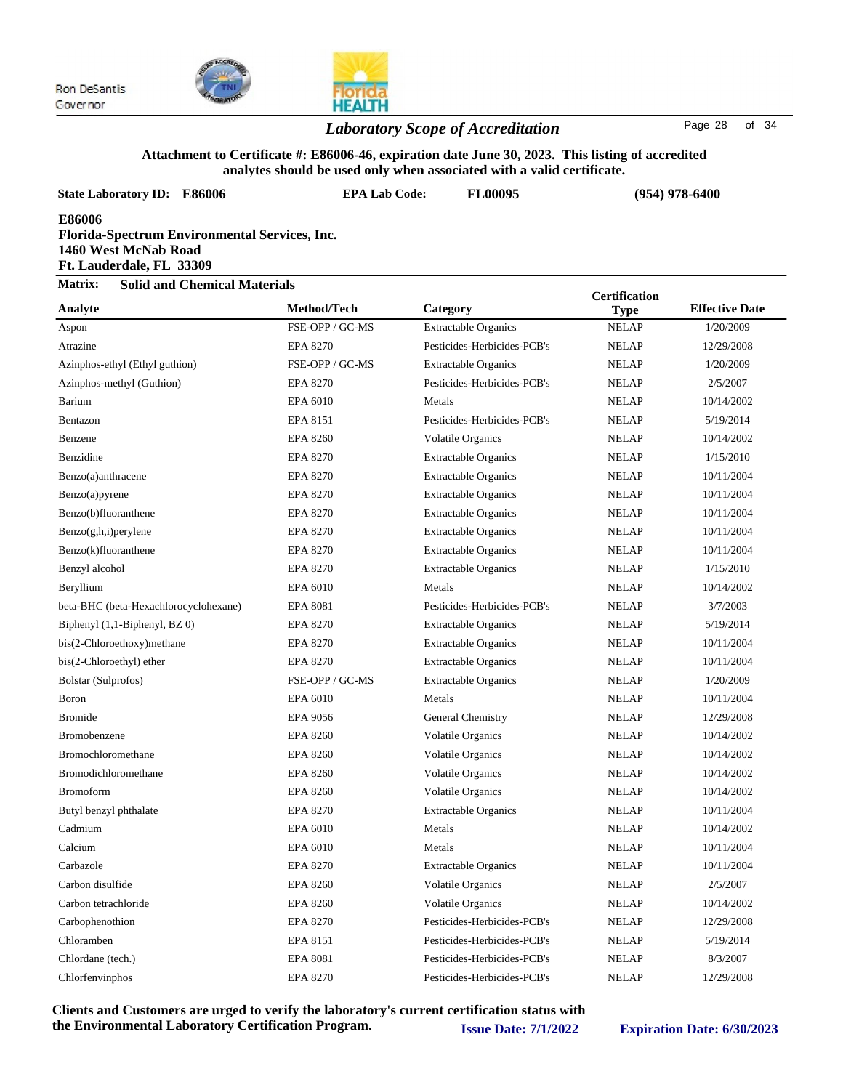

### *Laboratory Scope of Accreditation* Page <sup>28</sup> of <sup>34</sup>

#### **Attachment to Certificate #: E86006-46, expiration date June 30, 2023. This listing of accredited analytes should be used only when associated with a valid certificate.**

| analytes should be used only when associated with a valid certificate.                                      |                      |                             |                      |                       |  |  |
|-------------------------------------------------------------------------------------------------------------|----------------------|-----------------------------|----------------------|-----------------------|--|--|
| <b>State Laboratory ID: E86006</b>                                                                          | <b>EPA Lab Code:</b> | <b>FL00095</b>              |                      | $(954)$ 978-6400      |  |  |
| E86006<br>Florida-Spectrum Environmental Services, Inc.<br>1460 West McNab Road<br>Ft. Lauderdale, FL 33309 |                      |                             |                      |                       |  |  |
| Matrix:<br><b>Solid and Chemical Materials</b>                                                              |                      |                             | <b>Certification</b> |                       |  |  |
| Analyte                                                                                                     | Method/Tech          | Category                    | <b>Type</b>          | <b>Effective Date</b> |  |  |
| Aspon                                                                                                       | FSE-OPP / GC-MS      | <b>Extractable Organics</b> | <b>NELAP</b>         | 1/20/2009             |  |  |
| Atrazine                                                                                                    | <b>EPA 8270</b>      | Pesticides-Herbicides-PCB's | <b>NELAP</b>         | 12/29/2008            |  |  |
| Azinphos-ethyl (Ethyl guthion)                                                                              | FSE-OPP / GC-MS      | <b>Extractable Organics</b> | <b>NELAP</b>         | 1/20/2009             |  |  |
| Azinphos-methyl (Guthion)                                                                                   | <b>EPA 8270</b>      | Pesticides-Herbicides-PCB's | <b>NELAP</b>         | 2/5/2007              |  |  |
| Barium                                                                                                      | EPA 6010             | Metals                      | <b>NELAP</b>         | 10/14/2002            |  |  |
| Bentazon                                                                                                    | EPA 8151             | Pesticides-Herbicides-PCB's | <b>NELAP</b>         | 5/19/2014             |  |  |
| Benzene                                                                                                     | <b>EPA 8260</b>      | <b>Volatile Organics</b>    | <b>NELAP</b>         | 10/14/2002            |  |  |
| Benzidine                                                                                                   | <b>EPA 8270</b>      | <b>Extractable Organics</b> | <b>NELAP</b>         | 1/15/2010             |  |  |
| Benzo(a)anthracene                                                                                          | <b>EPA 8270</b>      | <b>Extractable Organics</b> | <b>NELAP</b>         | 10/11/2004            |  |  |
| Benzo(a)pyrene                                                                                              | <b>EPA 8270</b>      | <b>Extractable Organics</b> | <b>NELAP</b>         | 10/11/2004            |  |  |
| Benzo(b)fluoranthene                                                                                        | <b>EPA 8270</b>      | <b>Extractable Organics</b> | <b>NELAP</b>         | 10/11/2004            |  |  |
| $Benzo(g,h,i)$ perylene                                                                                     | <b>EPA 8270</b>      | <b>Extractable Organics</b> | <b>NELAP</b>         | 10/11/2004            |  |  |
| Benzo(k)fluoranthene                                                                                        | <b>EPA 8270</b>      | <b>Extractable Organics</b> | <b>NELAP</b>         | 10/11/2004            |  |  |
| Benzyl alcohol                                                                                              | <b>EPA 8270</b>      | <b>Extractable Organics</b> | <b>NELAP</b>         | 1/15/2010             |  |  |
| Beryllium                                                                                                   | EPA 6010             | Metals                      | <b>NELAP</b>         | 10/14/2002            |  |  |
| beta-BHC (beta-Hexachlorocyclohexane)                                                                       | <b>EPA 8081</b>      | Pesticides-Herbicides-PCB's | <b>NELAP</b>         | 3/7/2003              |  |  |
| Biphenyl (1,1-Biphenyl, BZ 0)                                                                               | <b>EPA 8270</b>      | <b>Extractable Organics</b> | <b>NELAP</b>         | 5/19/2014             |  |  |
| bis(2-Chloroethoxy)methane                                                                                  | <b>EPA 8270</b>      | <b>Extractable Organics</b> | <b>NELAP</b>         | 10/11/2004            |  |  |
| bis(2-Chloroethyl) ether                                                                                    | <b>EPA 8270</b>      | <b>Extractable Organics</b> | <b>NELAP</b>         | 10/11/2004            |  |  |
| Bolstar (Sulprofos)                                                                                         | FSE-OPP / GC-MS      | <b>Extractable Organics</b> | <b>NELAP</b>         | 1/20/2009             |  |  |
| <b>Boron</b>                                                                                                | EPA 6010             | Metals                      | <b>NELAP</b>         | 10/11/2004            |  |  |
| <b>Bromide</b>                                                                                              | <b>EPA 9056</b>      | General Chemistry           | <b>NELAP</b>         | 12/29/2008            |  |  |
| Bromobenzene                                                                                                | <b>EPA 8260</b>      | Volatile Organics           | <b>NELAP</b>         | 10/14/2002            |  |  |
| <b>Bromochloromethane</b>                                                                                   | <b>EPA 8260</b>      | Volatile Organics           | <b>NELAP</b>         | 10/14/2002            |  |  |
| Bromodichloromethane                                                                                        | <b>EPA 8260</b>      | Volatile Organics           | <b>NELAP</b>         | 10/14/2002            |  |  |
| <b>Bromoform</b>                                                                                            | <b>EPA 8260</b>      | <b>Volatile Organics</b>    | <b>NELAP</b>         | 10/14/2002            |  |  |
| Butyl benzyl phthalate                                                                                      | <b>EPA 8270</b>      | <b>Extractable Organics</b> | <b>NELAP</b>         | 10/11/2004            |  |  |
| Cadmium                                                                                                     | EPA 6010             | Metals                      | <b>NELAP</b>         | 10/14/2002            |  |  |
| Calcium                                                                                                     | EPA 6010             | Metals                      | <b>NELAP</b>         | 10/11/2004            |  |  |
| Carbazole                                                                                                   | <b>EPA 8270</b>      | <b>Extractable Organics</b> | <b>NELAP</b>         | 10/11/2004            |  |  |
| Carbon disulfide                                                                                            | <b>EPA 8260</b>      | Volatile Organics           | <b>NELAP</b>         | 2/5/2007              |  |  |
| Carbon tetrachloride                                                                                        | <b>EPA 8260</b>      | <b>Volatile Organics</b>    | <b>NELAP</b>         | 10/14/2002            |  |  |
| Carbophenothion                                                                                             | <b>EPA 8270</b>      | Pesticides-Herbicides-PCB's | <b>NELAP</b>         | 12/29/2008            |  |  |
| Chloramben                                                                                                  | EPA 8151             | Pesticides-Herbicides-PCB's | <b>NELAP</b>         | 5/19/2014             |  |  |
| Chlordane (tech.)                                                                                           | <b>EPA 8081</b>      | Pesticides-Herbicides-PCB's | <b>NELAP</b>         | 8/3/2007              |  |  |

**Clients and Customers are urged to verify the laboratory's current certification status with the Environmental Laboratory Certification Program. Issue Date: 7/1/2022 Expiration Date: 6/30/2023**

Chlorfenvinphos EPA 8270 Pesticides-Herbicides-PCB's NELAP 12/29/2008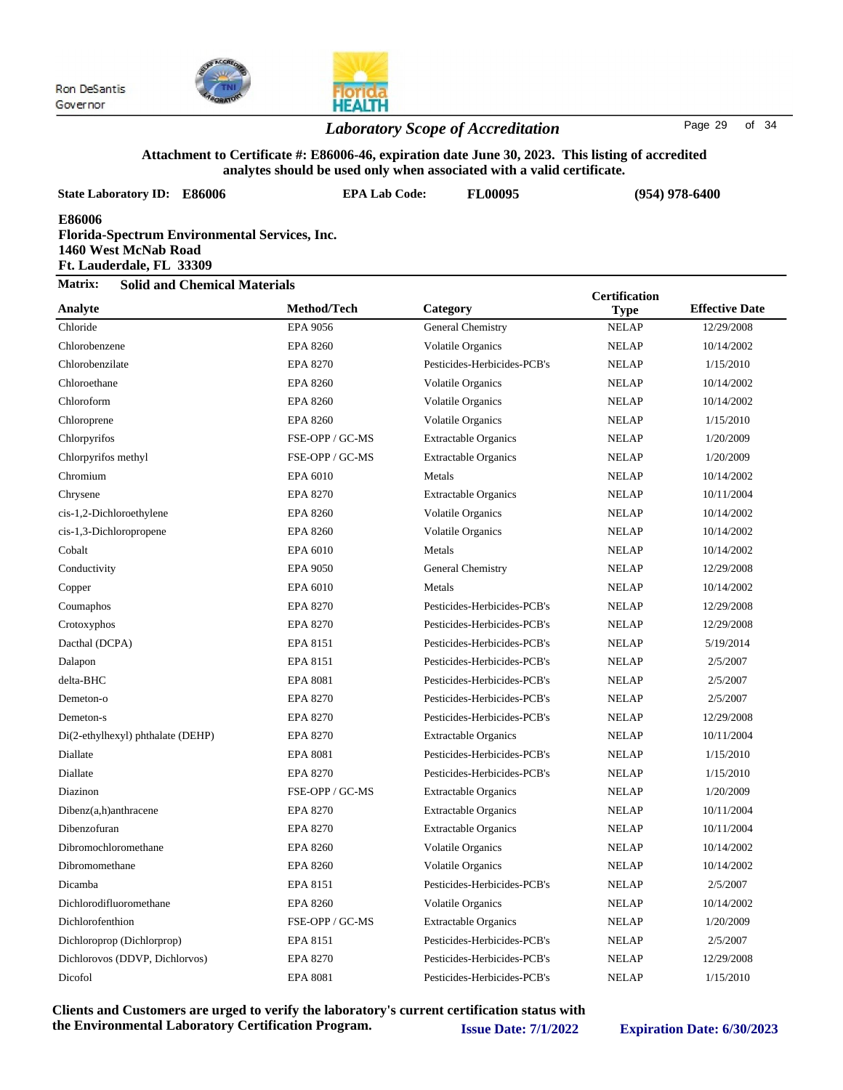

### *Laboratory Scope of Accreditation* Page <sup>29</sup> of <sup>34</sup>

#### **Attachment to Certificate #: E86006-46, expiration date June 30, 2023. This listing of accredited analytes should be used only when associated with a valid certificate.**

| <b>State Laboratory ID: E86006</b>                                                                                 | <b>EPA Lab Code:</b> | <b>FL00095</b>              |                      | $(954)$ 978-6400      |  |
|--------------------------------------------------------------------------------------------------------------------|----------------------|-----------------------------|----------------------|-----------------------|--|
| <b>E86006</b><br>Florida-Spectrum Environmental Services, Inc.<br>1460 West McNab Road<br>Ft. Lauderdale, FL 33309 |                      |                             |                      |                       |  |
| Matrix:<br><b>Solid and Chemical Materials</b>                                                                     |                      |                             | <b>Certification</b> |                       |  |
| Analyte                                                                                                            | Method/Tech          | Category                    | <b>Type</b>          | <b>Effective Date</b> |  |
| Chloride                                                                                                           | EPA 9056             | General Chemistry           | <b>NELAP</b>         | 12/29/2008            |  |
| Chlorobenzene                                                                                                      | <b>EPA 8260</b>      | Volatile Organics           | <b>NELAP</b>         | 10/14/2002            |  |
| Chlorobenzilate                                                                                                    | <b>EPA 8270</b>      | Pesticides-Herbicides-PCB's | <b>NELAP</b>         | 1/15/2010             |  |
| Chloroethane                                                                                                       | <b>EPA 8260</b>      | <b>Volatile Organics</b>    | <b>NELAP</b>         | 10/14/2002            |  |
| Chloroform                                                                                                         | <b>EPA 8260</b>      | <b>Volatile Organics</b>    | <b>NELAP</b>         | 10/14/2002            |  |
| Chloroprene                                                                                                        | <b>EPA 8260</b>      | <b>Volatile Organics</b>    | <b>NELAP</b>         | 1/15/2010             |  |
| Chlorpyrifos                                                                                                       | FSE-OPP / GC-MS      | <b>Extractable Organics</b> | <b>NELAP</b>         | 1/20/2009             |  |
| Chlorpyrifos methyl                                                                                                | FSE-OPP / GC-MS      | <b>Extractable Organics</b> | <b>NELAP</b>         | 1/20/2009             |  |
| Chromium                                                                                                           | EPA 6010             | Metals                      | <b>NELAP</b>         | 10/14/2002            |  |
| Chrysene                                                                                                           | <b>EPA 8270</b>      | <b>Extractable Organics</b> | <b>NELAP</b>         | 10/11/2004            |  |
| cis-1,2-Dichloroethylene                                                                                           | <b>EPA 8260</b>      | Volatile Organics           | <b>NELAP</b>         | 10/14/2002            |  |
| cis-1,3-Dichloropropene                                                                                            | <b>EPA 8260</b>      | Volatile Organics           | <b>NELAP</b>         | 10/14/2002            |  |
| Cobalt                                                                                                             | EPA 6010             | Metals                      | <b>NELAP</b>         | 10/14/2002            |  |
| Conductivity                                                                                                       | <b>EPA 9050</b>      | General Chemistry           | <b>NELAP</b>         | 12/29/2008            |  |
| Copper                                                                                                             | EPA 6010             | Metals                      | <b>NELAP</b>         | 10/14/2002            |  |
| Coumaphos                                                                                                          | <b>EPA 8270</b>      | Pesticides-Herbicides-PCB's | <b>NELAP</b>         | 12/29/2008            |  |
| Crotoxyphos                                                                                                        | <b>EPA 8270</b>      | Pesticides-Herbicides-PCB's | <b>NELAP</b>         | 12/29/2008            |  |
| Dacthal (DCPA)                                                                                                     | EPA 8151             | Pesticides-Herbicides-PCB's | <b>NELAP</b>         | 5/19/2014             |  |
| Dalapon                                                                                                            | EPA 8151             | Pesticides-Herbicides-PCB's | <b>NELAP</b>         | 2/5/2007              |  |
| delta-BHC                                                                                                          | <b>EPA 8081</b>      | Pesticides-Herbicides-PCB's | <b>NELAP</b>         | 2/5/2007              |  |
| Demeton-o                                                                                                          | <b>EPA 8270</b>      | Pesticides-Herbicides-PCB's | <b>NELAP</b>         | 2/5/2007              |  |
| Demeton-s                                                                                                          | <b>EPA 8270</b>      | Pesticides-Herbicides-PCB's | <b>NELAP</b>         | 12/29/2008            |  |
| Di(2-ethylhexyl) phthalate (DEHP)                                                                                  | <b>EPA 8270</b>      | <b>Extractable Organics</b> | <b>NELAP</b>         | 10/11/2004            |  |
| <b>Diallate</b>                                                                                                    | <b>EPA 8081</b>      | Pesticides-Herbicides-PCB's | <b>NELAP</b>         | 1/15/2010             |  |
| Diallate                                                                                                           | <b>EPA 8270</b>      | Pesticides-Herbicides-PCB's | <b>NELAP</b>         | 1/15/2010             |  |
| Diazinon                                                                                                           | FSE-OPP / GC-MS      | <b>Extractable Organics</b> | <b>NELAP</b>         | 1/20/2009             |  |
| $Dibenz(a,h)$ anthracene                                                                                           | EPA 8270             | <b>Extractable Organics</b> | <b>NELAP</b>         | 10/11/2004            |  |
| Dibenzofuran                                                                                                       | <b>EPA 8270</b>      | <b>Extractable Organics</b> | <b>NELAP</b>         | 10/11/2004            |  |
| Dibromochloromethane                                                                                               | <b>EPA 8260</b>      | Volatile Organics           | <b>NELAP</b>         | 10/14/2002            |  |
| Dibromomethane                                                                                                     | <b>EPA 8260</b>      | <b>Volatile Organics</b>    | <b>NELAP</b>         | 10/14/2002            |  |
| Dicamba                                                                                                            | EPA 8151             | Pesticides-Herbicides-PCB's | <b>NELAP</b>         | 2/5/2007              |  |
| Dichlorodifluoromethane                                                                                            | <b>EPA 8260</b>      | <b>Volatile Organics</b>    | <b>NELAP</b>         | 10/14/2002            |  |
| Dichlorofenthion                                                                                                   | FSE-OPP / GC-MS      | <b>Extractable Organics</b> | <b>NELAP</b>         | 1/20/2009             |  |
| Dichloroprop (Dichlorprop)                                                                                         | EPA 8151             | Pesticides-Herbicides-PCB's | <b>NELAP</b>         | 2/5/2007              |  |
| Dichlorovos (DDVP, Dichlorvos)                                                                                     | <b>EPA 8270</b>      | Pesticides-Herbicides-PCB's | <b>NELAP</b>         | 12/29/2008            |  |
| Dicofol                                                                                                            | <b>EPA 8081</b>      | Pesticides-Herbicides-PCB's | <b>NELAP</b>         | 1/15/2010             |  |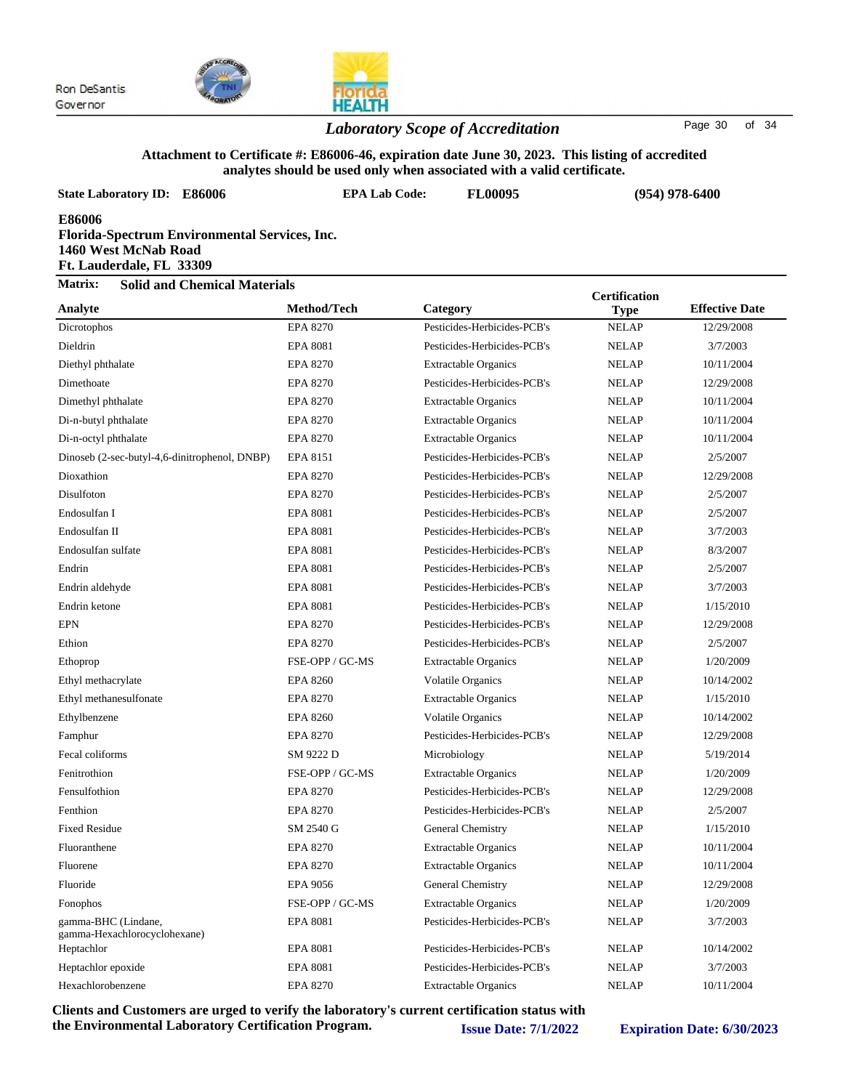

### *Laboratory Scope of Accreditation* Page 30 of 34

#### **Attachment to Certificate #: E86006-46, expiration date June 30, 2023. This listing of accredited analytes should be used only when associated with a valid certificate.**

| <b>State Laboratory ID: E86006</b>                         | <b>EPA Lab Code:</b>                          | <b>FL00095</b>              | $(954)$ 978-6400                    |                       |  |  |
|------------------------------------------------------------|-----------------------------------------------|-----------------------------|-------------------------------------|-----------------------|--|--|
| E86006<br>1460 West McNab Road<br>Ft. Lauderdale, FL 33309 | Florida-Spectrum Environmental Services, Inc. |                             |                                     |                       |  |  |
| Matrix:<br><b>Solid and Chemical Materials</b>             |                                               |                             |                                     |                       |  |  |
| Analyte                                                    | <b>Method/Tech</b>                            | Category                    | <b>Certification</b><br><b>Type</b> | <b>Effective Date</b> |  |  |
| Dicrotophos                                                | <b>EPA 8270</b>                               | Pesticides-Herbicides-PCB's | <b>NELAP</b>                        | 12/29/2008            |  |  |
| Dieldrin                                                   | <b>EPA 8081</b>                               | Pesticides-Herbicides-PCB's | <b>NELAP</b>                        | 3/7/2003              |  |  |
| Diethyl phthalate                                          | <b>EPA 8270</b>                               | <b>Extractable Organics</b> | <b>NELAP</b>                        | 10/11/2004            |  |  |
| Dimethoate                                                 | <b>EPA 8270</b>                               | Pesticides-Herbicides-PCB's | <b>NELAP</b>                        | 12/29/2008            |  |  |
| Dimethyl phthalate                                         | EPA 8270                                      | <b>Extractable Organics</b> | <b>NELAP</b>                        | 10/11/2004            |  |  |
| Di-n-butyl phthalate                                       | <b>EPA 8270</b>                               | <b>Extractable Organics</b> | <b>NELAP</b>                        | 10/11/2004            |  |  |
| Di-n-octyl phthalate                                       | <b>EPA 8270</b>                               | <b>Extractable Organics</b> | <b>NELAP</b>                        | 10/11/2004            |  |  |
| Dinoseb (2-sec-butyl-4,6-dinitrophenol, DNBP)              | EPA 8151                                      | Pesticides-Herbicides-PCB's | <b>NELAP</b>                        | 2/5/2007              |  |  |
| Dioxathion                                                 | <b>EPA 8270</b>                               | Pesticides-Herbicides-PCB's | <b>NELAP</b>                        | 12/29/2008            |  |  |
| Disulfoton                                                 | EPA 8270                                      | Pesticides-Herbicides-PCB's | <b>NELAP</b>                        | 2/5/2007              |  |  |
| Endosulfan I                                               | <b>EPA 8081</b>                               | Pesticides-Herbicides-PCB's | <b>NELAP</b>                        | 2/5/2007              |  |  |
| Endosulfan II                                              | <b>EPA 8081</b>                               | Pesticides-Herbicides-PCB's | <b>NELAP</b>                        | 3/7/2003              |  |  |
| Endosulfan sulfate                                         | <b>EPA 8081</b>                               | Pesticides-Herbicides-PCB's | <b>NELAP</b>                        | 8/3/2007              |  |  |
| Endrin                                                     | <b>EPA 8081</b>                               | Pesticides-Herbicides-PCB's | <b>NELAP</b>                        | 2/5/2007              |  |  |
| Endrin aldehyde                                            | <b>EPA 8081</b>                               | Pesticides-Herbicides-PCB's | <b>NELAP</b>                        | 3/7/2003              |  |  |
| Endrin ketone                                              | <b>EPA 8081</b>                               | Pesticides-Herbicides-PCB's | <b>NELAP</b>                        | 1/15/2010             |  |  |
| <b>EPN</b>                                                 | <b>EPA 8270</b>                               | Pesticides-Herbicides-PCB's | <b>NELAP</b>                        | 12/29/2008            |  |  |
| Ethion                                                     | <b>EPA 8270</b>                               | Pesticides-Herbicides-PCB's | <b>NELAP</b>                        | 2/5/2007              |  |  |
| Ethoprop                                                   | FSE-OPP / GC-MS                               | <b>Extractable Organics</b> | <b>NELAP</b>                        | 1/20/2009             |  |  |
| Ethyl methacrylate                                         | <b>EPA 8260</b>                               | <b>Volatile Organics</b>    | <b>NELAP</b>                        | 10/14/2002            |  |  |
| Ethyl methanesulfonate                                     | <b>EPA 8270</b>                               | <b>Extractable Organics</b> | <b>NELAP</b>                        | 1/15/2010             |  |  |
| Ethylbenzene                                               | <b>EPA 8260</b>                               | <b>Volatile Organics</b>    | <b>NELAP</b>                        | 10/14/2002            |  |  |
| Famphur                                                    | <b>EPA 8270</b>                               | Pesticides-Herbicides-PCB's | <b>NELAP</b>                        | 12/29/2008            |  |  |
| Fecal coliforms                                            | SM 9222 D                                     | Microbiology                | <b>NELAP</b>                        | 5/19/2014             |  |  |
| Fenitrothion                                               | FSE-OPP / GC-MS                               | <b>Extractable Organics</b> | <b>NELAP</b>                        | 1/20/2009             |  |  |
| Fensulfothion                                              | EPA 8270                                      | Pesticides-Herbicides-PCB's | <b>NELAP</b>                        | 12/29/2008            |  |  |
| Fenthion                                                   | <b>EPA 8270</b>                               | Pesticides-Herbicides-PCB's | <b>NELAP</b>                        | 2/5/2007              |  |  |
| <b>Fixed Residue</b>                                       | SM 2540 G                                     | General Chemistry           | <b>NELAP</b>                        | 1/15/2010             |  |  |
| Fluoranthene                                               | <b>EPA 8270</b>                               | <b>Extractable Organics</b> | <b>NELAP</b>                        | 10/11/2004            |  |  |
| Fluorene                                                   | <b>EPA 8270</b>                               | <b>Extractable Organics</b> | <b>NELAP</b>                        | 10/11/2004            |  |  |
| Fluoride                                                   | <b>EPA 9056</b>                               | General Chemistry           | <b>NELAP</b>                        | 12/29/2008            |  |  |
| Fonophos                                                   | FSE-OPP / GC-MS                               | <b>Extractable Organics</b> | <b>NELAP</b>                        | 1/20/2009             |  |  |
| gamma-BHC (Lindane,<br>gamma-Hexachlorocyclohexane)        | <b>EPA 8081</b>                               | Pesticides-Herbicides-PCB's | <b>NELAP</b>                        | 3/7/2003              |  |  |
| Heptachlor                                                 | <b>EPA 8081</b>                               | Pesticides-Herbicides-PCB's | <b>NELAP</b>                        | 10/14/2002            |  |  |
| Heptachlor epoxide                                         | <b>EPA 8081</b>                               | Pesticides-Herbicides-PCB's | <b>NELAP</b>                        | 3/7/2003              |  |  |
| Hexachlorobenzene                                          | EPA 8270                                      | <b>Extractable Organics</b> | <b>NELAP</b>                        | 10/11/2004            |  |  |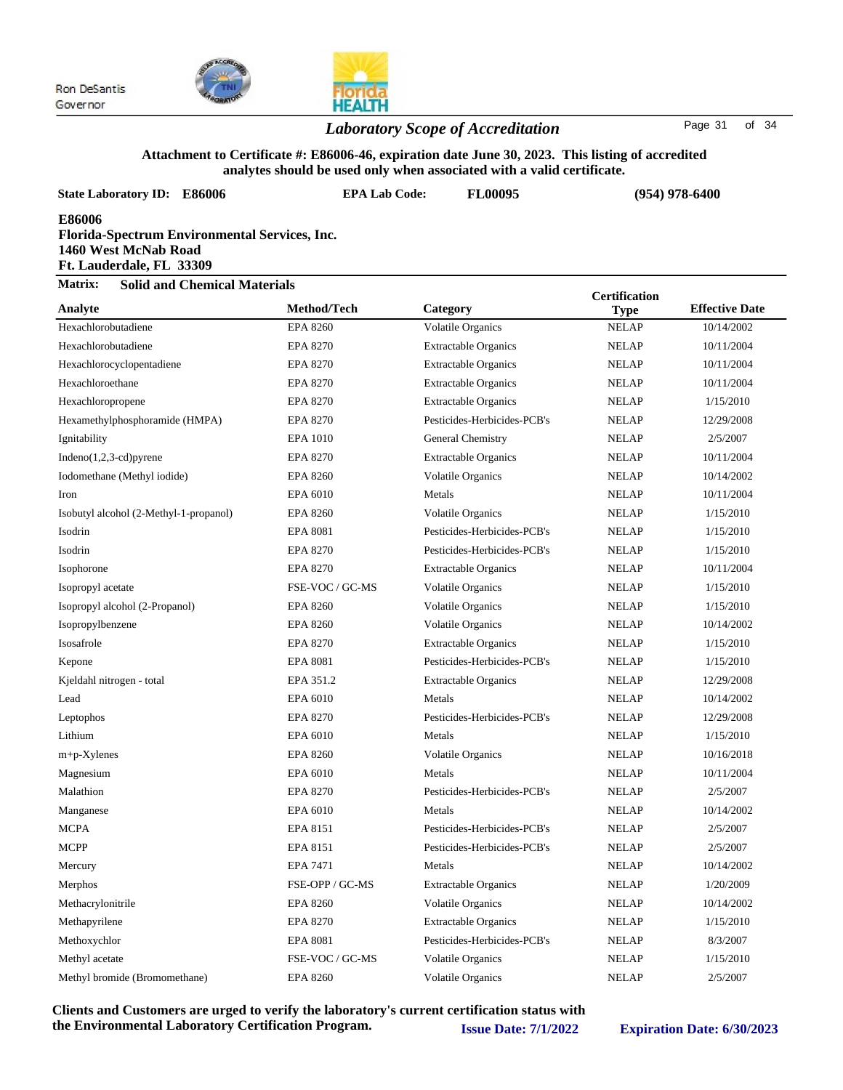

### *Laboratory Scope of Accreditation* Page <sup>31</sup> of <sup>34</sup>

#### **Attachment to Certificate #: E86006-46, expiration date June 30, 2023. This listing of accredited analytes should be used only when associated with a valid certificate.**

|                                                                                                             |                      |                             | analytes should be used only when associated with a valid certificate. |                       |  |  |  |
|-------------------------------------------------------------------------------------------------------------|----------------------|-----------------------------|------------------------------------------------------------------------|-----------------------|--|--|--|
| <b>State Laboratory ID: E86006</b>                                                                          | <b>EPA Lab Code:</b> | <b>FL00095</b>              |                                                                        | $(954)$ 978-6400      |  |  |  |
| E86006<br>Florida-Spectrum Environmental Services, Inc.<br>1460 West McNab Road<br>Ft. Lauderdale, FL 33309 |                      |                             |                                                                        |                       |  |  |  |
| Matrix:<br><b>Solid and Chemical Materials</b>                                                              |                      |                             | <b>Certification</b>                                                   |                       |  |  |  |
| Analyte                                                                                                     | Method/Tech          | Category                    | <b>Type</b>                                                            | <b>Effective Date</b> |  |  |  |
| Hexachlorobutadiene                                                                                         | <b>EPA 8260</b>      | Volatile Organics           | <b>NELAP</b>                                                           | 10/14/2002            |  |  |  |
| Hexachlorobutadiene                                                                                         | <b>EPA 8270</b>      | <b>Extractable Organics</b> | <b>NELAP</b>                                                           | 10/11/2004            |  |  |  |
| Hexachlorocyclopentadiene                                                                                   | <b>EPA 8270</b>      | <b>Extractable Organics</b> | <b>NELAP</b>                                                           | 10/11/2004            |  |  |  |
| Hexachloroethane                                                                                            | <b>EPA 8270</b>      | <b>Extractable Organics</b> | <b>NELAP</b>                                                           | 10/11/2004            |  |  |  |
| Hexachloropropene                                                                                           | <b>EPA 8270</b>      | <b>Extractable Organics</b> | <b>NELAP</b>                                                           | 1/15/2010             |  |  |  |
| Hexamethylphosphoramide (HMPA)                                                                              | <b>EPA 8270</b>      | Pesticides-Herbicides-PCB's | <b>NELAP</b>                                                           | 12/29/2008            |  |  |  |
| Ignitability                                                                                                | <b>EPA 1010</b>      | General Chemistry           | <b>NELAP</b>                                                           | 2/5/2007              |  |  |  |
| $Indeno(1,2,3-cd)pyrene$                                                                                    | EPA 8270             | <b>Extractable Organics</b> | <b>NELAP</b>                                                           | 10/11/2004            |  |  |  |
| Iodomethane (Methyl iodide)                                                                                 | <b>EPA 8260</b>      | Volatile Organics           | <b>NELAP</b>                                                           | 10/14/2002            |  |  |  |
| Iron                                                                                                        | EPA 6010             | Metals                      | <b>NELAP</b>                                                           | 10/11/2004            |  |  |  |
| Isobutyl alcohol (2-Methyl-1-propanol)                                                                      | <b>EPA 8260</b>      | Volatile Organics           | <b>NELAP</b>                                                           | 1/15/2010             |  |  |  |
| Isodrin                                                                                                     | <b>EPA 8081</b>      | Pesticides-Herbicides-PCB's | <b>NELAP</b>                                                           | 1/15/2010             |  |  |  |
| Isodrin                                                                                                     | <b>EPA 8270</b>      | Pesticides-Herbicides-PCB's | <b>NELAP</b>                                                           | 1/15/2010             |  |  |  |
| Isophorone                                                                                                  | <b>EPA 8270</b>      | <b>Extractable Organics</b> | <b>NELAP</b>                                                           | 10/11/2004            |  |  |  |
| Isopropyl acetate                                                                                           | FSE-VOC / GC-MS      | Volatile Organics           | <b>NELAP</b>                                                           | 1/15/2010             |  |  |  |
| Isopropyl alcohol (2-Propanol)                                                                              | <b>EPA 8260</b>      | Volatile Organics           | <b>NELAP</b>                                                           | 1/15/2010             |  |  |  |
| Isopropylbenzene                                                                                            | <b>EPA 8260</b>      | Volatile Organics           | <b>NELAP</b>                                                           | 10/14/2002            |  |  |  |
| Isosafrole                                                                                                  | <b>EPA 8270</b>      | <b>Extractable Organics</b> | <b>NELAP</b>                                                           | 1/15/2010             |  |  |  |
| Kepone                                                                                                      | <b>EPA 8081</b>      | Pesticides-Herbicides-PCB's | <b>NELAP</b>                                                           | 1/15/2010             |  |  |  |
| Kjeldahl nitrogen - total                                                                                   | EPA 351.2            | <b>Extractable Organics</b> | <b>NELAP</b>                                                           | 12/29/2008            |  |  |  |
| Lead                                                                                                        | EPA 6010             | Metals                      | <b>NELAP</b>                                                           | 10/14/2002            |  |  |  |
| Leptophos                                                                                                   | <b>EPA 8270</b>      | Pesticides-Herbicides-PCB's | <b>NELAP</b>                                                           | 12/29/2008            |  |  |  |
| Lithium                                                                                                     | EPA 6010             | Metals                      | <b>NELAP</b>                                                           | 1/15/2010             |  |  |  |
| $m+p$ -Xylenes                                                                                              | <b>EPA 8260</b>      | <b>Volatile Organics</b>    | <b>NELAP</b>                                                           | 10/16/2018            |  |  |  |
| Magnesium                                                                                                   | EPA 6010             | Metals                      | <b>NELAP</b>                                                           | 10/11/2004            |  |  |  |
| Malathion                                                                                                   | <b>EPA 8270</b>      | Pesticides-Herbicides-PCB's | <b>NELAP</b>                                                           | 2/5/2007              |  |  |  |
| Manganese                                                                                                   | EPA 6010             | Metals                      | <b>NELAP</b>                                                           | 10/14/2002            |  |  |  |
| <b>MCPA</b>                                                                                                 | EPA 8151             | Pesticides-Herbicides-PCB's | <b>NELAP</b>                                                           | 2/5/2007              |  |  |  |
| <b>MCPP</b>                                                                                                 | EPA 8151             | Pesticides-Herbicides-PCB's | <b>NELAP</b>                                                           | 2/5/2007              |  |  |  |
| Mercury                                                                                                     | EPA 7471             | Metals                      | <b>NELAP</b>                                                           | 10/14/2002            |  |  |  |
| Merphos                                                                                                     | FSE-OPP / GC-MS      | <b>Extractable Organics</b> | <b>NELAP</b>                                                           | 1/20/2009             |  |  |  |
| Methacrylonitrile                                                                                           | <b>EPA 8260</b>      | Volatile Organics           | <b>NELAP</b>                                                           | 10/14/2002            |  |  |  |
| Methapyrilene                                                                                               | <b>EPA 8270</b>      | <b>Extractable Organics</b> | <b>NELAP</b>                                                           | 1/15/2010             |  |  |  |
| Methoxychlor                                                                                                | <b>EPA 8081</b>      | Pesticides-Herbicides-PCB's | <b>NELAP</b>                                                           | 8/3/2007              |  |  |  |
| Methyl acetate                                                                                              | FSE-VOC / GC-MS      | Volatile Organics           | <b>NELAP</b>                                                           | 1/15/2010             |  |  |  |
| Methyl bromide (Bromomethane)                                                                               | <b>EPA 8260</b>      | Volatile Organics           | <b>NELAP</b>                                                           | 2/5/2007              |  |  |  |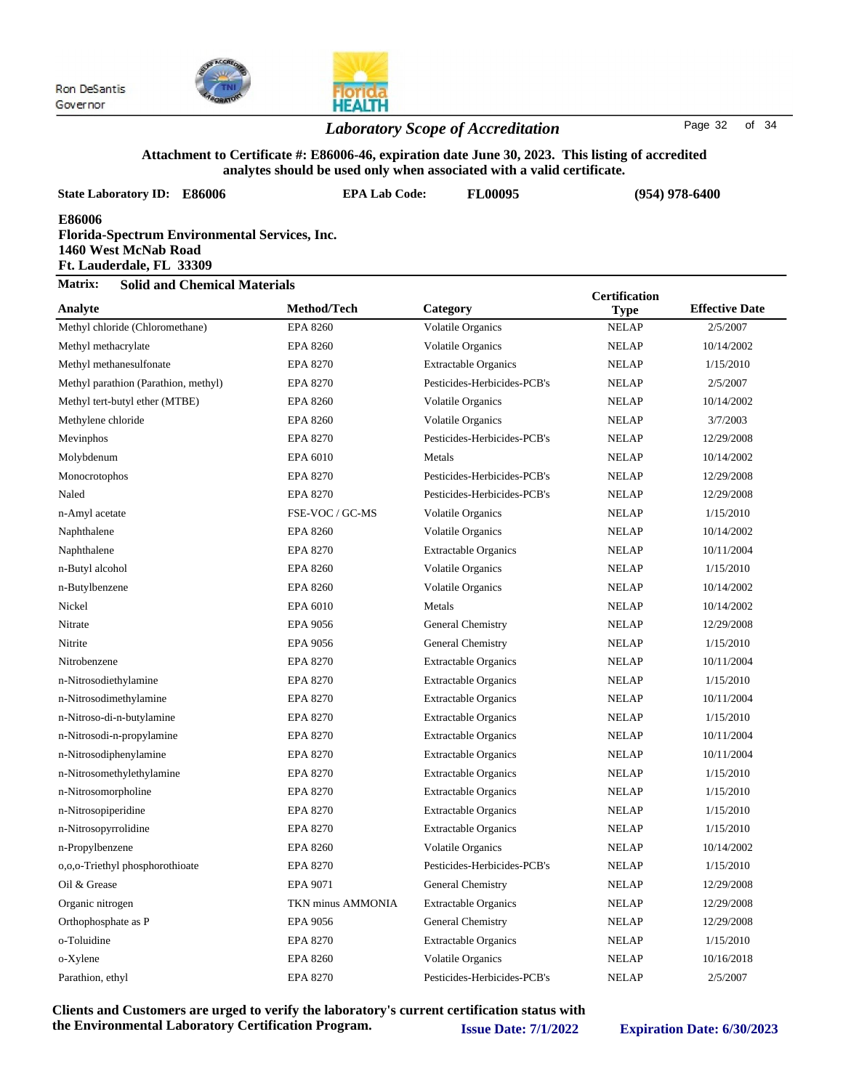

#### *Laboratory Scope of Accreditation* Page <sup>32</sup> of <sup>34</sup>

#### **Attachment to Certificate #: E86006-46, expiration date June 30, 2023. This listing of accredited analytes should be used only when associated with a valid certificate.**

| <b>State Laboratory ID: E86006</b>                                                                          | <b>EPA Lab Code:</b> | anarytes should be used only when associated with a vand termittate.<br><b>FL00095</b> | $(954)$ 978-6400     |                       |  |
|-------------------------------------------------------------------------------------------------------------|----------------------|----------------------------------------------------------------------------------------|----------------------|-----------------------|--|
| E86006<br>Florida-Spectrum Environmental Services, Inc.<br>1460 West McNab Road<br>Ft. Lauderdale, FL 33309 |                      |                                                                                        |                      |                       |  |
| Matrix:<br><b>Solid and Chemical Materials</b>                                                              |                      |                                                                                        | <b>Certification</b> |                       |  |
| Analyte                                                                                                     | Method/Tech          | Category                                                                               | <b>Type</b>          | <b>Effective Date</b> |  |
| Methyl chloride (Chloromethane)                                                                             | <b>EPA 8260</b>      | Volatile Organics                                                                      | <b>NELAP</b>         | 2/5/2007              |  |
| Methyl methacrylate                                                                                         | <b>EPA 8260</b>      | Volatile Organics                                                                      | <b>NELAP</b>         | 10/14/2002            |  |
| Methyl methanesulfonate                                                                                     | EPA 8270             | <b>Extractable Organics</b>                                                            | <b>NELAP</b>         | 1/15/2010             |  |
| Methyl parathion (Parathion, methyl)                                                                        | <b>EPA 8270</b>      | Pesticides-Herbicides-PCB's                                                            | <b>NELAP</b>         | 2/5/2007              |  |
| Methyl tert-butyl ether (MTBE)                                                                              | <b>EPA 8260</b>      | <b>Volatile Organics</b>                                                               | <b>NELAP</b>         | 10/14/2002            |  |
| Methylene chloride                                                                                          | <b>EPA 8260</b>      | Volatile Organics                                                                      | <b>NELAP</b>         | 3/7/2003              |  |
| Mevinphos                                                                                                   | <b>EPA 8270</b>      | Pesticides-Herbicides-PCB's                                                            | <b>NELAP</b>         | 12/29/2008            |  |
| Molybdenum                                                                                                  | EPA 6010             | Metals                                                                                 | <b>NELAP</b>         | 10/14/2002            |  |
| Monocrotophos                                                                                               | <b>EPA 8270</b>      | Pesticides-Herbicides-PCB's                                                            | <b>NELAP</b>         | 12/29/2008            |  |
| Naled                                                                                                       | <b>EPA 8270</b>      | Pesticides-Herbicides-PCB's                                                            | <b>NELAP</b>         | 12/29/2008            |  |
| n-Amyl acetate                                                                                              | FSE-VOC / GC-MS      | <b>Volatile Organics</b>                                                               | <b>NELAP</b>         | 1/15/2010             |  |
| Naphthalene                                                                                                 | <b>EPA 8260</b>      | <b>Volatile Organics</b>                                                               | <b>NELAP</b>         | 10/14/2002            |  |
| Naphthalene                                                                                                 | <b>EPA 8270</b>      | <b>Extractable Organics</b>                                                            | <b>NELAP</b>         | 10/11/2004            |  |
| n-Butyl alcohol                                                                                             | <b>EPA 8260</b>      | Volatile Organics                                                                      | <b>NELAP</b>         | 1/15/2010             |  |
| n-Butylbenzene                                                                                              | <b>EPA 8260</b>      | <b>Volatile Organics</b>                                                               | <b>NELAP</b>         | 10/14/2002            |  |
| Nickel                                                                                                      | EPA 6010             | Metals                                                                                 | <b>NELAP</b>         | 10/14/2002            |  |
| Nitrate                                                                                                     | EPA 9056             | General Chemistry                                                                      | <b>NELAP</b>         | 12/29/2008            |  |
| Nitrite                                                                                                     | <b>EPA 9056</b>      | General Chemistry                                                                      | <b>NELAP</b>         | 1/15/2010             |  |
| Nitrobenzene                                                                                                | <b>EPA 8270</b>      | <b>Extractable Organics</b>                                                            | <b>NELAP</b>         | 10/11/2004            |  |
| n-Nitrosodiethylamine                                                                                       | <b>EPA 8270</b>      | <b>Extractable Organics</b>                                                            | <b>NELAP</b>         | 1/15/2010             |  |
| n-Nitrosodimethylamine                                                                                      | <b>EPA 8270</b>      | <b>Extractable Organics</b>                                                            | <b>NELAP</b>         | 10/11/2004            |  |
| n-Nitroso-di-n-butylamine                                                                                   | <b>EPA 8270</b>      | <b>Extractable Organics</b>                                                            | <b>NELAP</b>         | 1/15/2010             |  |
| n-Nitrosodi-n-propylamine                                                                                   | <b>EPA 8270</b>      | <b>Extractable Organics</b>                                                            | <b>NELAP</b>         | 10/11/2004            |  |
| n-Nitrosodiphenylamine                                                                                      | <b>EPA 8270</b>      | <b>Extractable Organics</b>                                                            | <b>NELAP</b>         | 10/11/2004            |  |
| n-Nitrosomethylethylamine                                                                                   | <b>EPA 8270</b>      | <b>Extractable Organics</b>                                                            | <b>NELAP</b>         | 1/15/2010             |  |
| n-Nitrosomorpholine                                                                                         | EPA 8270             | <b>Extractable Organics</b>                                                            | <b>NELAP</b>         | 1/15/2010             |  |
| n-Nitrosopiperidine                                                                                         | <b>EPA 8270</b>      | <b>Extractable Organics</b>                                                            | <b>NELAP</b>         | 1/15/2010             |  |
| n-Nitrosopyrrolidine                                                                                        | <b>EPA 8270</b>      | <b>Extractable Organics</b>                                                            | <b>NELAP</b>         | 1/15/2010             |  |
| n-Propylbenzene                                                                                             | <b>EPA 8260</b>      | <b>Volatile Organics</b>                                                               | <b>NELAP</b>         | 10/14/2002            |  |
| 0,0,0-Triethyl phosphorothioate                                                                             | EPA 8270             | Pesticides-Herbicides-PCB's                                                            | <b>NELAP</b>         | 1/15/2010             |  |
| Oil & Grease                                                                                                | EPA 9071             | General Chemistry                                                                      | <b>NELAP</b>         | 12/29/2008            |  |
| Organic nitrogen                                                                                            | TKN minus AMMONIA    | <b>Extractable Organics</b>                                                            | <b>NELAP</b>         | 12/29/2008            |  |
| Orthophosphate as P                                                                                         | <b>EPA 9056</b>      | General Chemistry                                                                      | <b>NELAP</b>         | 12/29/2008            |  |
| o-Toluidine                                                                                                 | <b>EPA 8270</b>      | <b>Extractable Organics</b>                                                            | <b>NELAP</b>         | 1/15/2010             |  |
| o-Xylene                                                                                                    | <b>EPA 8260</b>      | Volatile Organics                                                                      | <b>NELAP</b>         | 10/16/2018            |  |

**Clients and Customers are urged to verify the laboratory's current certification status with the Environmental Laboratory Certification Program. Issue Date: 7/1/2022 Expiration Date: 6/30/2023**

Parathion, ethyl EPA 8270 Pesticides-Herbicides-PCB's NELAP 2/5/2007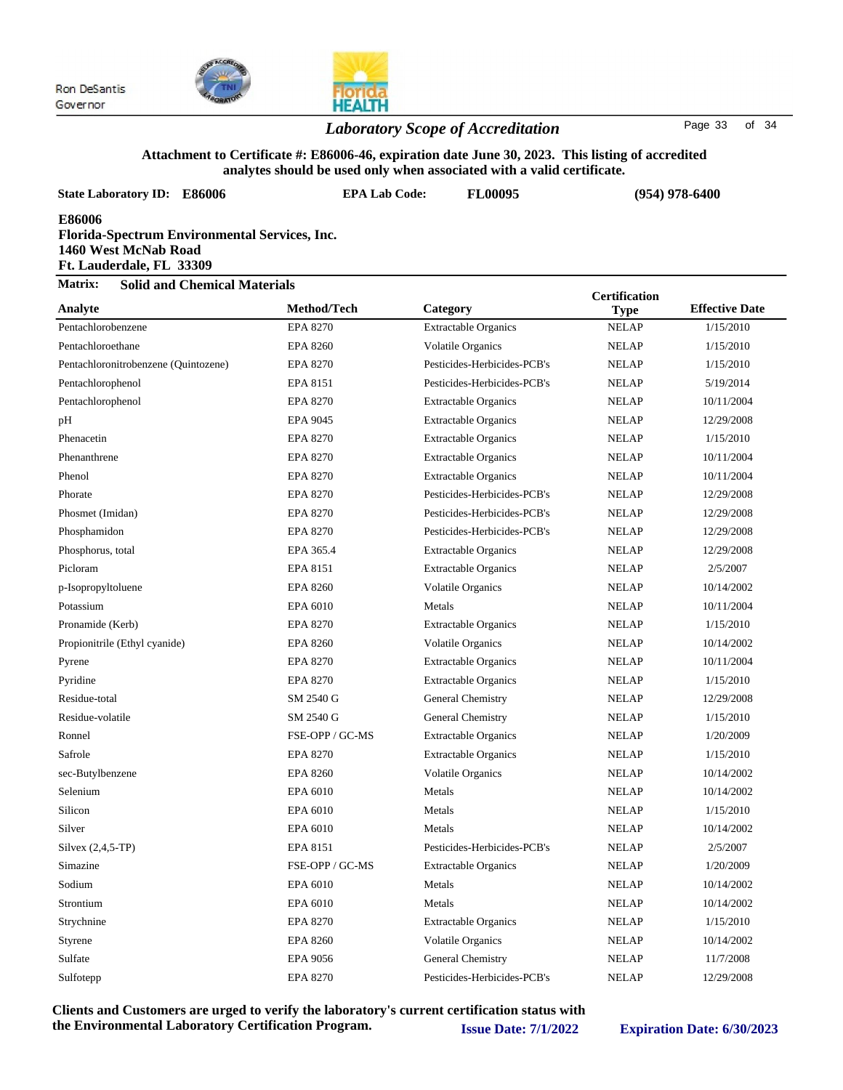



### *Laboratory Scope of Accreditation* Page <sup>33</sup> of <sup>34</sup>

#### **Attachment to Certificate #: E86006-46, expiration date June 30, 2023. This listing of accredited analytes should be used only when associated with a valid certificate.**

| State Laboratory ID: E86006                                                                                 | <b>EPA Lab Code:</b> | <b>FL00095</b>              | $(954)$ 978-6400 |                       |  |  |  |
|-------------------------------------------------------------------------------------------------------------|----------------------|-----------------------------|------------------|-----------------------|--|--|--|
| E86006<br>Florida-Spectrum Environmental Services, Inc.<br>1460 West McNab Road<br>Ft. Lauderdale, FL 33309 |                      |                             |                  |                       |  |  |  |
| Matrix:<br><b>Solid and Chemical Materials</b>                                                              | <b>Certification</b> |                             |                  |                       |  |  |  |
| Analyte                                                                                                     | Method/Tech          | Category                    | <b>Type</b>      | <b>Effective Date</b> |  |  |  |
| Pentachlorobenzene                                                                                          | <b>EPA 8270</b>      | <b>Extractable Organics</b> | <b>NELAP</b>     | 1/15/2010             |  |  |  |
| Pentachloroethane                                                                                           | <b>EPA 8260</b>      | Volatile Organics           | <b>NELAP</b>     | 1/15/2010             |  |  |  |
| Pentachloronitrobenzene (Quintozene)                                                                        | <b>EPA 8270</b>      | Pesticides-Herbicides-PCB's | <b>NELAP</b>     | 1/15/2010             |  |  |  |
| Pentachlorophenol                                                                                           | EPA 8151             | Pesticides-Herbicides-PCB's | <b>NELAP</b>     | 5/19/2014             |  |  |  |
| Pentachlorophenol                                                                                           | <b>EPA 8270</b>      | <b>Extractable Organics</b> | <b>NELAP</b>     | 10/11/2004            |  |  |  |
| pН                                                                                                          | EPA 9045             | <b>Extractable Organics</b> | <b>NELAP</b>     | 12/29/2008            |  |  |  |
| Phenacetin                                                                                                  | <b>EPA 8270</b>      | <b>Extractable Organics</b> | <b>NELAP</b>     | 1/15/2010             |  |  |  |
| Phenanthrene                                                                                                | <b>EPA 8270</b>      | <b>Extractable Organics</b> | <b>NELAP</b>     | 10/11/2004            |  |  |  |
| Phenol                                                                                                      | <b>EPA 8270</b>      | <b>Extractable Organics</b> | <b>NELAP</b>     | 10/11/2004            |  |  |  |
| Phorate                                                                                                     | <b>EPA 8270</b>      | Pesticides-Herbicides-PCB's | <b>NELAP</b>     | 12/29/2008            |  |  |  |
| Phosmet (Imidan)                                                                                            | <b>EPA 8270</b>      | Pesticides-Herbicides-PCB's | <b>NELAP</b>     | 12/29/2008            |  |  |  |
| Phosphamidon                                                                                                | <b>EPA 8270</b>      | Pesticides-Herbicides-PCB's | <b>NELAP</b>     | 12/29/2008            |  |  |  |
| Phosphorus, total                                                                                           | EPA 365.4            | <b>Extractable Organics</b> | <b>NELAP</b>     | 12/29/2008            |  |  |  |
| Picloram                                                                                                    | EPA 8151             | <b>Extractable Organics</b> | <b>NELAP</b>     | 2/5/2007              |  |  |  |
| p-Isopropyltoluene                                                                                          | <b>EPA 8260</b>      | <b>Volatile Organics</b>    | <b>NELAP</b>     | 10/14/2002            |  |  |  |
| Potassium                                                                                                   | EPA 6010             | Metals                      | <b>NELAP</b>     | 10/11/2004            |  |  |  |
| Pronamide (Kerb)                                                                                            | <b>EPA 8270</b>      | <b>Extractable Organics</b> | <b>NELAP</b>     | 1/15/2010             |  |  |  |
| Propionitrile (Ethyl cyanide)                                                                               | <b>EPA 8260</b>      | Volatile Organics           | <b>NELAP</b>     | 10/14/2002            |  |  |  |
| Pyrene                                                                                                      | <b>EPA 8270</b>      | <b>Extractable Organics</b> | <b>NELAP</b>     | 10/11/2004            |  |  |  |
| Pyridine                                                                                                    | <b>EPA 8270</b>      | <b>Extractable Organics</b> | <b>NELAP</b>     | 1/15/2010             |  |  |  |
| Residue-total                                                                                               | SM 2540 G            | General Chemistry           | <b>NELAP</b>     | 12/29/2008            |  |  |  |
| Residue-volatile                                                                                            | SM 2540 G            | General Chemistry           | <b>NELAP</b>     | 1/15/2010             |  |  |  |
| Ronnel                                                                                                      | FSE-OPP / GC-MS      | <b>Extractable Organics</b> | <b>NELAP</b>     | 1/20/2009             |  |  |  |
| Safrole                                                                                                     | <b>EPA 8270</b>      | <b>Extractable Organics</b> | <b>NELAP</b>     | 1/15/2010             |  |  |  |
| sec-Butylbenzene                                                                                            | <b>EPA 8260</b>      | <b>Volatile Organics</b>    | <b>NELAP</b>     | 10/14/2002            |  |  |  |
| Selenium                                                                                                    | EPA 6010             | Metals                      | <b>NELAP</b>     | 10/14/2002            |  |  |  |
| Silicon                                                                                                     | EPA 6010             | Metals                      | <b>NELAP</b>     | 1/15/2010             |  |  |  |
| Silver                                                                                                      | EPA 6010             | Metals                      | <b>NELAP</b>     | 10/14/2002            |  |  |  |
| Silvex (2,4,5-TP)                                                                                           | EPA 8151             | Pesticides-Herbicides-PCB's | <b>NELAP</b>     | 2/5/2007              |  |  |  |
| Simazine                                                                                                    | FSE-OPP / GC-MS      | <b>Extractable Organics</b> | <b>NELAP</b>     | 1/20/2009             |  |  |  |
| Sodium                                                                                                      | EPA 6010             | Metals                      | <b>NELAP</b>     | 10/14/2002            |  |  |  |
| Strontium                                                                                                   | EPA 6010             | Metals                      | <b>NELAP</b>     | 10/14/2002            |  |  |  |
| Strychnine                                                                                                  | <b>EPA 8270</b>      | <b>Extractable Organics</b> | <b>NELAP</b>     | 1/15/2010             |  |  |  |
| Styrene                                                                                                     | <b>EPA 8260</b>      | <b>Volatile Organics</b>    | <b>NELAP</b>     | 10/14/2002            |  |  |  |
| Sulfate                                                                                                     | EPA 9056             | General Chemistry           | <b>NELAP</b>     | 11/7/2008             |  |  |  |

**Clients and Customers are urged to verify the laboratory's current certification status with the Environmental Laboratory Certification Program. Issue Date: 7/1/2022 Expiration Date: 6/30/2023**

Sulfotepp EPA 8270 Pesticides-Herbicides-PCB's NELAP 12/29/2008